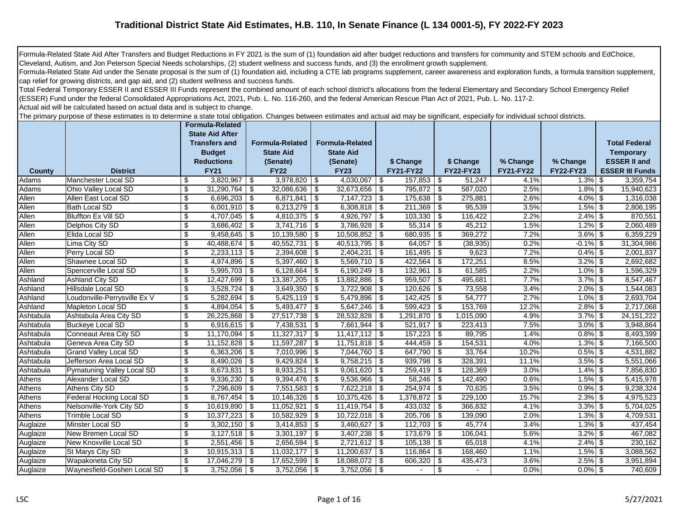## **Traditional District State Aid Estimates, H.B. 110, In Senate Finance (L 134 0001-5), FY 2022-FY 2023**

Formula-Related State Aid After Transfers and Budget Reductions in FY 2021 is the sum of (1) foundation aid after budget reductions and transfers for community and STEM schools and EdChoice, Cleveland, Autism, and Jon Peterson Special Needs scholarships, (2) student wellness and success funds, and (3) the enrollment growth supplement.

Formula-Related State Aid under the Senate proposal is the sum of (1) foundation aid, including a CTE lab programs supplement, career awareness and exploration funds, a formula transition supplement, cap relief for growing districts, and gap aid, and (2) student wellness and success funds.

Total Federal Temporary ESSER II and ESSER III Funds represent the combined amount of each school district's allocations from the federal Elementary and Secondary School Emergency Relief (ESSER) Fund under the federal Consolidated Appropriations Act, 2021, Pub. L. No. 116-260, and the federal American Rescue Plan Act of 2021, Pub. L. No. 117-2.

Actual aid will be calculated based on actual data and is subject to change.

The primary purpose of these estimates is to determine a state total obligation. Changes between estimates and actual aid may be significant, especially for individual school districts.

|           |                              | Formula-Related<br><b>State Aid After</b><br><b>Transfers and</b><br><b>Budget</b> |      | <b>Formula-Related</b><br><b>State Aid</b> |            | <b>Formula-Related</b><br><b>State Aid</b> |            |                  |                           |                  |                  |                  | <b>Total Federal</b><br><b>Temporary</b> |
|-----------|------------------------------|------------------------------------------------------------------------------------|------|--------------------------------------------|------------|--------------------------------------------|------------|------------------|---------------------------|------------------|------------------|------------------|------------------------------------------|
|           |                              | <b>Reductions</b>                                                                  |      | (Senate)                                   |            | (Senate)                                   |            | \$ Change        |                           | \$ Change        | % Change         | % Change         | <b>ESSER II and</b>                      |
| County    | <b>District</b>              | <b>FY21</b>                                                                        |      | <b>FY22</b>                                |            | <b>FY23</b>                                |            | <b>FY21-FY22</b> |                           | <b>FY22-FY23</b> | <b>FY21-FY22</b> | <b>FY22-FY23</b> | <b>ESSER III Funds</b>                   |
| Adams     | Manchester Local SD          | \$<br>3,820,967                                                                    | \$   | $3,978,820$ \$                             |            | 4,030,067                                  | <b>\$</b>  | 157,853          | \$                        | 51,247           | 4.1%             | $1.3\%$ \$       | 3,359,754                                |
| Adams     | Ohio Valley Local SD         | \$<br>31,290,764                                                                   | -\$  | 32,086,636                                 | <b>S</b>   | 32,673,656                                 | l \$       | 795,872          | $\sqrt{2}$                | 587,020          | 2.5%             | $1.8\%$ \$       | 15,940,623                               |
| Allen     | Allen East Local SD          | \$<br>6,696,203                                                                    | \$   | $6,871,841$ \$                             |            | $7,147,723$ \$                             |            | 175,638          | $\boldsymbol{\mathsf{S}}$ | 275,881          | 2.6%             | $4.0\%$ \$       | 1,316,038                                |
| Allen     | <b>Bath Local SD</b>         | \$<br>6,001,910                                                                    | \$   | 6,213,279                                  | $\sqrt{3}$ | $6,308,818$ \$                             |            | 211,369          | \$                        | 95,539           | 3.5%             | $1.5\%$ \$       | 2,806,195                                |
| Allen     | <b>Bluffton Ex Vill SD</b>   | \$<br>$\overline{4,707,045}$                                                       | -\$  | 4,810,375                                  | <b>S</b>   | $4,926,797$ \$                             |            | 103,330          | \$                        | 116,422          | 2.2%             | $2.4\%$ \$       | 870,551                                  |
| Allen     | Delphos City SD              | \$<br>3,686,402                                                                    | -\$  | $3,741,716$ \$                             |            | $3,786,928$ \$                             |            | 55,314           | \$                        | 45,212           | 1.5%             | $1.2\%$ \$       | 2,060,489                                |
| Allen     | Elida Local SD               | \$<br>9,458,645                                                                    | \$   | 10,139,580                                 | -\$        | 10,508,852 \$                              |            | 680,935          | \$                        | 369,272          | 7.2%             | $3.6\%$ \$       | 6,359,229                                |
| Allen     | Lima City SD                 | \$<br>40,488,674                                                                   | \$   | $40,552,731$ \$                            |            | $40,513,795$ \$                            |            | 64,057           | \$                        | (38, 935)        | 0.2%             | $-0.1\%$ \$      | 31,304,986                               |
| Allen     | Perry Local SD               | \$<br>2,233,113                                                                    | \$   | $2,394,608$ \$                             |            | 2,404,231                                  | $\vert$ \$ | 161,495          | \$                        | 9,623            | 7.2%             | $0.4\%$ \$       | 2,001,837                                |
| Allen     | Shawnee Local SD             | \$<br>4,974,896                                                                    | -\$  | $5,397,460$ \ \$                           |            | $5,569,710$ \$                             |            | 422,564          | \$                        | 172,251          | 8.5%             | $3.2\%$ \$       | 2,692,682                                |
| Allen     | Spencerville Local SD        | \$<br>$5,995,703$ \$                                                               |      | $6,128,664$ \$                             |            | $6,190,249$ \$                             |            | 132,961          | \$                        | 61,585           | 2.2%             | $1.0\%$ \$       | 1,596,329                                |
| Ashland   | Ashland City SD              | \$<br>12,427,699                                                                   | \$   | $13,387,205$ \$                            |            | 13,882,886   \$                            |            | 959,507          | \$                        | 495,681          | 7.7%             | $3.7\%$ \$       | 8,547,467                                |
| Ashland   | Hillsdale Local SD           | \$<br>3,528,724                                                                    | -\$  | $3,649,350$ \$                             |            |                                            |            | 120,626          | \$                        | 73,558           | 3.4%             | $2.0\%$ \$       | 1,544,083                                |
| Ashland   | Loudonville-Perrysville Ex V | \$<br>5,282,694                                                                    | \$   | $5,425,119$ \$                             |            | $5,479,896$ \$                             |            | 142,425          | $\boldsymbol{\mathsf{S}}$ | 54,777           | 2.7%             | $1.0\%$ \$       | 2,693,704                                |
| Ashland   | Mapleton Local SD            | \$<br>4,894,054                                                                    | \$   | 5,493,477                                  | $\sqrt{3}$ | $5,647,246$ \$                             |            | 599,423          | $\boldsymbol{\mathsf{S}}$ | 153,769          | 12.2%            | $2.8\%$ \$       | 2,717,068                                |
| Ashtabula | Ashtabula Area City SD       | \$<br>26,225,868                                                                   | \$   | 27,517,738                                 | <b>S</b>   | 28,532,828   \$                            |            | 1,291,870        | \$                        | 1,015,090        | 4.9%             | $3.7\%$ \$       | 24, 151, 222                             |
| Ashtabula | <b>Buckeye Local SD</b>      | \$<br>6,916,615                                                                    | \$   | 7,438,531                                  | - \$       | 7,661,944 \$                               |            | 521,917          | \$                        | 223,413          | 7.5%             | $3.0\%$ \$       | 3,948,864                                |
| Ashtabula | Conneaut Area City SD        | \$<br>11,170,094                                                                   | \$   | $11,327,317$ \$                            |            | $11,417,112$ \$                            |            | 157,223          | \$                        | 89,795           | 1.4%             | $0.8\%$ \$       | 8,493,399                                |
| Ashtabula | Geneva Area City SD          | \$<br>11,152,828                                                                   | \$   | 11,597,287                                 | \$         | $11,751,818$ \\$                           |            | 444,459          | \$                        | 154,531          | 4.0%             | $1.3\%$ \$       | 7,166,500                                |
| Ashtabula | <b>Grand Valley Local SD</b> | \$<br>6,363,206                                                                    | \$   | 7,010,996                                  | -\$        | 7,044,760 \$                               |            | 647,790          | \$                        | 33,764           | 10.2%            | $0.5\%$ \$       | 4,531,882                                |
| Ashtabula | Jefferson Area Local SD      | \$<br>8,490,026                                                                    | \$   | $9,429,824$ \$                             |            | $9,758,215$ \$                             |            | 939,798          | \$                        | 328,391          | 11.1%            | $3.5\%$ \$       | 5,551,066                                |
| Ashtabula | Pymatuning Valley Local SD   | \$<br>8,673,831                                                                    | \$   | $8,933,251$ \$                             |            | $9,061,620$ \$                             |            | 259,419          | \$                        | 128,369          | 3.0%             | $1.4\%$ \$       | 7,856,830                                |
| Athens    | Alexander Local SD           | \$<br>9,336,230                                                                    | \$   | $9,394,476$ \$                             |            | $9,536,966$ \$                             |            | 58,246           | \$                        | 142,490          | 0.6%             | $1.5\%$ \$       | 5,415,978                                |
| Athens    | Athens City SD               | \$<br>7,296,609                                                                    | -\$  | $7,551,583$ \$                             |            | $7,622,218$ \$                             |            | 254,974          | \$                        | 70,635           | 3.5%             | $0.9\%$ \$       | 9,238,324                                |
| Athens    | Federal Hocking Local SD     | \$<br>8,767,454                                                                    | - \$ | 10,146,326                                 | $\vert$ \$ |                                            |            | 1,378,872        | \$                        | 229,100          | 15.7%            | $2.3\%$ \$       | 4,975,523                                |
| Athens    | Nelsonville-York City SD     | \$<br>10,619,890                                                                   | \$   | 11,052,921                                 | -\$        | $11,419,754$ \\$                           |            | 433,032          | $\boldsymbol{\mathsf{S}}$ | 366,832          | 4.1%             | $3.3\%$ \$       | 5,704,025                                |
| Athens    | Trimble Local SD             | \$<br>10,377,223                                                                   | -\$  | 10,582,929                                 | -\$        | $10,722,018$ \$                            |            | 205,706          | \$                        | 139,090          | 2.0%             | $1.3\%$ \$       | 4,709,531                                |
| Auglaize  | Minster Local SD             | \$<br>3,302,150                                                                    | -\$  | $3,414,853$ \$                             |            | 3,460,627                                  | l \$       | 112,703          | \$                        | 45,774           | 3.4%             | $1.3\%$ \$       | 437,454                                  |
| Auglaize  | New Bremen Local SD          | \$<br>3,127,518                                                                    | \$   | 3,301,197                                  | <b>\$</b>  | 3,407,238                                  | -\$        | 173,679          | \$                        | 106,041          | 5.6%             | $3.2\%$ \$       | 467,082                                  |
| Auglaize  | New Knoxville Local SD       | \$<br>2,551,456                                                                    | \$   | $2,656,594$ \$                             |            | $2,721,612$ \$                             |            | 105,138          | \$                        | 65,018           | 4.1%             | $2.4\%$ \$       | 230,162                                  |
| Auglaize  | St Marys City SD             | \$<br>10,915,313                                                                   | -\$  | $11,032,177$ \\$                           |            |                                            |            | 116,864          | \$                        | 168,460          | 1.1%             | $1.5\%$ \$       | 3,088,562                                |
| Auglaize  | Wapakoneta City SD           | \$<br>17,046,279                                                                   | \$   | 17,652,599                                 | $\vert$ \$ | 18,088,072   \$                            |            | 606,320          | \$                        | 435,473          | 3.6%             | $2.5\%$ \$       | 3,951,894                                |
| Auglaize  | Waynesfield-Goshen Local SD  | \$<br>3,752,056                                                                    | \$   | $3,752,056$ \ \$                           |            | $3,752,056$ \$                             |            |                  | \$                        |                  | 0.0%             | $0.0\%$ \$       | 740,609                                  |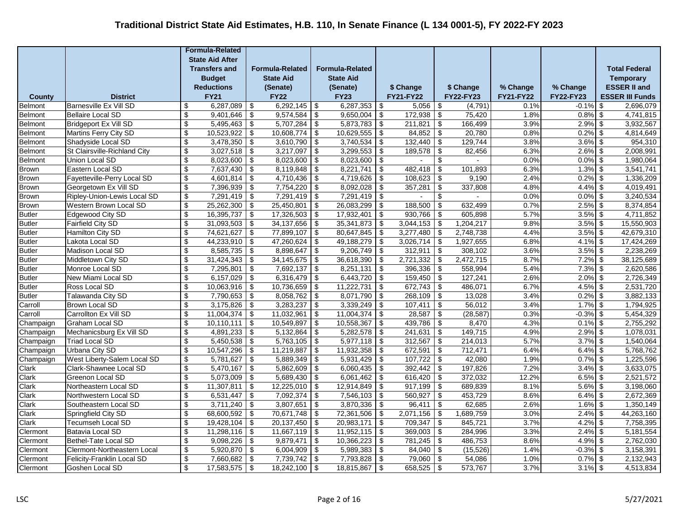|                |                                                            |                           | <b>Formula-Related</b>      |                                  |                             |                                        |                         |            |                    |                           |                      |                  |                           |                                        |
|----------------|------------------------------------------------------------|---------------------------|-----------------------------|----------------------------------|-----------------------------|----------------------------------------|-------------------------|------------|--------------------|---------------------------|----------------------|------------------|---------------------------|----------------------------------------|
|                |                                                            |                           | <b>State Aid After</b>      |                                  |                             |                                        |                         |            |                    |                           |                      |                  |                           |                                        |
|                |                                                            |                           | <b>Transfers and</b>        |                                  | <b>Formula-Related</b>      |                                        | <b>Formula-Related</b>  |            |                    |                           |                      |                  |                           | <b>Total Federal</b>                   |
|                |                                                            |                           | <b>Budget</b>               |                                  | <b>State Aid</b>            |                                        | <b>State Aid</b>        |            |                    |                           |                      |                  |                           | <b>Temporary</b>                       |
|                |                                                            |                           | <b>Reductions</b>           |                                  | (Senate)                    |                                        | (Senate)                |            | \$ Change          |                           | \$ Change            | % Change         | % Change                  | <b>ESSER II and</b>                    |
| County         | <b>District</b>                                            |                           | <b>FY21</b>                 |                                  | <b>FY22</b>                 |                                        | <b>FY23</b>             |            | <b>FY21-FY22</b>   |                           | FY22-FY23            | <b>FY21-FY22</b> | <b>FY22-FY23</b>          | <b>ESSER III Funds</b>                 |
| <b>Belmont</b> | <b>Barnesville Ex Vill SD</b>                              | \$                        | 6,287,089                   | \$                               | 6,292,145                   | \$                                     | 6,287,353               | \$         | 5,056              | \$                        | (4,791)              | 0.1%             | $-0.1%$                   | 2,696,079<br>\$                        |
| <b>Belmont</b> | <b>Bellaire Local SD</b>                                   | \$                        | 9,401,646                   | \$                               | 9,574,584                   | \$                                     | 9,650,004               | \$         | 172,938            | \$                        | 75,420               | 1.8%             | 0.8%                      | \$<br>4,741,815                        |
| <b>Belmont</b> | <b>Bridgeport Ex Vill SD</b>                               | \$                        | 5,495,463                   | \$                               | 5,707,284                   | $\overline{\boldsymbol{\mathfrak{s}}}$ | 5,873,783               | \$         | 211,821            | $\overline{\mathbf{e}}$   | 166,499              | 3.9%             | 2.9%                      | \$<br>3,932,567                        |
| Belmont        | Martins Ferry City SD                                      | \$                        | 10,523,922                  | \$                               | 10,608,774                  | \$                                     | 10,629,555              | \$         | 84,852             | \$                        | 20,780               | 0.8%             | 0.2%                      | \$<br>4,814,649                        |
| Belmont        | Shadyside Local SD                                         | $\overline{\mathcal{L}}$  | 3,478,350                   | \$                               | 3,610,790                   | $\overline{\mathcal{L}}$               | 3,740,534               | \$         | 132,440            | $\overline{\mathcal{L}}$  | 129,744              | 3.8%             | 3.6%                      | \$<br>954,310                          |
| <b>Belmont</b> | St Clairsville-Richland City                               | $\overline{\mathbf{e}}$   | $3,027,518$ \$              |                                  | $3,217,097$ \$              |                                        | 3,299,553               | \$         | 189,578            | \$                        | 82,456               | 6.3%             | $2.6\%$ \$                | 2,008,991                              |
| <b>Belmont</b> | Union Local SD                                             | \$                        | 8,023,600                   | \$                               | 8,023,600                   | $\overline{\mathfrak{s}}$              | 8,023,600               | -\$        | $\sim$             | \$                        |                      | 0.0%             | $0.0\%$ \$                | 1,980,064                              |
| <b>Brown</b>   | Eastern Local SD                                           | \$                        | 7,637,430                   | $\sqrt[6]{\frac{1}{2}}$          | 8,119,848                   | $\sqrt[6]{3}$                          | 8,221,741               | \$         | 482,418            | \$                        | 101,893              | 6.3%             | 1.3%                      | \$<br>3,541,741                        |
| <b>Brown</b>   | Fayetteville-Perry Local SD                                | \$                        | 4,601,814                   | \$                               | 4,710,436                   | $\sqrt[6]{3}$                          | 4,719,626               | \$         | 108,623            | \$                        | 9,190                | 2.4%             | 0.2%                      | \$<br>1,336,209                        |
| <b>Brown</b>   | Georgetown Ex Vill SD                                      | \$                        | 7,396,939                   | $\boldsymbol{\mathsf{S}}$        | 7,754,220                   | $\overline{\mathbf{s}}$                | 8,092,028               | \$         | 357,281            | \$                        | 337,808              | 4.8%             | 4.4%                      | $\boldsymbol{\mathsf{S}}$<br>4,019,491 |
| <b>Brown</b>   | Ripley-Union-Lewis Local SD                                | \$                        | 7,291,419                   | \$                               | 7,291,419                   | $\sqrt{3}$                             | 7,291,419               | \$         |                    | \$                        |                      | 0.0%             | $0.0\%$                   | \$<br>3,240,534                        |
| <b>Brown</b>   | Western Brown Local SD                                     | $\overline{\$}$           | 25,262,300                  | \$                               | 25,450,801                  | $\overline{\mathcal{L}}$               | 26,083,299              | \$         | 188,500            | $\overline{\$}$           | 632,499              | 0.7%             | 2.5%                      | $\boldsymbol{\mathsf{S}}$<br>8,374,854 |
| <b>Butler</b>  | Edgewood City SD                                           | \$                        | 16,395,737                  | -\$                              | 17,326,503                  | \$                                     | 17,932,401              | -\$        | 930,766            | $\sqrt[6]{3}$             | 605,898              | 5.7%             | $3.5\%$ \$                | 4,711,852                              |
| <b>Butler</b>  | <b>Fairfield City SD</b>                                   | \$                        | 31,093,503                  | \$                               | 34,137,656                  | $\overline{\boldsymbol{\mathfrak{s}}}$ | 35,341,873              | \$         | 3,044,153          | \$                        | 1,204,217            | 9.8%             | $3.5\%$ \$                | 15,550,903                             |
| <b>Butler</b>  | Hamilton City SD                                           | \$                        | 74,621,627                  | \$                               | 77,899,107                  | \$                                     | 80,647,845              | \$         | 3,277,480          | $\overline{\mathbf{e}}$   | 2,748,738            | 4.4%             | 3.5%                      | \$<br>42,679,310                       |
| <b>Butler</b>  | Lakota Local SD                                            | \$                        | 44,233,910                  | \$                               | 47,260,624                  | \$                                     | 49,188,279              | \$         | 3,026,714          | \$                        | 1,927,655            | 6.8%             | 4.1%                      | \$<br>17,424,269                       |
| <b>Butler</b>  | <b>Madison Local SD</b>                                    | \$                        | 8,585,735                   | \$                               | 8,898,647                   | \$                                     | 9,206,749               | -\$        | 312,911            | \$                        | 308,102              | 3.6%             | 3.5%                      | \$<br>2,238,269                        |
| <b>Butler</b>  | Middletown City SD                                         | $\overline{\mathcal{E}}$  | $31,424,343$ \$             |                                  | 34, 145, 675                | $\overline{\mathcal{L}}$               | 36,618,390              | -\$        | 2,721,332          | $\overline{\$}$           | 2,472,715            | 8.7%             | $7.2\%$ \$                | 38,125,689                             |
| <b>Butler</b>  | Monroe Local SD                                            | \$                        | 7,295,801                   | \$                               | 7,692,137                   | $\overline{\bullet}$                   | 8,251,131               | -\$        | 396,336            | $\sqrt[6]{\frac{1}{2}}$   | 558,994              | 5.4%             | $7.3\%$ \$                | 2,620,586                              |
| <b>Butler</b>  | New Miami Local SD                                         | \$                        | 6,157,029                   | \$                               | 6,316,479                   | \$                                     | 6,443,720               | - \$       | $159,450$ \$       |                           | 127,241              | 2.6%             | $2.0\%$ \$                | 2,726,349                              |
| <b>Butler</b>  | Ross Local SD                                              | $\boldsymbol{\mathsf{S}}$ | 10,063,916                  | \$                               | 10,736,659                  | $\overline{\boldsymbol{\mathfrak{s}}}$ | 11,222,731              | \$         | 672,743            | $\sqrt[6]{3}$             | 486,071              | 6.7%             | $4.5\%$ \$                | 2,531,720                              |
| <b>Butler</b>  | Talawanda City SD                                          | $\mathbb{S}$              | 7,790,653                   | \$                               | 8,058,762                   | $\overline{\boldsymbol{\mathfrak{s}}}$ | 8,071,790               | \$         | 268,109            | \$                        | 13,028               | 3.4%             | 0.2%                      | $\boldsymbol{\mathsf{S}}$<br>3,882,133 |
| Carroll        | <b>Brown Local SD</b>                                      | \$                        | 3,175,826                   | \$                               | 3,283,237                   | \$                                     | 3,339,249               | \$         | 107,411            | \$                        | 56,012               | 3.4%             | 1.7%                      | \$<br>1,794,925                        |
| Carroll        | Carrollton Ex Vill SD                                      | \$                        | 11,004,374                  | \$                               | 11,032,961                  | $\overline{\mathcal{L}}$               | 11,004,374              | \$         | 28,587             | $\overline{\$}$           | (28, 587)            | 0.3%             | $-0.3%$                   | $\boldsymbol{\mathsf{S}}$<br>5,454,329 |
| Champaign      | Graham Local SD                                            | \$                        | 10,110,111                  | \$                               | 10,549,897                  | $\overline{\boldsymbol{\mathfrak{s}}}$ | 10,558,367              | \$         | 439,786            | $\overline{\mathbf{e}}$   | 8,470                | 4.3%             | $0.1\%$ \$                | 2,755,292                              |
| Champaign      | Mechanicsburg Ex Vill SD                                   | \$                        | 4,891,233                   | \$                               | 5,132,864                   | \$                                     | 5,282,578               | -\$        | 241,631            | \$                        | 149,715              | 4.9%             | $2.9\%$ \$                | 1,078,031                              |
| Champaign      | <b>Triad Local SD</b>                                      | \$                        | 5,450,538                   | \$                               | 5,763,105                   | \$                                     | 5,977,118               | -\$        | 312,567            | \$                        | 214,013              | 5.7%             | 3.7%                      | \$<br>1,540,064                        |
| Champaign      | <b>Urbana City SD</b>                                      | \$                        | 10,547,296                  | $\overline{\boldsymbol{\theta}}$ | 11,219,887                  | $\overline{\boldsymbol{\mathfrak{s}}}$ | 11,932,358              | \$         | 672,591            | $\overline{\mathbf{e}}$   | 712,471              | 6.4%             | $6.4\%$ \$                | 5,768,762                              |
| Champaign      | West Liberty-Salem Local SD                                | $\mathfrak s$             | 5,781,627                   | \$                               | 5,889,349                   | $\overline{\boldsymbol{\mathfrak{s}}}$ | 5,931,429               | $\sqrt{2}$ | 107,722            | $\overline{\mathbf{e}}$   | 42,080               | 1.9%             | 0.7%                      | $$\mathbb{S}$$<br>1,225,596            |
| Clark          | Clark-Shawnee Local SD                                     | $\sqrt[6]{\frac{1}{2}}$   | 5,470,167                   | \$                               | 5,862,609<br>$5,689,430$ \$ | $\overline{\mathcal{L}}$               | 6,060,435<br>6,061,462  | -\$        | 392,442<br>616,420 | \$                        | 197,826<br>372,032   | 7.2%<br>12.2%    | 3.4%                      | 3,633,075<br>\$<br>2,521,572           |
| Clark          | Greenon Local SD                                           | \$<br>$\overline{\$}$     | 5,073,009<br>11,307,811     | \$                               | $12,225,010$ \$             |                                        | 12,914,849              | -\$        | 917,199            | $\sqrt[6]{\frac{1}{2}}$   | 689,839              | 8.1%             | 6.5%<br>$5.6\%$ \$        | $\sqrt[6]{3}$<br>3,198,060             |
| Clark          | Northeastern Local SD<br>Northwestern Local SD             | \$                        | 6,531,447                   | \$                               | 7,092,374                   | $\overline{\boldsymbol{\mathfrak{s}}}$ | 7,546,103               | -\$<br>-\$ | 560,927            | $\overline{\mathbf{3}}$   | 453,729              | 8.6%             | $6.4\%$ \$                | 2,672,369                              |
| Clark          | Southeastern Local SD                                      | \$                        | 3,711,240                   | \$<br>\$                         | 3,807,651                   | $\overline{\boldsymbol{\mathfrak{s}}}$ | 3,870,336               | \$         | 96,411             | \$<br>\$                  | 62,685               | 2.6%             | 1.6%                      | \$<br>1,350,149                        |
| Clark          |                                                            |                           |                             |                                  |                             |                                        |                         |            |                    |                           |                      |                  |                           | \$                                     |
| Clark          | Springfield City SD                                        | \$<br>\$                  | 68,600,592                  | \$                               | 70,671,748                  | \$                                     | 72,361,506              | \$         | 2,071,156          | \$                        | 1,689,759            | 3.0%<br>3.7%     | 2.4%                      | 44,263,160                             |
| Clark          | <b>Tecumseh Local SD</b>                                   |                           | 19,428,104                  | \$                               | 20,137,450                  | \$                                     | 20,983,171              | \$         | 709,347            | \$                        | 845,721              |                  | 4.2%                      | \$<br>7,758,395                        |
| Clermont       | Batavia Local SD                                           | \$                        | 11,298,116                  | \$                               | 11,667,119                  | \$                                     | 11,952,115              | \$         | 369,003            | \$                        | 284,996              | 3.3%             | $2.4\%$ \$                | 5,181,554                              |
| Clermont       | <b>Bethel-Tate Local SD</b><br>Clermont-Northeastern Local | $\overline{\$}$<br>\$     | 9,098,226<br>$5,920,870$ \$ | \$                               | 9,879,471<br>6,004,909      | $\boldsymbol{\mathsf{S}}$              | 10,366,223<br>5,989,383 | \$         | 781,245<br>84,040  | $\boldsymbol{\mathsf{S}}$ | 486,753<br>(15, 526) | 8.6%             | $4.9\%$ \$<br>$-0.3\%$ \$ | 2,762,030<br>3,158,391                 |
| Clermont       |                                                            |                           |                             |                                  |                             | $\overline{\bullet}$                   |                         | -\$        |                    | $\sqrt{3}$                |                      | 1.4%             |                           |                                        |
| Clermont       | Felicity-Franklin Local SD                                 | \$                        | 7,660,682                   | \$                               | 7,739,742                   | \$                                     | 7,793,828               | \$         | 79,060             | \$                        | 54,086               | 1.0%             | $0.7\%$ \$                | 2,132,943                              |
| Clermont       | Goshen Local SD                                            | $\mathbb{S}$              | $17,583,575$ \$             |                                  | 18,242,100                  | \$                                     | 18,815,867              | \$         | $658,525$ \$       |                           | 573,767              | 3.7%             | $3.1\%$ \$                | 4,513,834                              |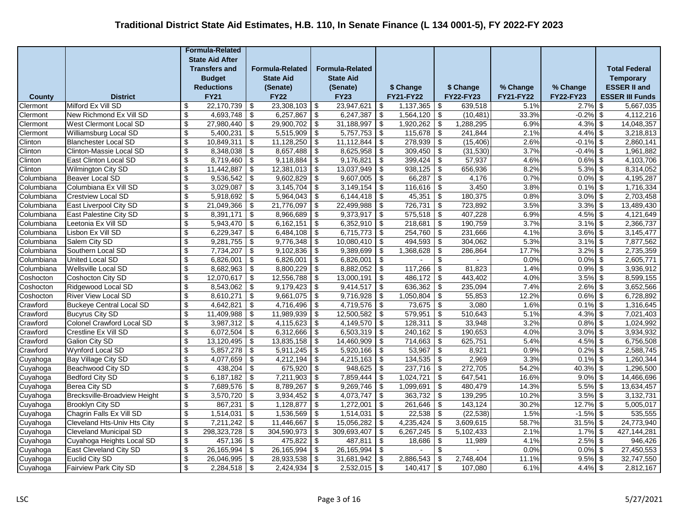|                          |                                                     |                                                    | <b>Formula-Related</b>  |                                        |                         |                                              |                         |                  |                   |                                              |                    |                  |                          |                         |  |
|--------------------------|-----------------------------------------------------|----------------------------------------------------|-------------------------|----------------------------------------|-------------------------|----------------------------------------------|-------------------------|------------------|-------------------|----------------------------------------------|--------------------|------------------|--------------------------|-------------------------|--|
|                          |                                                     |                                                    | <b>State Aid After</b>  |                                        |                         |                                              |                         |                  |                   |                                              |                    |                  |                          |                         |  |
|                          |                                                     |                                                    | <b>Transfers and</b>    |                                        | <b>Formula-Related</b>  |                                              | <b>Formula-Related</b>  |                  |                   |                                              |                    |                  |                          | <b>Total Federal</b>    |  |
|                          |                                                     |                                                    | <b>Budget</b>           |                                        | <b>State Aid</b>        |                                              | <b>State Aid</b>        |                  |                   |                                              |                    |                  |                          | <b>Temporary</b>        |  |
|                          |                                                     |                                                    | <b>Reductions</b>       |                                        | (Senate)                |                                              | (Senate)                |                  | \$ Change         |                                              | \$ Change          | % Change         | % Change                 | <b>ESSER II and</b>     |  |
| County                   | <b>District</b>                                     |                                                    | <b>FY21</b>             |                                        | <b>FY22</b>             |                                              | <b>FY23</b>             |                  | <b>FY21-FY22</b>  |                                              | <b>FY22-FY23</b>   | <b>FY21-FY22</b> | <b>FY22-FY23</b>         | <b>ESSER III Funds</b>  |  |
| Clermont                 | Milford Ex Vill SD                                  | \$                                                 | 22,170,739              | \$                                     | 23,308,103              | \$                                           | 23,947,621              | -\$              | 1,137,365         | \$                                           | 639,518            | 5.1%             | $2.7\%$ \$               | 5,667,035               |  |
| Clermont                 | New Richmond Ex Vill SD                             | \$                                                 | 4,693,748               | \$                                     | 6,257,867               | \$                                           | 6,247,387               | -\$              | 1,564,120         | \$                                           | (10, 481)          | 33.3%            | $-0.2\%$ \$              | 4,112,216               |  |
| Clermont                 | West Clermont Local SD                              | \$                                                 | 27,980,440              | $\sqrt[6]{\frac{1}{2}}$                | 29,900,702              | \$                                           | 31,188,997              | -\$              | 1,920,262         | $\boldsymbol{\mathsf{S}}$                    | 1,288,295          | 6.9%             | $4.3\%$ \$               | 14,048,357              |  |
| Clermont                 | Williamsburg Local SD                               | \$                                                 | 5,400,231               | \$                                     | 5,515,909               | \$                                           | 5,757,753               | -\$              | 115,678           | $\boldsymbol{\mathsf{S}}$                    | 241,844            | 2.1%             | $4.4\%$ \$               | 3,218,813               |  |
| Clinton                  | <b>Blanchester Local SD</b>                         | \$                                                 | 10,849,311              | $\overline{\mathcal{L}}$               | 11,128,250              | $\sqrt[6]{\frac{1}{2}}$                      | 11,112,844              | -\$              | 278,939           | $\overline{\mathcal{L}}$                     | (15, 406)          | 2.6%             | $-0.1\%$ \$              | 2,860,141               |  |
| Clinton                  | Clinton-Massie Local SD                             | $\sqrt[6]{\frac{1}{2}}$                            | 8,348,038               | $\overline{\mathbf{e}}$                | $8,657,488$ \$          |                                              | 8,625,958               | <b>\$</b>        | $309,450$ \$      |                                              | (31,530)           | 3.7%             | $-0.4\%$ \$              | 1,961,882               |  |
| Clinton                  | East Clinton Local SD                               | $\boldsymbol{\mathsf{S}}$                          | 8,719,460               | \$                                     | $9,118,884$ \$          |                                              | 9,176,821               | -\$              | 399,424           | $\overline{\boldsymbol{\mathfrak{s}}}$       | 57,937             | 4.6%             | $0.6\%$ \$               | 4,103,706               |  |
| Clinton                  | <b>Wilmington City SD</b>                           | \$                                                 | 11,442,887              | \$                                     | 12,381,013              | \$                                           | 13,037,949              | <b>\$</b>        | 938,125           | $\sqrt[6]{\frac{1}{2}}$                      | 656,936            | 8.2%             | $5.3\%$ \$               | 8,314,052               |  |
| Columbiana               | Beaver Local SD                                     | \$                                                 | 9,536,542               | \$                                     | 9,602,829               | \$                                           | 9,607,005               | -\$              | 66,287            | \$                                           | 4,176              | 0.7%             | $0.0\%$ \$               | 4,195,287               |  |
| Columbiana               | Columbiana Ex Vill SD                               | $\mathbb{S}$                                       | 3,029,087               | \$                                     | 3,145,704               | \$                                           | 3,149,154               | \$               | 116,616           | $\boldsymbol{\mathsf{S}}$                    | 3,450              | 3.8%             | $0.1\%$ \$               | 1,716,334               |  |
| Columbiana               | <b>Crestview Local SD</b><br>East Liverpool City SD | \$<br>$\sqrt[6]{\frac{1}{2}}$                      | 5,918,692<br>21,049,366 | \$                                     | 5,964,043<br>21,776,097 | \$                                           | 6,144,418<br>22,499,988 | -\$              | 45,351<br>726,731 | \$                                           | 180,375<br>723,892 | 0.8%<br>3.5%     | $3.0\%$ \$<br>$3.3\%$ \$ | 2,703,458<br>13,489,430 |  |
| Columbiana<br>Columbiana | East Palestine City SD                              | $\sqrt[6]{\frac{1}{2}}$                            | 8,391,171               | \$<br>\$                               | 8,966,689               | \$<br>\$                                     | 9,373,917               | \$<br>$\sqrt{3}$ | $575,518$ \$      | \$                                           | 407,228            | 6.9%             | $4.5\%$ \$               | 4,121,649               |  |
| Columbiana               | Leetonia Ex Vill SD                                 | \$                                                 | 5,943,470               | \$                                     | 6,162,151               | \$                                           | 6,352,910               | <b>\$</b>        | 218,681           | \$                                           | 190,759            | 3.7%             | $3.1\%$ \$               | 2,366,737               |  |
| Columbiana               | Lisbon Ex Vill SD                                   | \$                                                 | 6,229,347               | $\overline{\mathbf{e}}$                | 6,484,108               | $\overline{\boldsymbol{\mathfrak{s}}}$       | 6,715,773               | -\$              | 254,760           | $\overline{\boldsymbol{\mathfrak{s}}}$       | 231,666            | 4.1%             | $3.6\%$ \$               | 3,145,477               |  |
| Columbiana               | Salem City SD                                       | \$                                                 | 9,281,755               | \$                                     | 9,776,348               | \$                                           | 10,080,410              | - \$             | 494,593           | \$                                           | 304,062            | 5.3%             | $3.1\%$ \$               | 7,877,562               |  |
| Columbiana               | Southern Local SD                                   | \$                                                 | 7,734,207               | $\sqrt{2}$                             | 9,102,836               | $\sqrt{2}$                                   | 9,389,699               | $\sqrt{3}$       | 1,368,628         | $\overline{\boldsymbol{\mathsf{S}}}$         | 286,864            | 17.7%            | $3.2\%$ \$               | 2,735,359               |  |
| Columbiana               | United Local SD                                     | $\mathbb{S}$                                       | 6,826,001               | $\overline{\mathcal{L}}$               | 6,826,001               | -\$                                          | 6,826,001               | -\$              |                   | \$                                           |                    | 0.0%             | $0.0\%$ \$               | 2,605,771               |  |
| Columbiana               | <b>Wellsville Local SD</b>                          | $\sqrt[6]{3}$                                      | 8,682,963               | $\overline{\boldsymbol{\mathfrak{s}}}$ | 8,800,229               | \$                                           | 8,882,052               | <b>\$</b>        | 117,266           | $\overline{\boldsymbol{\mathfrak{s}}}$       | 81,823             | 1.4%             | $0.9\%$ \$               | 3,936,912               |  |
| Coshocton                | Coshocton City SD                                   | $\overline{\$}$                                    | 12,070,617              | $\overline{\mathbf{e}}$                | 12,556,788              | $\overline{\boldsymbol{\mathfrak{s}}}$       | 13,000,191              | <b>\$</b>        | 486,172           | \$                                           | 443,402            | 4.0%             | $3.5\%$ \$               | 8,599,155               |  |
| Coshocton                | Ridgewood Local SD                                  | \$                                                 | 8,543,062               | \$                                     | $9,179,423$ \$          |                                              | 9,414,517               | <b>\$</b>        | 636,362           | $\sqrt[6]{2}$                                | 235,094            | 7.4%             | $2.6\%$ \$               | 3,652,566               |  |
| Coshocton                | <b>River View Local SD</b>                          | \$                                                 | 8,610,271               | $\sqrt[6]{\frac{1}{2}}$                | 9,661,075               | \$                                           | 9,716,928               | \$               | 1,050,804         | $\sqrt[6]{3}$                                | 55,853             | 12.2%            | $0.6\%$ \$               | 6,728,892               |  |
| Crawford                 | <b>Buckeye Central Local SD</b>                     | \$                                                 | 4,642,821               | \$                                     | 4,716,496               | \$                                           | 4,719,576               | \$               | 73,675            | $\boldsymbol{\mathsf{S}}$                    | 3,080              | 1.6%             | $0.1\%$ \$               | 1,316,645               |  |
| Crawford                 | <b>Bucyrus City SD</b>                              | \$                                                 | 11,409,988              | $\overline{\mathcal{L}}$               | 11,989,939              | \$                                           | 12,500,582              | -\$              | 579,951           | $\boldsymbol{\mathsf{S}}$                    | 510,643            | 5.1%             | $4.3\%$ \$               | 7,021,403               |  |
| Crawford                 | Colonel Crawford Local SD                           | $\sqrt[6]{3}$                                      | 3,987,312               | \$                                     | 4,115,623               | \$                                           | 4,149,570               | -\$              | 128,311           | \$                                           | 33,948             | 3.2%             | $0.8\%$ \$               | 1,024,992               |  |
| Crawford                 | Crestline Ex Vill SD                                | $\sqrt[6]{3}$                                      | 6,072,504               | \$                                     | 6,312,666               | \$                                           | 6,503,319               | <b>\$</b>        | 240,162           | $\overline{\boldsymbol{\mathfrak{s}}}$       | 190,653            | 4.0%             | $3.0\%$ \$               | 3,934,932               |  |
| Crawford                 | Galion City SD                                      | $\sqrt[6]{3}$                                      | 13,120,495              | \$                                     | 13,835,158              | \$                                           | 14,460,909              | <b>\$</b>        | 714,663           | \$                                           | 625,751            | 5.4%             | $4.5\%$ \$               | 6,756,508               |  |
| Crawford                 | Wynford Local SD                                    | \$                                                 | 5,857,278               | \$                                     | 5,911,245               | \$                                           | 5,920,166               | -\$              | 53,967            | \$                                           | 8,921              | 0.9%             | $0.2\%$ \$               | 2,588,745               |  |
| Cuyahoga                 | Bay Village City SD                                 | \$                                                 | 4,077,659               | $\sqrt[6]{\frac{1}{2}}$                | 4,212,194               | \$                                           | 4,215,163               | -\$              | 134,535           | \$                                           | 2,969              | 3.3%             | $0.1\%$ \$               | 1,260,344               |  |
| Cuyahoga                 | Beachwood City SD                                   | $\sqrt[6]{\frac{1}{2}}$                            | 438,204                 | \$                                     | 675,920                 | -\$                                          | 948,625                 | \$               | 237,716           | \$                                           | 272,705            | 54.2%            | 40.3% \$                 | 1,296,500               |  |
| Cuyahoga                 | <b>Bedford City SD</b>                              | \$                                                 | 6,187,182               | \$                                     | 7,211,903               | \$                                           | 7,859,444               | -\$              | 1,024,721         | \$                                           | 647,541            | 16.6%            | $9.0\%$ \$               | 14,466,696              |  |
| Cuyahoga                 | Berea City SD                                       | \$                                                 | 7,689,576               | \$                                     | 8,789,267               | \$                                           | 9,269,746               | \$               | 1,099,691         | \$                                           | 480,479            | 14.3%            | $5.5\%$ \$               | 13,634,457              |  |
| Cuyahoga                 | Brecksville-Broadview Height                        | $\overline{\mathbf{e}}$                            | 3,570,720               | $\overline{\boldsymbol{\mathfrak{s}}}$ | 3,934,452               | $\overline{\boldsymbol{\mathfrak{s}}}$       | 4,073,747               | -\$              | 363,732           | $\overline{\boldsymbol{\theta}}$             | 139,295            | 10.2%            | $3.5\%$ \$               | 3,132,731               |  |
| Cuvahoga                 | <b>Brooklyn City SD</b>                             | s)                                                 | 867,231                 | $\sqrt[6]{\frac{1}{2}}$                | $1,128,877$ \$          |                                              | 1,272,001               | <b>\$</b>        | 261,646           | $\sqrt[6]{\frac{1}{2}}$                      | 143,124            | 30.2%            | $12.7\%$ \$              | 5,005,017               |  |
| Cuyahoga                 | Chagrin Falls Ex Vill SD                            | \$                                                 | 1,514,031               | \$                                     | 1,536,569               | \$                                           | 1,514,031               | - \$             | 22,538            | $\boldsymbol{\mathsf{S}}$                    | (22, 538)          | 1.5%             | $-1.5\%$ \$              | 535,555                 |  |
| Cuyahoga                 | Cleveland Hts-Univ Hts City                         | $\overline{\mathcal{L}}$                           | 7,211,242               | $\sqrt[6]{\frac{1}{2}}$                | 11,446,667              | \$                                           | 15,056,282              | \$               | 4,235,424         | $\overline{\mathcal{S}}$                     | 3,609,615          | 58.7%            | $31.5\%$ \$              | 24,773,940              |  |
| Cuyahoga                 | <b>Cleveland Municipal SD</b>                       | \$                                                 | 298,323,728             | $\overline{\mathcal{L}}$               | 304,590,973             | \$                                           | 309,693,407             | - \$             | 6,267,245         | \$                                           | 5,102,433          | 2.1%             | $1.7\%$ \$               | 427, 144, 281           |  |
| Cuyahoga                 | Cuyahoga Heights Local SD<br>East Cleveland City SD | $\sqrt[6]{\frac{1}{2}}$<br>$\sqrt[6]{\frac{1}{2}}$ | 457,136<br>26,165,994   | $\overline{\boldsymbol{\mathfrak{s}}}$ | 475,822<br>26, 165, 994 | \$                                           | 487,811<br>26, 165, 994 | \$<br>\$         | 18,686            | $\overline{\boldsymbol{\mathfrak{s}}}$<br>\$ | 11,989             | 4.1%<br>0.0%     | $2.5\%$ \$<br>$0.0\%$ \$ | 946,426<br>27,450,553   |  |
| Cuyahoga                 | Euclid City SD                                      | \$                                                 | 26,046,995              | \$<br>\$                               | 28,933,538              | \$<br>$\overline{\boldsymbol{\mathfrak{s}}}$ | 31,681,942              | $\sqrt{3}$       | 2,886,543         | \$                                           | 2,748,404          | 11.1%            | $9.5\%$ \$               | 32,747,550              |  |
| Cuyahoga                 | <b>Fairview Park City SD</b>                        | \$                                                 | 2,284,518               | $\sqrt[6]{\frac{1}{2}}$                | 2,424,934               | \$                                           | $2,532,015$ \$          |                  | 140,417           | \$                                           | 107,080            | 6.1%             | $4.4\%$ \$               | 2,812,167               |  |
| Cuyahoga                 |                                                     |                                                    |                         |                                        |                         |                                              |                         |                  |                   |                                              |                    |                  |                          |                         |  |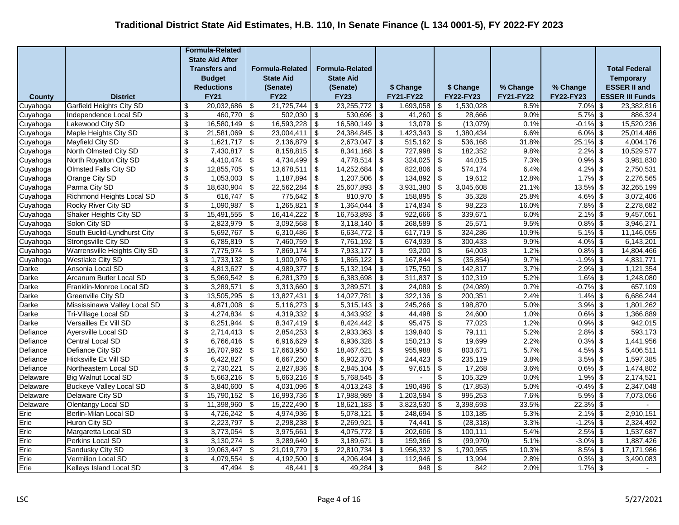|                      |                                            |                               | <b>Formula-Related</b> |                                        |                        |                                        |                         |            |                      |                                                                   |                      |                  |                           |                         |
|----------------------|--------------------------------------------|-------------------------------|------------------------|----------------------------------------|------------------------|----------------------------------------|-------------------------|------------|----------------------|-------------------------------------------------------------------|----------------------|------------------|---------------------------|-------------------------|
|                      |                                            |                               | <b>State Aid After</b> |                                        |                        |                                        |                         |            |                      |                                                                   |                      |                  |                           |                         |
|                      |                                            |                               | <b>Transfers and</b>   |                                        | <b>Formula-Related</b> |                                        | <b>Formula-Related</b>  |            |                      |                                                                   |                      |                  |                           | <b>Total Federal</b>    |
|                      |                                            |                               | <b>Budget</b>          |                                        | <b>State Aid</b>       |                                        | <b>State Aid</b>        |            |                      |                                                                   |                      |                  |                           | <b>Temporary</b>        |
|                      |                                            |                               | <b>Reductions</b>      |                                        | (Senate)               |                                        | (Senate)                |            | \$ Change            |                                                                   | \$ Change            | % Change         | % Change                  | <b>ESSER II and</b>     |
| County               | <b>District</b>                            |                               | <b>FY21</b>            |                                        | <b>FY22</b>            |                                        | <b>FY23</b>             |            | <b>FY21-FY22</b>     |                                                                   | <b>FY22-FY23</b>     | <b>FY21-FY22</b> | <b>FY22-FY23</b>          | <b>ESSER III Funds</b>  |
| Cuyahoga             | <b>Garfield Heights City SD</b>            | \$                            | 20,032,686             | \$                                     | 21,725,744             | -\$                                    | 23,255,772              | -\$        | 1,693,058            | \$                                                                | 1.530.028            | 8.5%             | $7.0\%$ \$                | 23,382,816              |
| Cuyahoga             | Independence Local SD                      | \$                            | 460,770                | \$                                     | 502,030                | \$                                     | 530,696                 | -\$        | 41,260               | \$                                                                | 28,666               | 9.0%             | $5.7\%$ \$                | 886,324                 |
| Cuyahoga             | Lakewood City SD                           | $\sqrt[6]{\frac{1}{2}}$       | 16,580,149             | \$                                     | 16,593,228             | \$                                     | 16,580,149              | <b>\$</b>  | 13,079               | $\sqrt[6]{\frac{1}{2}}$                                           | (13,079)             | 0.1%             | $-0.1\%$ \$               | 15,520,236              |
| Cuyahoga             | Maple Heights City SD                      | \$                            | 21,581,069             | \$                                     | 23,004,411             | \$                                     | 24,384,845              | -\$        | 1,423,343            | \$                                                                | 1,380,434            | 6.6%             | $6.0\%$ \$                | 25,014,486              |
| Cuyahoga             | Mayfield City SD                           | \$                            | 1,621,717              | \$                                     | 2,136,879              | \$                                     | 2,673,047               | \$         | 515,162              | $\overline{\mathcal{L}}$                                          | 536,168              | 31.8%            | $25.1\%$ \$               | 4,004,176               |
| Cuyahoga             | North Olmsted City SD                      | $\sqrt[6]{\frac{1}{2}}$       | $7,430,817$ \$         |                                        | $8,158,815$ \$         |                                        | 8,341,168               | $\sqrt{3}$ | $727,998$ \$         |                                                                   | 182,352              | 9.8%             | $2.2\%$ \$                | 10,529,577              |
| Cuyahoga             | North Royalton City SD                     | \$                            | 4,410,474              | \$                                     | 4,734,499              | -\$                                    | 4,778,514               | l \$       | 324,025              | $\overline{\boldsymbol{\mathfrak{s}}}$                            | 44,015               | 7.3%             | $0.9\%$ \$                | 3,981,830               |
| Cuyahoga             | <b>Olmsted Falls City SD</b>               | \$                            | 12,855,705             | $\sqrt[6]{\frac{1}{2}}$                | 13,678,511             | $\sqrt[6]{\frac{1}{2}}$                | 14,252,684              | - \$       | 822,806              | $\sqrt[6]{\frac{1}{2}}$                                           | 574,174              | 6.4%             | $4.2\%$ \$                | 2,750,531               |
| Cuyahoga             | Orange City SD                             | $\sqrt[6]{\frac{1}{2}}$<br>\$ | 1,053,003              | $\overline{\boldsymbol{\mathfrak{s}}}$ | 1,187,894              | $\sqrt[6]{\frac{1}{2}}$                | 1,207,506<br>25,607,893 | \$         | 134,892<br>3,931,380 | $\overline{\boldsymbol{\mathfrak{s}}}$<br>$\overline{\mathbf{S}}$ | 19,612<br>3,045,608  | 12.8%<br>21.1%   | $1.7\%$ \$<br>$13.5\%$ \$ | 2,276,565<br>32,265,199 |
| Cuyahoga             | Parma City SD<br>Richmond Heights Local SD | \$                            | 18,630,904<br>616,747  | \$<br>$\sqrt{3}$                       | 22,562,284<br>775,642  | \$<br>-\$                              | 810,970                 | \$<br>\$   | 158,895              | $\boldsymbol{\mathsf{S}}$                                         | 35,328               | 25.8%            | $4.6\%$ \$                | 3,072,406               |
| Cuyahoga<br>Cuyahoga | Rocky River City SD                        | $\sqrt[6]{\frac{1}{2}}$       | 1,090,987              | \$                                     | 1,265,821              | $\overline{\$}$                        | 1,364,044               | -\$        | 174,834              | $\overline{\mathcal{L}}$                                          | 98,223               | 16.0%            | $7.8\%$ \$                | 2,278,682               |
| Cuyahoga             | <b>Shaker Heights City SD</b>              | $\sqrt[6]{\frac{1}{2}}$       | 15,491,555             | \$                                     | $16,414,222$ \$        |                                        | 16,753,893              | <b>\$</b>  | $922,666$ \$         |                                                                   | 339,671              | 6.0%             | $2.1\%$ \$                | 9,457,051               |
| Cuyahoga             | Solon City SD                              | \$                            | 2,823,979              | \$                                     | 3,092,568              | \$                                     | 3,118,140               | -\$        | 268,589              | $\overline{\boldsymbol{\theta}}$                                  | 25,571               | 9.5%             | $0.8\%$ \$                | 3,946,271               |
| Cuyahoga             | South Euclid-Lyndhurst City                | \$                            | 5,692,767              | \$                                     | 6,310,486              | \$                                     | 6,634,772               | $\sqrt{3}$ | 617,719              | \$                                                                | 324,286              | 10.9%            | $5.1\%$ \$                | 11,146,055              |
| Cuyahoga             | Strongsville City SD                       | \$                            | 6,785,819              | \$                                     | 7,460,759              | \$                                     | 7,761,192               | -\$        | 674,939              | \$                                                                | 300,433              | 9.9%             | $4.0\%$ \$                | 6,143,201               |
| Cuyahoga             | Warrensville Heights City SD               | \$                            | 7,775,974              | \$                                     | 7,869,174              | \$                                     | 7,933,177               | -\$        | 93,200               | $\overline{\boldsymbol{\theta}}$                                  | 64,003               | 1.2%             | $0.8\%$ \$                | 14,804,466              |
| Cuyahoga             | <b>Westlake City SD</b>                    | $\overline{\$}$               | 1,733,132              | $\overline{\mathcal{L}}$               | 1,900,976              | $\overline{\mathcal{F}}$               | 1,865,122               | $\sqrt{3}$ | 167,844              | $\overline{\mathcal{L}}$                                          | (35, 854)            | 9.7%             | $-1.9\%$ \$               | 4,831,771               |
| Darke                | Ansonia Local SD                           | $\boldsymbol{\mathsf{S}}$     | 4,813,627              | $\overline{\boldsymbol{\mathfrak{s}}}$ | $4,989,377$ \$         |                                        | 5,132,194               | -\$        | 175,750              | $\overline{\boldsymbol{\mathfrak{s}}}$                            | 142,817              | 3.7%             | $2.9\%$ \$                | 1,121,354               |
| Darke                | <b>Arcanum Butler Local SD</b>             | \$                            | 5,969,542              | \$                                     | $6,281,379$ \$         |                                        | 6,383,698               | <b>\$</b>  | 311,837              | $\sqrt[6]{3}$                                                     | 102,319              | 5.2%             | $1.6\%$ \$                | 1,248,080               |
| Darke                | Franklin-Monroe Local SD                   | \$                            | 3,289,571              | $\overline{\boldsymbol{\mathfrak{s}}}$ | 3,313,660              | \$                                     | 3,289,571               | -\$        | 24,089               | $\boldsymbol{\mathsf{S}}$                                         | (24,089)             | 0.7%             | $-0.7\%$ \$               | 657,109                 |
| Darke                | Greenville City SD                         | \$                            | 13,505,295             | $\sqrt[6]{\frac{1}{2}}$                | 13,827,431             | \$                                     | 14,027,781              | \$         | 322,136              | $\sqrt[6]{\frac{1}{2}}$                                           | 200,351              | 2.4%             | $1.4\%$ \$                | 6,686,244               |
| Darke                | Mississinawa Valley Local SD               | \$                            | 4,871,008              | $\sqrt{2}$                             | 5,116,273              | \$                                     | 5,315,143               | -\$        | 245,266              | $\boldsymbol{\mathsf{S}}$                                         | 198,870              | 5.0%             | $3.9\%$ \$                | 1,801,262               |
| Darke                | Tri-Village Local SD                       | $\sqrt[6]{\frac{1}{2}}$       | 4,274,834              | $\overline{\mathcal{L}}$               | 4,319,332              | $\overline{\mathcal{L}}$               | 4,343,932               | \$         | 44,498               | $\overline{\mathcal{L}}$                                          | 24,600               | 1.0%             | $0.6\%$ \$                | 1,366,889               |
| <b>Darke</b>         | Versailles Ex Vill SD                      | $\overline{\mathbf{e}}$       | 8,251,944              | $\overline{\mathbf{e}}$                | $8,347,419$ \$         |                                        | 8,424,442               | \$         | $95,475$ \$          |                                                                   | 77,023               | 1.2%             | $0.9\%$ \$                | 942,015                 |
| Defiance             | Ayersville Local SD                        | \$                            | 2,714,413              | \$                                     | $2,854,253$ \$         |                                        | 2,933,363               | <b>\$</b>  | 139,840              | \$                                                                | 79,111               | 5.2%             | $2.8\%$ \$                | 593,173                 |
| Defiance             | Central Local SD                           | \$                            | 6,766,416              | \$                                     | 6,916,629              | \$                                     | 6,936,328               | \$         | 150,213              | \$                                                                | 19,699               | 2.2%             | $0.3\%$ \$                | 1,441,956               |
| Defiance             | Defiance City SD                           | $\overline{\mathbf{e}}$       | 16,707,962             | $\overline{\boldsymbol{\mathfrak{s}}}$ | 17,663,950             | $\overline{\boldsymbol{\mathfrak{s}}}$ | 18,467,621              | -\$        | 955,988              | $\overline{\boldsymbol{\mathfrak{s}}}$                            | 803,671              | 5.7%             | $4.5\%$ \$                | 5,406,511               |
| Defiance             | Hicksville Ex Vill SD                      | \$                            | 6,422,827              | $\overline{\mathbf{e}}$                | 6,667,250              | $\sqrt{2}$                             | 6,902,370               | $\sqrt{3}$ | 244,423              | $\overline{\mathcal{S}}$                                          | 235,119              | 3.8%             | $3.5\%$ \$                | 1,597,385               |
| Defiance             | Northeastern Local SD                      | $\sqrt[6]{\frac{1}{2}}$       | 2,730,221              | $\overline{\mathcal{L}}$               | 2,827,836              | \$                                     | 2,845,104               | \$         | 97,615               | $\overline{\mathcal{L}}$                                          | 17,268               | 3.6%             | $0.6\%$ \$                | 1,474,802               |
| Delaware             | <b>Big Walnut Local SD</b>                 | $\sqrt[6]{3}$                 | 5,663,216              | \$                                     | $5,663,216$ \$         |                                        | 5,768,545               | <b>\$</b>  |                      | \$                                                                | 105,329              | 0.0%             | $1.9\%$ \$                | 2,174,521               |
| Delaware             | <b>Buckeye Valley Local SD</b>             | $\sqrt[6]{3}$                 | 3,840,600              | \$                                     | 4,031,096              | $\overline{\boldsymbol{\theta}}$       | 4,013,243               | l \$       | 190,496              | $\boldsymbol{\mathsf{S}}$                                         | (17, 853)            | 5.0%             | $-0.4\%$ \$               | 2,347,048               |
| Delaware             | Delaware City SD                           | \$                            | 15,790,152             | \$                                     | 16,993,736             | \$                                     | 17,988,989              | $\sqrt{3}$ | 1,203,584            | \$                                                                | 995,253              | 7.6%             | $5.9\%$ \$                | 7,073,056               |
| Delaware             | Olentangy Local SD                         | $\sqrt[6]{3}$                 | 11,398,960             | \$                                     | 15,222,490             | \$                                     | 18,621,183              | $\sqrt{3}$ | 3,823,530            | \$                                                                | 3,398,693            | 33.5%<br>5.3%    | $22.3\%$ \$               |                         |
| Erie                 | Berlin-Milan Local SD                      | $\sqrt[6]{\frac{1}{2}}$       | 4,726,242              | $\boldsymbol{\theta}$                  | 4,974,936              | \$                                     | 5,078,121               | -\$        | 248,694              | $\boldsymbol{\mathsf{S}}$                                         | 103,185              | 3.3%             | $2.1\%$ \$                | 2,910,151               |
| Erie<br>Erie         | Huron City SD<br>Margaretta Local SD       | \$<br>\$                      | 2,223,797<br>3,773,054 | $\sqrt{2}$<br>\$                       | 2,298,238<br>3,975,661 | \$<br>\$                               | 2,269,921<br>4,075,772  | -\$<br>-\$ | 74,441<br>202,606    | \$<br>\$                                                          | (28, 318)<br>100,111 | 5.4%             | $-1.2\%$ \$<br>$2.5\%$ \$ | 2,324,492<br>1,537,687  |
| Erie                 | Perkins Local SD                           | \$                            | 3,130,274              | \$                                     | 3,289,640              | \$                                     | 3,189,671               | -\$        | 159,366              | \$                                                                | (99, 970)            | 5.1%             | $-3.0\%$ \$               | 1,887,426               |
| Erie                 | Sandusky City SD                           | \$                            | 19,063,447             | $\overline{\mathbf{e}}$                | 21,019,779             | \$                                     | 22,810,734              | -\$        | 1,956,332            | $\overline{\mathbf{e}}$                                           | 1,790,955            | 10.3%            | $8.5\%$ \$                | 17,171,986              |
| Erie                 | <b>Vermilion Local SD</b>                  | $\sqrt[6]{\frac{1}{2}}$       | 4,079,554              | $\overline{\mathbf{S}}$                | 4,192,500              | -\$                                    | 4,206,494               | -\$        | 112,946              | $\boldsymbol{\mathsf{S}}$                                         | 13,994               | 2.8%             | $0.3\%$ \$                | 3,490,083               |
| Erie                 | Kelleys Island Local SD                    | $\boldsymbol{\mathsf{s}}$     | 47,494                 | $\boldsymbol{\mathsf{S}}$              | 48,441                 | \$                                     | 49,284                  | \$         | 948                  | $\overline{\mathbf{s}}$                                           | 842                  | 2.0%             | $1.7\%$ \$                |                         |
|                      |                                            |                               |                        |                                        |                        |                                        |                         |            |                      |                                                                   |                      |                  |                           |                         |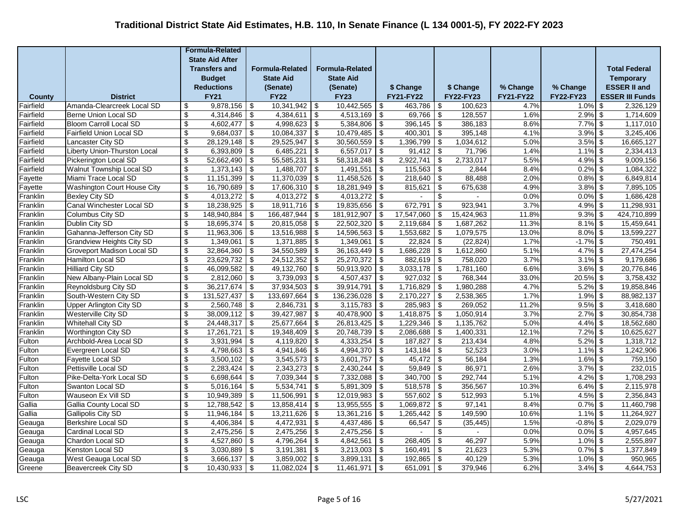|                     |                                                        |                                                    | <b>Formula-Related</b>   |                                        |                              |                                        |                          |               |                         |                                                                   |                      |                  |                           |                         |
|---------------------|--------------------------------------------------------|----------------------------------------------------|--------------------------|----------------------------------------|------------------------------|----------------------------------------|--------------------------|---------------|-------------------------|-------------------------------------------------------------------|----------------------|------------------|---------------------------|-------------------------|
|                     |                                                        |                                                    | <b>State Aid After</b>   |                                        |                              |                                        |                          |               |                         |                                                                   |                      |                  |                           |                         |
|                     |                                                        |                                                    | <b>Transfers and</b>     |                                        | <b>Formula-Related</b>       |                                        | <b>Formula-Related</b>   |               |                         |                                                                   |                      |                  |                           | <b>Total Federal</b>    |
|                     |                                                        |                                                    | <b>Budget</b>            |                                        | <b>State Aid</b>             |                                        | <b>State Aid</b>         |               |                         |                                                                   |                      |                  |                           | <b>Temporary</b>        |
|                     |                                                        |                                                    | <b>Reductions</b>        |                                        | (Senate)                     |                                        | (Senate)                 |               | \$ Change               |                                                                   | \$ Change            | % Change         | % Change                  | <b>ESSER II and</b>     |
| County              | <b>District</b>                                        |                                                    | <b>FY21</b>              |                                        | <b>FY22</b>                  |                                        | <b>FY23</b>              |               | <b>FY21-FY22</b>        |                                                                   | FY22-FY23            | <b>FY21-FY22</b> | <b>FY22-FY23</b>          | <b>ESSER III Funds</b>  |
| Fairfield           | Amanda-Clearcreek Local SD                             | \$                                                 | 9,878,156                | \$                                     | 10,341,942                   | -\$                                    | 10,442,565               | -\$           | 463,786                 | \$                                                                | 100.623              | 4.7%             | $1.0\%$ \$                | 2,326,129               |
| Fairfield           | Berne Union Local SD                                   | \$                                                 | 4,314,846                | \$                                     | 4,384,611                    | \$                                     | 4,513,169                | -\$           | 69,766                  | \$                                                                | 128,557              | 1.6%             | $2.9\%$ \$                | 1,714,609               |
| Fairfield           | <b>Bloom Carroll Local SD</b>                          | $\sqrt[6]{\frac{1}{2}}$                            | 4,602,477                | \$                                     | 4,998,623                    | \$                                     | 5,384,806                | <b>\$</b>     | 396,145                 | \$                                                                | 386,183              | 8.6%             | $7.7\%$ \$                | 1,117,010               |
| Fairfield           | Fairfield Union Local SD                               | \$                                                 | 9,684,037                | \$                                     | 10,084,337                   | \$                                     | 10,479,485               | -\$           | 400,301                 | $\boldsymbol{\mathsf{S}}$                                         | 395,148              | 4.1%             | $3.9\%$ \$                | 3,245,406               |
| Fairfield           | Lancaster City SD                                      | $\sqrt[6]{\frac{1}{2}}$                            | 28,129,148               | \$                                     | 29,525,947                   | \$                                     | 30,560,559               | $\sqrt{3}$    | 1,396,799               | $\sqrt{2}$                                                        | 1,034,612            | 5.0%             | $3.5\%$ \$                | 16,665,127              |
| Fairfield           | Liberty Union-Thurston Local                           | \$                                                 | $6,393,809$ \$           |                                        | 6,485,221                    | \$                                     | 6,557,017                | \$            | $91,412$ \$             |                                                                   | 71,796               | 1.4%             | $1.1\%$ \$                | 2,334,413               |
| Fairfield           | Pickerington Local SD                                  | \$                                                 | 52,662,490               | $\overline{\boldsymbol{\mathfrak{s}}}$ | 55,585,231                   | \$                                     | 58,318,248               | <b>\$</b>     | 2,922,741               | $\overline{\boldsymbol{\mathfrak{s}}}$                            | 2,733,017            | 5.5%             | $4.9\%$ \$                | 9,009,156               |
| Fairfield           | Walnut Township Local SD                               | \$<br>\$                                           | 1,373,143                | $\sqrt[6]{\frac{1}{2}}$                | 1,488,707                    | $\sqrt[6]{3}$                          | 1,491,551                | - \$          | 115,563                 | $\sqrt[6]{\frac{1}{2}}$                                           | 2,844                | 8.4%<br>2.0%     | $0.2\%$ \$                | 1,084,322               |
| Fayette             | Miami Trace Local SD                                   | \$                                                 | 11,151,399<br>16,790,689 | $\overline{\boldsymbol{\mathfrak{s}}}$ | 11,370,039                   | -\$                                    | 11,458,526<br>18,281,949 | -\$           | 218,640                 | $\overline{\boldsymbol{\mathfrak{s}}}$<br>$\overline{\mathbf{S}}$ | 88,488               | 4.9%             | $0.8\%$ \$<br>$3.8\%$ \$  | 6,849,814<br>7,895,105  |
| Fayette<br>Franklin | Washington Court House City<br><b>Bexley City SD</b>   | $\mathbb{S}$                                       | 4,013,272                | $\sqrt[6]{\frac{1}{2}}$<br>$\sqrt{3}$  | 17,606,310<br>$4,013,272$ \$ | \$                                     | 4,013,272                | \$<br>-\$     | 815,621                 | \$                                                                | 675,638              | 0.0%             | $0.0\%$ \$                | 1,686,428               |
| Franklin            | Canal Winchester Local SD                              | $\sqrt[6]{\frac{1}{2}}$                            | 18,238,925               | $\overline{\$}$                        | $18,911,716$ \$              |                                        | 19,835,656               | -\$           | 672,791                 | $\overline{\mathcal{L}}$                                          | 923,941              | 3.7%             | $4.9\%$ \$                | 11,298,931              |
| Franklin            | Columbus City SD                                       | \$                                                 | 148,940,884              | \$                                     | 166,487,944 \$               |                                        | 181,912,907              | -\$           | 17,547,060              | \$                                                                | 15,424,963           | 11.8%            | $9.3\%$ \$                | 424,710,899             |
| Franklin            | Dublin City SD                                         | \$                                                 | 18,695,374               | \$                                     | 20,815,058                   | \$                                     | 22,502,320               | -\$           | 2,119,684               | $\overline{\boldsymbol{\theta}}$                                  | 1,687,262            | 11.3%            | $8.1\%$ \$                | 15,459,641              |
| Franklin            | Gahanna-Jefferson City SD                              | \$                                                 | 11,963,306               | \$                                     | 13,516,988                   | \$                                     | 14,596,563               | <b>\$</b>     | 1,553,682               | \$                                                                | 1,079,575            | 13.0%            | $8.0\%$ \$                | 13,599,227              |
| Franklin            | <b>Grandview Heights City SD</b>                       | \$                                                 | 1,349,061                | \$                                     | 1,371,885                    | -\$                                    | 1,349,061                | <b>\$</b>     | 22,824                  | $\boldsymbol{\mathsf{S}}$                                         | (22, 824)            | 1.7%             | $-1.7%$ \$                | 750,491                 |
| Franklin            | Groveport Madison Local SD                             | \$                                                 | 32,864,360               | \$                                     | 34,550,589                   | \$                                     | 36, 163, 449             | <b>\$</b>     | 1,686,228               | \$                                                                | 1,612,860            | 5.1%             | $4.7\%$ \$                | 27,474,254              |
| Franklin            | Hamilton Local SD                                      | $\overline{\mathcal{S}}$                           | 23,629,732               | $\overline{\mathcal{F}}$               | $24,512,352$ \$              |                                        | $25,270,372$ \$          |               | $882,619$ \$            |                                                                   | 758,020              | 3.7%             | $3.1\%$ \$                | 9,179,686               |
| Franklin            | <b>Hilliard City SD</b>                                | $\sqrt[6]{\frac{1}{2}}$                            | 46,099,582               | $\overline{\mathbf{e}}$                | 49,132,760                   | $\bullet$                              | 50,913,920               | <b>\$</b>     | $3,033,178$ \$          |                                                                   | 1,781,160            | 6.6%             | $3.6\%$ \$                | 20,776,846              |
| Franklin            | New Albany-Plain Local SD                              | \$                                                 | 2,812,060                | $\sqrt[6]{\frac{1}{2}}$                | $3,739,093$ \$               |                                        | 4,507,437                | <b>\$</b>     | $\overline{927,032}$ \$ |                                                                   | 768,344              | 33.0%            | $20.5\%$ \$               | 3,758,432               |
| Franklin            | <b>Reynoldsburg City SD</b>                            | $\sqrt[6]{\frac{1}{2}}$                            | 36,217,674               | \$                                     | 37,934,503                   | \$                                     | 39,914,791               | -\$           | 1,716,829               | $\boldsymbol{\mathsf{S}}$                                         | 1,980,288            | 4.7%             | $5.2\%$ \$                | 19,858,846              |
| Franklin            | South-Western City SD                                  | \$                                                 | 131,527,437              | $\boldsymbol{\mathsf{S}}$              | 133,697,664                  | \$                                     | 136,236,028              | -\$           | 2,170,227               | $\boldsymbol{\mathsf{S}}$                                         | 2,538,365            | 1.7%             | $1.9\%$ \$                | 88,982,137              |
| Franklin            | <b>Upper Arlington City SD</b>                         | \$                                                 | 2,560,748                | \$                                     | 2,846,731                    | \$                                     | 3,115,783                | - \$          | 285,983                 | $\boldsymbol{\mathsf{S}}$                                         | 269,052              | 11.2%            | $9.5\%$ \$                | 3,418,680               |
| Franklin            | Westerville City SD                                    | $\sqrt[6]{\frac{1}{2}}$                            | 38,009,112               | $\overline{\mathcal{L}}$               | 39,427,987                   | \$                                     | 40,478,900               | -\$           | 1,418,875               | $\overline{\mathcal{L}}$                                          | 1,050,914            | 3.7%             | $2.7\%$ \$                | 30,854,738              |
| Franklin            | <b>Whitehall City SD</b>                               | $\sqrt[6]{\frac{1}{2}}$                            | 24,448,317               | $\sqrt[6]{3}$                          | 25,677,664                   | \$                                     | 26,813,425               | <b>\$</b>     | $1,229,346$ \$          |                                                                   | 1,135,762            | 5.0%             | $4.4\%$ \$                | 18,562,680              |
| Franklin            | Worthington City SD                                    | \$                                                 | 17,261,721               | \$                                     | 19,348,409                   | \$                                     | 20,748,739               | <b>\$</b>     | 2,086,688               | $\overline{\boldsymbol{\mathfrak{s}}}$                            | 1,400,331            | 12.1%            | $7.2\%$ \$                | 10,625,627              |
| Fulton              | Archbold-Area Local SD                                 | \$                                                 | 3,931,994                | \$                                     | 4,119,820                    | \$                                     | 4,333,254                | -\$           | 187,827                 | \$                                                                | 213,434              | 4.8%             | $5.2\%$ \$                | 1,318,712               |
| Fulton              | Evergreen Local SD                                     | $\overline{\mathbf{e}}$                            | 4,798,663                | $\overline{\boldsymbol{\mathfrak{s}}}$ | 4,941,846                    | $\overline{\boldsymbol{\mathfrak{s}}}$ | 4,994,370                | $\frac{1}{2}$ | 143,184                 | $\overline{\boldsymbol{\mathfrak{s}}}$                            | 52,523               | 3.0%             | $1.1\%$ \$                | 1,242,906               |
| Fulton              | Fayette Local SD                                       | \$                                                 | 3,500,102                | $\overline{\mathbf{e}}$                | 3,545,573                    | $\sqrt{2}$                             | 3,601,757                | $\sqrt{3}$    | 45,472                  | $\overline{\boldsymbol{\mathfrak{s}}}$                            | 56,184               | 1.3%             | $1.6\%$ \$                | 759,150                 |
| Fulton              | Pettisville Local SD                                   | \$                                                 | 2,283,424                | \$                                     | 2,343,273                    | -\$                                    | 2,430,244                | \$            | 59,849                  | $\boldsymbol{\mathsf{S}}$                                         | 86,971               | 2.6%             | $3.7\%$ \$                | 232,015                 |
| Fulton              | Pike-Delta-York Local SD                               | $\boldsymbol{\mathsf{S}}$                          | 6,698,644                | $\overline{\mathbf{S}}$                | 7,039,344                    | \$                                     | 7,332,088                | -\$           | 340,700                 | $\overline{\boldsymbol{\mathfrak{s}}}$                            | 292,744              | 5.1%             | $4.2\%$ \$                | 1,708,293               |
| Fulton              | Swanton Local SD                                       | \$                                                 | 5,016,164                | \$                                     | $5,534,741$ \$               |                                        | 5,891,309                | l \$          | $518,578$ \$            |                                                                   | 356,567              | 10.3%            | $6.4\%$ \$                | 2,115,978               |
| Fulton              | Wauseon Ex Vill SD                                     | \$<br>\$                                           | 10,949,389               | \$                                     | 11,506,991                   | \$                                     | 12,019,983               | -\$           | 557,602                 | $\sqrt[6]{2}$                                                     | 512,993              | 5.1%             | $4.5\%$ \$                | 2,356,843               |
| Gallia<br>Gallia    | Gallia County Local SD                                 |                                                    | 12,788,542               | \$                                     | 13,858,414                   | \$                                     | 13,955,555               | $\sqrt{3}$    | 1,069,872               | \$                                                                | 97,141               | 8.4%             | $0.7\%$ \$                | 11,460,798              |
|                     | <b>Gallipolis City SD</b><br><b>Berkshire Local SD</b> | $\sqrt[6]{\frac{1}{2}}$<br>$\sqrt[6]{\frac{1}{2}}$ | 11,946,184<br>4,406,384  | \$<br>$\sqrt{2}$                       | 13,211,626<br>4,472,931      | $\sqrt[6]{\frac{1}{2}}$<br>\$          | 13,361,216<br>4,437,486  | -\$<br>-\$    | 1,265,442<br>66,547     | \$<br>$\sqrt{2}$                                                  | 149,590<br>(35, 445) | 10.6%<br>1.5%    | $1.1\%$ \$<br>$-0.8\%$ \$ | 11,264,927<br>2,029,079 |
| Geauga              |                                                        | \$                                                 | 2,475,256                |                                        | 2,475,256                    |                                        | 2,475,256                |               |                         |                                                                   |                      | 0.0%             | $0.0\%$ \$                |                         |
| Geauga<br>Geauga    | Cardinal Local SD<br>Chardon Local SD                  | \$                                                 | 4,527,860                | \$<br>\$                               | 4,796,264                    | \$<br>\$                               | 4,842,561                | -\$<br>\$     | 268,405                 | \$<br>\$                                                          | 46,297               | 5.9%             | $1.0\%$ \$                | 4,957,645<br>2,555,897  |
| Geauga              | Kenston Local SD                                       | \$                                                 | 3,030,889                | $\sqrt[6]{\frac{1}{2}}$                | 3,191,381                    | \$                                     | 3,213,003                | l \$          | 160,491                 | $\boldsymbol{\mathsf{S}}$                                         | 21,623               | 5.3%             | $0.7\%$ \$                | 1,377,849               |
| Geauga              | West Geauga Local SD                                   | \$                                                 | 3,666,137                | \$                                     | 3,859,002                    | -\$                                    | 3,899,131                | -\$           | 192,865                 | \$                                                                | 40,129               | 5.3%             | $1.0\%$ \$                | 950,965                 |
| Greene              | <b>Beavercreek City SD</b>                             | $\boldsymbol{\mathsf{s}}$                          | 10,430,933               | $\sqrt[6]{\frac{1}{2}}$                | 11,082,024                   | $\boldsymbol{\mathsf{s}}$              | 11,461,971               | - \$          | 651,091                 | $\boldsymbol{\mathsf{S}}$                                         | 379,946              | 6.2%             | $3.4\%$ \$                | 4,644,753               |
|                     |                                                        |                                                    |                          |                                        |                              |                                        |                          |               |                         |                                                                   |                      |                  |                           |                         |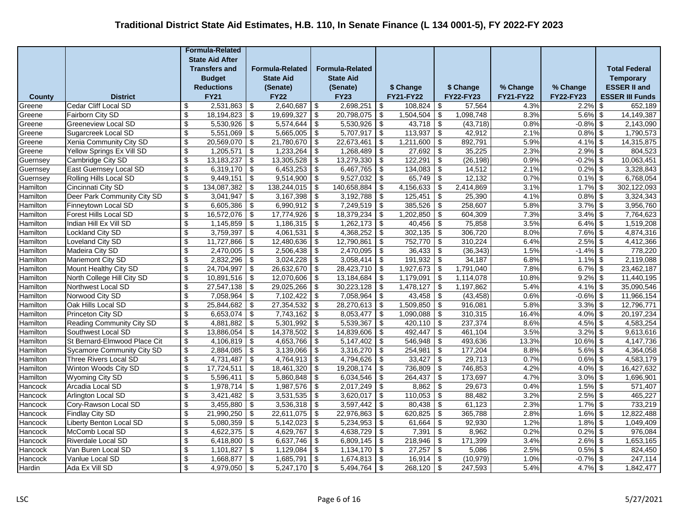|               |                                          |                           | <b>Formula-Related</b> |                                        |                        |                           |                        |               |                   |                                        |                   |                  |                          |                        |
|---------------|------------------------------------------|---------------------------|------------------------|----------------------------------------|------------------------|---------------------------|------------------------|---------------|-------------------|----------------------------------------|-------------------|------------------|--------------------------|------------------------|
|               |                                          |                           | <b>State Aid After</b> |                                        |                        |                           |                        |               |                   |                                        |                   |                  |                          |                        |
|               |                                          |                           | <b>Transfers and</b>   |                                        | <b>Formula-Related</b> |                           | <b>Formula-Related</b> |               |                   |                                        |                   |                  |                          | <b>Total Federal</b>   |
|               |                                          |                           | <b>Budget</b>          |                                        | <b>State Aid</b>       |                           | <b>State Aid</b>       |               |                   |                                        |                   |                  |                          | <b>Temporary</b>       |
|               |                                          |                           | <b>Reductions</b>      |                                        | (Senate)               |                           | (Senate)               |               | \$ Change         |                                        | \$ Change         | % Change         | % Change                 | <b>ESSER II and</b>    |
| <b>County</b> | <b>District</b>                          |                           | <b>FY21</b>            |                                        | <b>FY22</b>            |                           | <b>FY23</b>            |               | <b>FY21-FY22</b>  |                                        | FY22-FY23         | <b>FY21-FY22</b> | FY22-FY23                | <b>ESSER III Funds</b> |
| Greene        | Cedar Cliff Local SD                     | \$                        | 2,531,863              | \$                                     | 2,640,687              | \$                        | 2,698,251              | -\$           | 108.824           | \$                                     | 57,564            | 4.3%             | $2.2\%$ \$               | 652,189                |
| Greene        | Fairborn City SD                         | \$                        | 18,194,823             | \$                                     | 19,699,327             | \$                        | 20,798,075             | -\$           | 1,504,504         | \$                                     | 1,098,748         | 8.3%             | $5.6\%$ \$               | 14, 149, 387           |
| Greene        | <b>Greeneview Local SD</b>               | $\sqrt[6]{\frac{1}{2}}$   | 5,530,926              | \$                                     | 5,574,644              | \$                        | 5,530,926              | -\$           | 43,718            | $\sqrt[6]{\frac{1}{2}}$                | (43, 718)         | 0.8%             | $-0.8\%$ \$              | 2,143,090              |
| Greene        | Sugarcreek Local SD                      | \$                        | 5,551,069              | \$                                     | 5,665,005              | \$                        | 5,707,917              | -\$           | 113,937           | \$                                     | 42,912            | 2.1%             | $0.8\%$ \$               | 1,790,573              |
| Greene        | Xenia Community City SD                  | \$                        | 20,569,070             | \$                                     | 21,780,670             | \$                        | 22,673,461             | \$            | 1,211,600         | \$                                     | 892,791           | 5.9%             | $4.1\%$ \$               | 14,315,875             |
| Greene        | Yellow Springs Ex Vill SD                | \$                        | 1,205,571              | \$                                     | 1,233,264              | \$                        | 1,268,489              | $\sqrt{ }$    | $27,692$ \$       |                                        | 35,225            | 2.3%             | $2.9\%$ \$               | 804,523                |
| Guernsey      | Cambridge City SD                        | \$                        | 13, 183, 237           | \$                                     | 13,305,528             | \$                        | 13,279,330             | <b>\$</b>     | 122,291           | $\overline{\boldsymbol{\mathfrak{s}}}$ | (26, 198)         | 0.9%             | $-0.2\%$ \$              | 10,063,451             |
| Guernsey      | East Guernsey Local SD                   | \$                        | 6,319,170              | $\sqrt[6]{\frac{1}{2}}$                | 6,453,253              | $\sqrt[6]{3}$             | 6,467,765              | <b>\$</b>     | 134,083           | $\sqrt[6]{\frac{1}{2}}$                | 14,512            | 2.1%             | $0.2\%$ \$               | 3,328,843              |
| Guernsey      | Rolling Hills Local SD                   | \$                        | 9,449,151              | \$                                     | 9,514,900              | -\$                       | 9,527,032              | -\$           | 65,749            | $\boldsymbol{\mathsf{S}}$              | 12,132            | 0.7%             | $0.1\%$ \$               | 6,768,054              |
| Hamilton      | Cincinnati City SD                       | $\mathbb{S}$              | 134,087,382            | \$                                     | 138,244,015            | \$                        | 140,658,884            | \$            | 4,156,633         | \$                                     | 2,414,869         | 3.1%             | $1.7\%$ \$               | 302,122,093            |
| Hamilton      | Deer Park Community City SD              | \$                        | 3,041,947              | $\sqrt{2}$                             | 3,167,398              | -\$                       | 3,192,788              | \$            | 125,451           | $\boldsymbol{\mathsf{S}}$              | 25,390            | 4.1%             | $0.8\%$ \$               | 3,324,343              |
| Hamilton      | Finneytown Local SD                      | $\sqrt[6]{3}$             | 6,605,386              | $\overline{\mathcal{L}}$               | $6,990,912$ \$         |                           | 7,249,519              | $\sqrt{3}$    | 385,526           | $\overline{\mathcal{L}}$               | 258,607           | 5.8%             | $3.7\%$ \$               | 3,956,760              |
| Hamilton      | Forest Hills Local SD                    | \$                        | 16,572,076             | \$                                     | $17,774,926$ \$        |                           | 18,379,234             | l \$          | 1,202,850         | \$                                     | 604,309           | 7.3%             | $3.4\%$ \$               | 7,764,623              |
| Hamilton      | Indian Hill Ex Vill SD                   | \$                        | 1,145,859              | \$                                     | 1,186,315              | \$                        | 1,262,173              | -\$           | 40,456            | \$                                     | 75,858            | 3.5%             | $6.4\%$ \$               | 1,519,208              |
| Hamilton      | <b>Lockland City SD</b>                  | \$                        | 3,759,397              | \$                                     | 4,061,531              | \$                        | 4,368,252              | $\sqrt{3}$    | 302,135           | \$                                     | 306,720           | 8.0%             | $7.6\%$ \$               | 4,874,316              |
| Hamilton      | Loveland City SD                         | \$                        | 11,727,866             | \$                                     | 12,480,636             | \$                        | 12,790,861             | -\$           | 752,770           | \$                                     | 310,224           | 6.4%             | $2.5\%$ \$               | 4,412,366              |
| Hamilton      | Madeira City SD                          | \$                        | 2,470,005              | \$                                     | 2,506,438              | \$                        | 2,470,095              | -\$           | 36,433            | \$                                     | (36, 343)         | 1.5%             | $-1.4\%$ \$              | 778,220                |
| Hamilton      | <b>Mariemont City SD</b>                 | \$                        | 2,832,296              | $\overline{\mathcal{L}}$               | 3,024,228              | $\overline{\$}$           | 3,058,414              | -\$           | $191,932$ \$      |                                        | 34,187            | 6.8%             | $1.1\%$ \$               | 2,119,088              |
| Hamilton      | Mount Healthy City SD                    | $\sqrt[6]{3}$             | 24,704,997             | $\overline{\boldsymbol{\mathfrak{s}}}$ | 26,632,670             | €                         | 28,423,710             | -\$           | 1,927,673         | $\overline{\boldsymbol{\mathfrak{s}}}$ | 1,791,040         | 7.8%             | $6.7\%$ \$               | 23,462,187             |
| Hamilton      | North College Hill City SD               | \$                        | 10,891,516             | $\overline{\mathbf{3}}$                | 12,070,606             | -\$                       | 13,184,684             | l \$          | 1,179,091         | $\sqrt[6]{\frac{1}{2}}$                | 1,114,078         | 10.8%            | $9.2\%$ \$               | 11,440,195             |
| Hamilton      | Northwest Local SD                       | \$                        | 27,547,138             | \$                                     | 29,025,266             | $\boldsymbol{\mathsf{s}}$ | 30,223,128             | -\$           | 1,478,127         | $\overline{\boldsymbol{\theta}}$       | 1,197,862         | 5.4%             | $4.1\%$ \$               | 35,090,546             |
| Hamilton      | Norwood City SD                          | $\boldsymbol{\mathsf{s}}$ | 7,058,964              | $\sqrt[6]{\frac{1}{2}}$                | 7,102,422              | $\boldsymbol{\mathsf{s}}$ | 7,058,964              | <b>S</b>      | 43,458            | \$                                     | (43, 458)         | 0.6%             | $-0.6\%$ \$              | 11,966,154             |
| Hamilton      | Oak Hills Local SD                       | \$                        | 25,844,682             | \$                                     | 27,354,532             | \$                        | 28,270,613             | - \$          | 1,509,850         | \$                                     | 916,081           | 5.8%             | $3.3\%$ \$               | 12,796,771             |
| Hamilton      | Princeton City SD                        | $\sqrt[6]{3}$             | 6,653,074              | $\overline{\mathcal{L}}$               | 7,743,162              | $\overline{\mathcal{L}}$  | 8,053,477              | \$            | 1,090,088         | $\overline{\mathcal{L}}$               | 310,315           | 16.4%            | $4.0\%$ \$               | 20,197,234             |
| Hamilton      | Reading Community City SD                | $\sqrt[6]{3}$             | 4,881,882              | \$                                     | $5,301,992$ \$         |                           | 5,539,367              | -\$           | $420,110$ \$      |                                        | 237,374           | 8.6%             | $4.5\%$ \$               | 4,583,254              |
| Hamilton      | Southwest Local SD                       | \$                        | 13,886,054             | \$                                     | 14,378,502             | \$                        | 14,839,606             | -\$           | 492,447           | \$                                     | 461,104           | 3.5%             | $3.2\%$ \$               | 9,613,616              |
| Hamilton      | St Bernard-Elmwood Place Cit             | \$                        | 4,106,819              | \$                                     | 4,653,766              | \$                        | 5,147,402              | -\$           | 546,948           | \$                                     | 493,636           | 13.3%            | $10.6\%$ \$              | 4,147,736              |
| Hamilton      | <b>Sycamore Community City SD</b>        | \$                        | 2,884,085              | $\overline{\boldsymbol{\mathfrak{s}}}$ | 3,139,066              | \$                        | 3,316,270              | -\$           | 254,981           | $\overline{\boldsymbol{\mathfrak{s}}}$ | 177,204           | 8.8%             | $5.6\%$ \$               | 4,364,058              |
| Hamilton      | <b>Three Rivers Local SD</b>             | $\mathfrak{S}$            | 4,731,487              | $\boldsymbol{\mathsf{S}}$              | 4,764,913              | $\sqrt[6]{\frac{1}{2}}$   | 4,794,626              | $\sqrt[6]{3}$ | 33,427            | $\overline{\mathcal{S}}$               | 29,713            | 0.7%             | $0.6\%$ \$               | 4,583,179              |
| Hamilton      | Winton Woods City SD                     | \$                        | 17,724,511             | \$                                     | 18,461,320             | -\$                       | 19,208,174             | -\$           | 736,809           | $\boldsymbol{\mathsf{S}}$              | 746,853           | 4.2%             | $4.0\%$ \$               | 16,427,632             |
| Hamilton      | Wyoming City SD                          | $\boldsymbol{\mathsf{S}}$ | 5,596,411<br>1,978,714 | \$                                     | 5,860,848              | $\boldsymbol{\mathsf{s}}$ | 6,034,546              | $\sqrt{3}$    | 264,437           | $\overline{\boldsymbol{\mathfrak{s}}}$ | 173,697<br>29,673 | 4.7%<br>0.4%     | $3.0\%$ \$<br>$1.5\%$ \$ | 1,696,901              |
| Hancock       | Arcadia Local SD                         | $\sqrt[6]{3}$             |                        | $\overline{\mathbf{S}}$                | $1,987,576$ \$         |                           | $2,017,249$ \$         |               | $8,862$ \$        |                                        |                   | 3.2%             |                          | 571,407                |
| Hancock       | Arlington Local SD                       | \$<br>\$                  | 3,421,482              | \$                                     | 3,531,535              | \$                        | 3,620,017              | l \$          | 110,053           | \$                                     | 88,482            |                  | $2.5\%$ \$               | 465,227                |
| Hancock       | Cory-Rawson Local SD                     |                           | 3,455,880              | \$                                     | 3,536,318              | \$                        | 3,597,442              | $\sqrt{3}$    | 80,438            | \$                                     | 61,123            | 2.3%             | $1.7\%$ \$               | 733,219                |
| Hancock       | Findlay City SD                          | \$                        | 21,990,250             | \$                                     | 22,611,075             | \$                        | 22,976,863             | -\$           | 620,825           | \$                                     | 365,788           | 2.8%             | $1.6\%$ \$               | 12,822,488             |
| Hancock       | Liberty Benton Local SD                  | \$                        | 5,080,359              | $\sqrt{3}$                             | 5,142,023              | \$                        | 5,234,953              | \$            | 61,664            | \$                                     | 92,930            | 1.2%             | $1.8\%$ \$               | 1,049,409              |
| Hancock       | McComb Local SD                          | \$                        | 4,622,375              | \$                                     | 4,629,767              | \$                        | 4,638,729              | \$            | 7,391             | \$                                     | 8,962             | 0.2%             | $0.2\%$ \$               | 976,084                |
| Hancock       | Riverdale Local SD<br>Van Buren Local SD | \$<br>\$                  | 6,418,800<br>1,101,827 | \$                                     | 6,637,746<br>1,129,084 | \$                        | 6,809,145              | -\$           | 218,946<br>27,257 | \$                                     | 171,399           | 3.4%<br>2.5%     | $2.6\%$ \$<br>$0.5\%$ \$ | 1,653,165<br>824,450   |
| Hancock       |                                          |                           |                        | $\sqrt[6]{\frac{1}{2}}$                |                        | - \$                      | $1,134,170$ \$         |               |                   | $\sqrt[6]{3}$                          | 5,086             |                  |                          |                        |
| Hancock       | Vanlue Local SD                          | \$                        | 1,668,877              | \$                                     | 1,685,791              | \$                        | 1,674,813              | l \$          | 16,914            | \$                                     | (10, 979)         | 1.0%             | $-0.7%$ \$               | 247,114                |
| Hardin        | Ada Ex Vill SD                           | $\boldsymbol{\mathsf{s}}$ | 4,979,050              | $\sqrt[6]{\frac{1}{2}}$                | 5,247,170              | $\boldsymbol{\mathsf{s}}$ | 5,494,764              | \$            | 268,120           | $\boldsymbol{\mathsf{S}}$              | 247,593           | 5.4%             | $4.7\%$ \$               | 1,842,477              |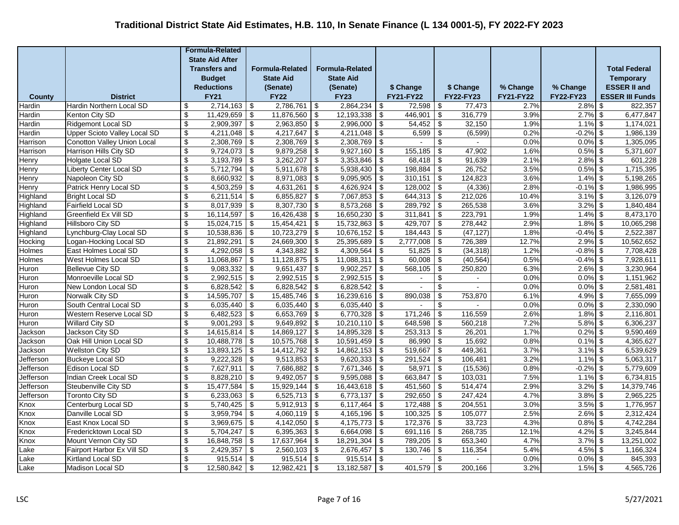|                        |                                                    |                                           | <b>Formula-Related</b>  |                                                                      |                        |                                        |                        |                         |                          |                                                         |                    |                  |                          |                        |
|------------------------|----------------------------------------------------|-------------------------------------------|-------------------------|----------------------------------------------------------------------|------------------------|----------------------------------------|------------------------|-------------------------|--------------------------|---------------------------------------------------------|--------------------|------------------|--------------------------|------------------------|
|                        |                                                    |                                           | <b>State Aid After</b>  |                                                                      |                        |                                        |                        |                         |                          |                                                         |                    |                  |                          |                        |
|                        |                                                    |                                           | <b>Transfers and</b>    |                                                                      | <b>Formula-Related</b> |                                        | <b>Formula-Related</b> |                         |                          |                                                         |                    |                  |                          | <b>Total Federal</b>   |
|                        |                                                    |                                           | <b>Budget</b>           |                                                                      | <b>State Aid</b>       |                                        | <b>State Aid</b>       |                         |                          |                                                         |                    |                  |                          | <b>Temporary</b>       |
|                        |                                                    |                                           | <b>Reductions</b>       |                                                                      | (Senate)               |                                        | (Senate)               |                         | \$ Change                |                                                         | \$ Change          | % Change         | % Change                 | <b>ESSER II and</b>    |
| <b>County</b>          | <b>District</b>                                    |                                           | <b>FY21</b>             |                                                                      | <b>FY22</b>            |                                        | <b>FY23</b>            |                         | <b>FY21-FY22</b>         |                                                         | FY22-FY23          | <b>FY21-FY22</b> | <b>FY22-FY23</b>         | <b>ESSER III Funds</b> |
| Hardin                 | <b>Hardin Northern Local SD</b>                    | \$                                        | 2,714,163               | \$                                                                   | 2,786,761              | \$                                     | 2,864,234              | \$                      | 72,598                   | \$                                                      | 77,473             | 2.7%             | $2.8\%$ \$               | 822,357                |
| Hardin                 | Kenton City SD                                     | \$                                        | 11,429,659              | \$                                                                   | 11,876,560             | $\sqrt[6]{\frac{1}{2}}$                | 12,193,338             | \$                      | 446,901                  | \$                                                      | 316,779            | 3.9%             | $2.7\%$ \$               | 6,477,847              |
| Hardin                 | <b>Ridgemont Local SD</b>                          | \$                                        | 2,909,397               | \$                                                                   | 2,963,850              | $\overline{\mathbf{S}}$                | 2,996,000              | \$                      | 54,452                   | \$                                                      | 32,150             | 1.9%             | $1.1\%$ \$               | 1,174,021              |
| Hardin                 | <b>Upper Scioto Valley Local SD</b>                | \$                                        | 4,211,048               | \$                                                                   | 4,217,647              | \$                                     | 4,211,048              | \$                      | 6,599                    | \$                                                      | (6, 599)           | 0.2%             | $-0.2%$ \$               | 1,986,139              |
| Harrison               | Conotton Valley Union Local                        | $\overline{\mathcal{L}}$                  | 2,308,769               | \$                                                                   | 2,308,769              | \$                                     | 2,308,769              | \$                      |                          | $\overline{\mathcal{L}}$                                |                    | 0.0%             | $0.0\%$ \$               | 1,305,095              |
| Harrison               | Harrison Hills City SD                             | $\overline{\mathcal{G}}$                  | 9,724,073               | \$                                                                   | 9,879,258              | \$                                     | 9,927,160              | \$                      | 155,185                  | \$                                                      | 47,902             | 1.6%             | $0.5\%$ \$               | 5,371,607              |
| Henry                  | Holgate Local SD                                   | $\overline{\mathbf{S}}$                   | 3,193,789               | $\overline{\boldsymbol{\theta}}$                                     | 3,262,207              | $\overline{\mathbf{3}}$                | 3,353,846              | -\$                     | 68,418                   | $\overline{\boldsymbol{\mathfrak{s}}}$                  | 91,639             | 2.1%             | $2.8\%$ \$               | 601,228                |
| Henry                  | <b>Liberty Center Local SD</b>                     | \$                                        | 5,712,794               | \$                                                                   | 5,911,678              | $\sqrt[6]{\frac{1}{2}}$                | 5,938,430              | -\$                     | 198,884                  | \$                                                      | 26,752             | 3.5%             | $0.5\%$ \$               | 1,715,395              |
| Henry                  | Napoleon City SD                                   | $\boldsymbol{\mathsf{s}}$                 | 8,660,932               | $\overline{\boldsymbol{\theta}}$                                     | 8,971,083              | $\sqrt[6]{\frac{1}{2}}$                | 9,095,905              | \$                      | 310,151                  | $\boldsymbol{\mathsf{S}}$                               | 124,823            | 3.6%             | $1.4\%$ \$               | 5,198,265              |
| Henry                  | Patrick Henry Local SD                             | \$                                        | 4,503,259               | \$                                                                   | 4,631,261              | $\sqrt[6]{\frac{1}{2}}$                | 4,626,924              | $\sqrt[6]{\frac{1}{2}}$ | 128,002                  | \$                                                      | (4, 336)           | 2.8%             | $-0.1\%$ \$              | 1,986,995              |
| Highland               | <b>Bright Local SD</b>                             | \$                                        | 6,211,514               | \$                                                                   | 6,855,827              | \$                                     | 7,067,853              | \$                      | $644,313$ \$             |                                                         | 212,026            | 10.4%            | $3.1\%$ \$               | 3,126,079              |
| Highland               | <b>Fairfield Local SD</b>                          | $\overline{\$}$                           | 8,017,939               | $\overline{\$}$                                                      | 8,307,730              | $\overline{\$}$                        | 8,573,268              | \$                      | 289,792                  | $\overline{\mathcal{L}}$                                | 265,538            | 3.6%             | $3.2\%$ \$               | 1,840,484              |
| Highland               | Greenfield Ex Vill SD                              | \$                                        | 16,114,597              | \$                                                                   | 16,426,438             | \$                                     | 16,650,230             | -\$                     | $311,841$ \$             |                                                         | 223,791            | 1.9%             | $1.4\%$ \$               | 8,473,170              |
| Highland               | Hillsboro City SD                                  | \$                                        | 15,024,715              | \$                                                                   | 15,454,421             | $\overline{\mathbf{3}}$                | 15,732,863             | \$                      | 429,707                  | \$                                                      | 278,442            | 2.9%             | $1.8\%$ \$               | 10,065,298             |
| Highland               | Lynchburg-Clay Local SD                            | \$                                        | 10,538,836              | \$                                                                   | 10,723,279             | \$                                     | 10,676,152             | \$                      | 184,443                  | \$                                                      | (47, 127)          | 1.8%             | $-0.4\%$ \$              | 2,522,387              |
| Hocking                | Logan-Hocking Local SD                             | \$                                        | 21,892,291              | \$                                                                   | 24,669,300             | \$                                     | 25,395,689             | \$                      | 2,777,008                | \$                                                      | 726,389            | 12.7%            | $2.9\%$ \$               | 10,562,652             |
| Holmes                 | East Holmes Local SD                               | \$                                        | 4,292,058               | \$                                                                   | 4,343,882              | \$                                     | 4,309,564              | -\$                     | 51,825                   | \$                                                      | (34, 318)          | 1.2%             | $-0.8\%$ \$              | 7,708,428              |
| Holmes                 | West Holmes Local SD                               | $\overline{\$}$                           | 11,068,867              | $\overline{\mathcal{L}}$                                             | 11,128,875             | $\overline{\mathcal{L}}$               | 11,088,311             | -\$                     | $60,008$ \$              |                                                         | (40, 564)          | 0.5%             | $-0.4\%$ \$              | 7,928,611              |
| Huron                  | <b>Bellevue City SD</b>                            | \$                                        | 9,083,332               | $\overline{\boldsymbol{\theta}}$                                     | 9,651,437              | $\sqrt[6]{3}$                          | 9,902,257              | -\$                     | 568,105                  | $\overline{\boldsymbol{\mathfrak{s}}}$                  | 250,820            | 6.3%             | $2.6\%$ \$               | 3,230,964              |
| Huron                  | Monroeville Local SD                               | \$                                        | 2,992,515               | \$                                                                   | 2,992,515              | \$                                     | 2,992,515              | -\$                     | $\overline{\phantom{0}}$ | \$                                                      | $\blacksquare$     | 0.0%             | $0.0\%$ \$               | 1,151,962              |
| Huron                  | New London Local SD                                | $\boldsymbol{\mathsf{s}}$                 | 6,828,542               | \$                                                                   | 6,828,542              | $\overline{\boldsymbol{\mathfrak{s}}}$ | 6,828,542              | \$                      | $\overline{\phantom{0}}$ | \$                                                      |                    | 0.0%             | $0.0\%$ \$               | 2,581,481              |
| Huron                  | Norwalk City SD                                    | $\mathbb{S}$                              | 14,595,707              | \$                                                                   | 15,485,746             | $\boldsymbol{\mathsf{S}}$              | 16,239,616             | $\sqrt[6]{3}$           | 890,038                  | \$                                                      | 753,870            | 6.1%             | $4.9\%$ \$               | 7,655,099              |
| Huron                  | South Central Local SD                             | \$                                        | 6,035,440               | \$                                                                   | 6,035,440              | $\boldsymbol{\mathsf{S}}$              | 6,035,440              | \$                      |                          | \$                                                      |                    | 0.0%             | $0.0\%$ \$               | 2,330,090              |
| Huron                  | Western Reserve Local SD                           | $\overline{\$}$                           | 6,482,523               | $\overline{\mathcal{L}}$                                             | 6,653,769              | $\overline{\mathcal{L}}$               | 6,770,328              | \$                      | 171,246                  | $\overline{\mathcal{L}}$                                | 116,559            | 2.6%             | $1.8\%$ \$               | 2,116,801              |
| Huron                  | <b>Willard City SD</b><br>Jackson City SD          | \$                                        | 9,001,293               | \$                                                                   | 9,649,892              | \$                                     | 10,210,110             | \$                      | 648,598                  | \$                                                      | 560,218<br>26,201  | 7.2%<br>1.7%     | $5.8\%$ \$               | 6,306,237              |
| Jackson                |                                                    | \$                                        | 14,615,814              | \$                                                                   | 14,869,127             | \$                                     | 14,895,328             | -\$                     | $253,313$ \$             |                                                         |                    |                  | $0.2\%$ \$               | 9,590,469              |
| Jackson                | Oak Hill Union Local SD                            | \$                                        | 10,488,778              | \$                                                                   | 10,575,768             | \$                                     | 10,591,459             | \$                      | 86,990                   | \$                                                      | 15,692             | 0.8%<br>3.7%     | $0.1\%$ \$               | 4,365,627              |
| Jackson                | <b>Wellston City SD</b><br><b>Buckeye Local SD</b> | $\overline{\mathcal{G}}$<br>$\mathsf{\$}$ | 13,893,125<br>9,222,328 | $\overline{\boldsymbol{\theta}}$<br>$\overline{\boldsymbol{\theta}}$ | 14,412,792             | $\overline{\mathbf{S}}$                | 14,862,153             | \$                      | 519,667<br>291,524       | $\overline{\boldsymbol{\mathfrak{s}}}$<br>$\mathsf{\$}$ | 449,361<br>106,481 | 3.2%             | $3.1\%$ \$<br>$1.1\%$ \$ | 6,539,629<br>5,063,317 |
| Jefferson<br>Jefferson | Edison Local SD                                    | \$                                        | 7,627,911               | $\boldsymbol{\mathsf{S}}$                                            | 9,513,853<br>7,686,882 | $\sqrt{2}$<br>\$                       | 9,620,333<br>7,671,346 | $\sqrt{2}$<br>\$        | 58,971                   | \$                                                      | (15, 536)          | 0.8%             | $-0.2%$ \$               | 5,779,609              |
| Jefferson              | Indian Creek Local SD                              | $\boldsymbol{\mathsf{s}}$                 | 8,828,210               | \$                                                                   | 9,492,057              | $\sqrt[6]{3}$                          | 9,595,088              | -\$                     | $663,847$ \$             |                                                         | 103,031            | 7.5%             | $1.1\%$ \$               | 6,734,815              |
| Jefferson              | Steubenville City SD                               | \$                                        | 15,477,584              | \$                                                                   | 15,929,144             | $\overline{\mathbf{3}}$                | 16,443,618             | $\sqrt{3}$              | $451,560$ \$             |                                                         | 514,474            | 2.9%             | $3.2\%$ \$               | 14,379,746             |
| Jefferson              | <b>Toronto City SD</b>                             | \$                                        | 6,233,063               | \$                                                                   | 6,525,713              | $\overline{\mathbf{3}}$                | 6,773,137              | \$                      | $292,650$ \$             |                                                         | 247,424            | 4.7%             | $3.8\%$ \$               | 2,965,225              |
| Knox                   | Centerburg Local SD                                | \$                                        | 5,740,425               | \$                                                                   | 5,912,913              | $\overline{\mathbf{S}}$                | 6,117,464              | \$                      | 172,488                  | $\sqrt[6]{\frac{1}{2}}$                                 | 204,551            | 3.0%             | $3.5\%$ \$               | 1,776,957              |
| Knox                   | Danville Local SD                                  | \$                                        | 3,959,794               | \$                                                                   | 4,060,119              | $\sqrt[6]{\frac{1}{2}}$                | 4,165,196              | \$                      | 100,325                  | $\boldsymbol{\mathsf{S}}$                               | 105,077            | 2.5%             | $2.6\%$ \$               | 2,312,424              |
| Knox                   | East Knox Local SD                                 | \$                                        | 3,969,675               | \$                                                                   | 4,142,050              | \$                                     | 4,175,773              | \$                      | 172,376                  | $\boldsymbol{\mathsf{S}}$                               | 33,723             | 4.3%             | $0.8\%$ \$               | 4,742,284              |
|                        |                                                    | \$                                        |                         |                                                                      | 6,395,363              |                                        | 6,664,098              |                         | $691,116$ \$             |                                                         | 268,735            | 12.1%            | $4.2\%$ \$               | 3,245,844              |
| Knox<br>Knox           | Fredericktown Local SD<br>Mount Vernon City SD     | \$                                        | 5,704,247<br>16,848,758 | \$<br>\$                                                             | 17,637,964             | \$<br>$\overline{\$}$                  | 18,291,304             | \$<br>\$                | 789,205                  | \$                                                      | 653,340            | 4.7%             | $3.7\%$ \$               | 13,251,002             |
| Lake                   | Fairport Harbor Ex Vill SD                         | \$                                        | 2,429,357               | \$                                                                   | 2,560,103              | $\sqrt[6]{3}$                          | 2,676,457              | -\$                     | 130,746                  | \$                                                      | 116,354            | 5.4%             | $4.5\%$ \$               | 1,166,324              |
| Lake                   | Kirtland Local SD                                  | \$                                        | 915,514                 | \$                                                                   | 915,514                | \$                                     | 915,514                | \$                      | $\blacksquare$           | \$                                                      |                    | 0.0%             | $0.0\%$ \$               | 845,393                |
| Lake                   | Madison Local SD                                   | $\mathbb{S}$                              | 12,580,842              | \$                                                                   | 12,982,421             | $\overline{\mathbf{s}}$                | 13,182,587             | $\sqrt[6]{3}$           | $401,579$ \$             |                                                         | 200,166            | 3.2%             | $1.5\%$ \$               | 4,565,726              |
|                        |                                                    |                                           |                         |                                                                      |                        |                                        |                        |                         |                          |                                                         |                    |                  |                          |                        |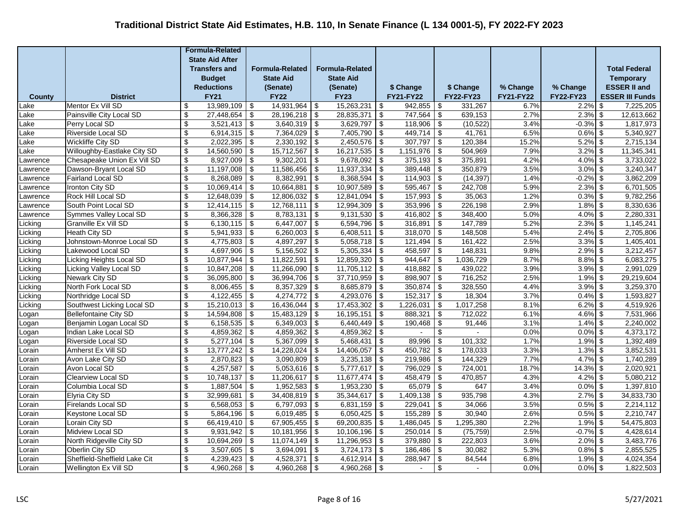|                      |                                                 |                                                    | <b>Formula-Related</b>   |                                                    |                             |                           |                                  |            |                    |                                                      |                   |                  |                           |                        |
|----------------------|-------------------------------------------------|----------------------------------------------------|--------------------------|----------------------------------------------------|-----------------------------|---------------------------|----------------------------------|------------|--------------------|------------------------------------------------------|-------------------|------------------|---------------------------|------------------------|
|                      |                                                 |                                                    | <b>State Aid After</b>   |                                                    |                             |                           |                                  |            |                    |                                                      |                   |                  |                           |                        |
|                      |                                                 |                                                    | <b>Transfers and</b>     |                                                    | <b>Formula-Related</b>      |                           | <b>Formula-Related</b>           |            |                    |                                                      |                   |                  |                           | <b>Total Federal</b>   |
|                      |                                                 |                                                    | <b>Budget</b>            |                                                    | <b>State Aid</b>            |                           | <b>State Aid</b>                 |            |                    |                                                      |                   |                  |                           | <b>Temporary</b>       |
|                      |                                                 |                                                    | <b>Reductions</b>        |                                                    | (Senate)                    |                           | (Senate)                         |            | \$ Change          |                                                      | \$ Change         | % Change         | % Change                  | <b>ESSER II and</b>    |
| <b>County</b>        | <b>District</b>                                 |                                                    | <b>FY21</b>              |                                                    | <b>FY22</b>                 |                           | <b>FY23</b>                      |            | <b>FY21-FY22</b>   |                                                      | FY22-FY23         | <b>FY21-FY22</b> | <b>FY22-FY23</b>          | <b>ESSER III Funds</b> |
| _ake                 | Mentor Ex Vill SD                               | \$                                                 | 13,989,109               | \$                                                 | 14,931,964                  | -\$                       | 15,263,231                       | -\$        | 942.855            | \$                                                   | 331,267           | 6.7%             | $2.2\%$ \$                | 7,225,205              |
| _ake                 | Painsville City Local SD                        | \$                                                 | 27,448,654               | \$                                                 | 28,196,218                  | \$                        | 28,835,371                       | -\$        | 747,564            | $\boldsymbol{\mathsf{S}}$                            | 639,153           | 2.7%             | $2.3\%$ \$                | 12,613,662             |
| _ake                 | Perry Local SD                                  | \$                                                 | 3,521,413                | \$                                                 | 3,640,319                   | \$                        | 3,629,797                        | -\$        | 118,906            | $\sqrt[6]{\frac{1}{2}}$                              | (10, 522)         | 3.4%             | $-0.3\%$ \$               | 1,817,973              |
| _ake                 | Riverside Local SD                              | \$                                                 | 6,914,315                | \$                                                 | 7,364,029                   | \$                        | 7,405,790                        | -\$        | 449,714            | \$                                                   | 41,761            | 6.5%             | $0.6\%$ \$                | 5,340,927              |
| Lake                 | <b>Wickliffe City SD</b>                        | $\sqrt[6]{\frac{1}{2}}$                            | 2,022,395                | $\overline{\mathcal{L}}$                           | 2,330,192                   | $\overline{\mathcal{L}}$  | 2,450,576                        | -\$        | 307,797            | $\overline{\mathcal{L}}$                             | 120,384           | 15.2%            | $5.2\%$ \$                | 2,715,134              |
| _ake                 | Willoughby-Eastlake City SD                     | $\sqrt[6]{\frac{1}{2}}$                            | 14,560,590               | \$                                                 | $15,712,567$ \$             |                           | 16,217,535                       | l \$       | $1,151,976$ \$     |                                                      | 504,969           | 7.9%             | $3.2\%$ \$                | 11,345,341             |
| _awrence             | Chesapeake Union Ex Vill SD                     | \$                                                 | 8,927,009                | \$                                                 | 9,302,201                   | \$                        | 9,678,092                        | -\$        | 375,193            | \$                                                   | 375,891           | 4.2%             | $4.0\%$ \$                | 3,733,022              |
| _awrence             | Dawson-Bryant Local SD                          | \$                                                 | 11,197,008               | \$                                                 | 11,586,456                  | \$                        | 11,937,334                       | -\$        | 389,448            | \$                                                   | 350,879           | 3.5%             | $3.0\%$ \$                | 3,240,347              |
| Lawrence             | <b>Fairland Local SD</b>                        | \$<br>$\overline{\mathbf{s}}$                      | 8,268,089                | \$                                                 | 8,382,991                   | \$                        | 8,368,594                        | -\$        | 114,903            | \$                                                   | (14, 397)         | 1.4%<br>5.9%     | $-0.2\%$ \$<br>$2.3\%$ \$ | 3,862,209              |
| _awrence             | <b>Ironton City SD</b><br>Rock Hill Local SD    | \$                                                 | 10,069,414<br>12,648,039 | $\overline{\boldsymbol{\mathsf{s}}}$<br>$\sqrt{3}$ | 10,664,881<br>12,806,032    | \$<br>$\sqrt{2}$          | 10,907,589<br>12,841,094         | \$<br>-\$  | 595,467<br>157,993 | $\overline{\boldsymbol{\mathfrak{s}}}$<br>\$         | 242,708<br>35,063 | 1.2%             | $0.3\%$ \$                | 6,701,505<br>9,782,256 |
| Lawrence             | South Point Local SD                            | $\sqrt[6]{\frac{1}{2}}$                            | 12,414,115               | $\overline{\$}$                                    | $12,768,111$ \$             |                           | 12,994,309                       | \$         | 353,996            | $\boldsymbol{\mathsf{S}}$                            | 226,198           | 2.9%             | $1.8\%$ \$                | 8,330,636              |
| _awrence<br>Lawrence | Symmes Valley Local SD                          | \$                                                 | 8,366,328                | $\overline{\mathbf{3}}$                            | $8,783,131$ \$              |                           | 9,131,530                        | $\sqrt{3}$ | $416,802$ \$       |                                                      | 348,400           | 5.0%             | $4.0\%$ \$                | 2,280,331              |
| Licking              | Granville Ex Vill SD                            | $\sqrt[6]{\frac{1}{2}}$                            | 6,130,115                | $\overline{\boldsymbol{\mathfrak{s}}}$             | $6,447,007$ \$              |                           | 6,594,796                        | -\$        | 316,891            | $\boldsymbol{\mathsf{S}}$                            | 147,789           | 5.2%             | $2.3\%$ \$                | 1,145,241              |
| Licking              | Heath City SD                                   | \$                                                 | 5,941,933                | \$                                                 | 6,260,003                   | \$                        | 6,408,511                        | -\$        | 318,070            | $\sqrt[6]{\frac{1}{2}}$                              | 148,508           | 5.4%             | $2.4\%$ \$                | 2,705,806              |
| Licking              | Johnstown-Monroe Local SD                       | $\sqrt[6]{\frac{1}{2}}$                            | 4,775,803                | \$                                                 | 4,897,297                   | -\$                       | 5,058,718                        | -\$        | 121,494            | \$                                                   | 161,422           | 2.5%             | $3.3\%$ \$                | 1,405,401              |
| Licking              | Lakewood Local SD                               | \$                                                 | 4,697,906                | \$                                                 | 5,156,502                   | \$                        | 5,305,334                        | \$         | 458,597            | $\boldsymbol{\mathsf{S}}$                            | 148,831           | 9.8%             | $2.9\%$ \$                | 3,212,457              |
| Licking              | Licking Heights Local SD                        | $\sqrt[6]{\frac{1}{2}}$                            | 10,877,944               | \$                                                 | 11,822,591                  | \$                        | 12,859,320                       | \$         | 944,647            | \$                                                   | 1,036,729         | 8.7%             | $8.8\%$ \$                | 6,083,275              |
| Licking              | <b>Licking Valley Local SD</b>                  | $\sqrt[6]{\frac{1}{2}}$                            | 10,847,208               | $\overline{\boldsymbol{\mathfrak{s}}}$             | 11,266,090                  | \$                        | 11,705,112                       | -\$        | 418,882            | $\overline{\boldsymbol{\mathfrak{s}}}$               | 439,022           | 3.9%             | $3.9\%$ \$                | 2,991,029              |
| Licking              | Newark City SD                                  | $\sqrt[6]{\frac{1}{2}}$                            | 36,095,800               | \$                                                 | 36,994,706                  | \$                        | 37,710,959                       | l \$       | $898,907$ \$       |                                                      | 716,252           | 2.5%             | $1.9\%$ \$                | 29,219,604             |
| Licking              | North Fork Local SD                             | \$                                                 | 8,006,455                | \$                                                 | 8,357,329                   | \$                        | 8,685,879                        | -\$        | 350,874            | \$                                                   | 328,550           | 4.4%             | $3.9\%$ \$                | 3,259,370              |
| Licking              | Northridge Local SD                             | \$                                                 | 4,122,455                | \$                                                 | 4,274,772                   | $\boldsymbol{\mathsf{S}}$ | 4,293,076                        | $\sqrt{3}$ | 152,317            | \$                                                   | 18,304            | 3.7%             | $0.4\%$ \$                | 1,593,827              |
| Licking              | Southwest Licking Local SD                      | \$                                                 | 15,210,013               | \$                                                 | 16,436,044                  | \$                        | 17,453,302                       | $\sqrt{3}$ | 1,226,031          | \$                                                   | 1,017,258         | 8.1%             | $6.2\%$ \$                | 4,519,926              |
| Logan                | <b>Bellefontaine City SD</b>                    | \$                                                 | 14,594,808               | $\overline{\mathcal{L}}$                           | 15,483,129                  | $\overline{\mathcal{S}}$  | 16, 195, 151                     | - \$       | 888,321            | $\overline{\mathcal{L}}$                             | 712,022           | 6.1%             | $4.6\%$ \$                | 7,531,966              |
| Logan                | Benjamin Logan Local SD                         | $\boldsymbol{\mathsf{S}}$                          | 6,158,535                | $\overline{\mathbf{e}}$                            | $6,349,003$ \$              |                           | 6,440,449                        | l \$       | 190,468            | $\overline{\boldsymbol{\mathfrak{s}}}$               | 91,446            | 3.1%             | $1.4\%$ \$                | 2,240,002              |
| Logan                | Indian Lake Local SD                            | $\sqrt[6]{\frac{1}{2}}$                            | 4,859,362                | $\overline{\mathbf{e}}$                            | $4,859,362$ \$              |                           | 4,859,362                        | l \$       |                    | $\overline{\$}$                                      |                   | 0.0%             | $0.0\%$ \$                | 4,373,172              |
| Logan                | <b>Riverside Local SD</b>                       | \$                                                 | 5,277,104                | \$                                                 | 5,367,099                   | \$                        | 5,468,431                        | <b>\$</b>  | 89,996             | $\boldsymbol{\mathsf{S}}$                            | 101,332           | 1.7%             | $1.9\%$ \$                | 1,392,489              |
| Lorain               | Amherst Ex Vill SD                              | \$                                                 | 13,777,242               | \$                                                 | 14,228,024                  | \$                        | 14,406,057                       | \$         | 450,782            | \$                                                   | 178,033           | 3.3%             | $1.3\%$ \$                | 3,852,531              |
| Lorain               | Avon Lake City SD                               | $\mathsf{\$}$                                      | 2,870,823                | $\sqrt[6]{\frac{1}{2}}$                            | 3,090,809                   | \$                        | 3,235,138                        | \$         | 219,986            | $\boldsymbol{\mathsf{S}}$                            | 144,329           | 7.7%             | $4.7\%$ \$                | 1,740,289              |
| _orain               | Avon Local SD                                   | $\mathfrak{S}$                                     | 4,257,587                | \$                                                 | 5,053,616                   | \$                        | 5,777,617                        | -\$        | 796,029            | \$                                                   | 724,001           | 18.7%            | $14.3\%$ \$               | 2,020,921              |
| _orain               | Clearview Local SD                              | $\sqrt[6]{\frac{1}{2}}$                            | 10,748,137               | \$                                                 | 11,206,617                  | \$                        | 11,677,474                       | -\$        | 458,479            | \$                                                   | 470,857           | 4.3%             | $4.2\%$ \$                | 5,080,212              |
| _orain               | Columbia Local SD                               | $\sqrt[6]{\frac{1}{2}}$                            | 1,887,504                | \$                                                 | 1,952,583                   | \$                        | 1,953,230                        | -\$        | $65,079$ \$        |                                                      | 647               | 3.4%             | $0.0\%$ \$                | 1,397,810              |
| _orain               | <b>Elyria City SD</b>                           | \$                                                 | 32,999,681               | \$                                                 | $34,408,819$ \$             |                           | 35,344,617                       | <b>\$</b>  | 1,409,138          | \$                                                   | 935,798           | 4.3%             | $2.7\%$ \$                | 34,833,730             |
| _orain               | Firelands Local SD                              | \$                                                 | 6,568,053                | \$                                                 | 6,797,093                   | \$                        | 6,831,159                        | $\sqrt{3}$ | 229,041            | \$                                                   | 34,066            | 3.5%             | $0.5\%$ \$                | 2,214,112              |
| Lorain               | Keystone Local SD                               | \$                                                 | 5,864,196                | \$                                                 | 6,019,485                   | \$                        | 6,050,425                        | $\sqrt{3}$ | 155,289            | \$                                                   | 30,940            | 2.6%             | $0.5\%$ \$                | 2,210,747              |
| _orain               | Lorain City SD                                  | \$                                                 | 66,419,410               | \$                                                 | 67,905,455                  | \$                        | 69,200,835                       | -\$        | 1,486,045          | \$                                                   | 1,295,380         | 2.2%             | $1.9\%$ \$                | 54,475,803             |
| _orain               | Midview Local SD                                | \$                                                 | 9,931,942                | $\overline{\mathcal{L}}$                           | 10,181,956                  | \$                        | 10,106,196                       | - \$       | 250,014            | $\overline{\mathcal{L}}$                             | (75, 759)         | 2.5%             | $-0.7%$ \$                | 4,428,614              |
| _orain               | North Ridgeville City SD                        | $\sqrt[6]{3}$                                      | 10,694,269<br>3,507,605  | $\overline{\mathbf{e}}$                            | 11,074,149                  | \$                        | 11,296,953                       | <b>\$</b>  | 379,880            | $\overline{\mathbf{e}}$                              | 222,803<br>30,082 | 3.6%<br>5.3%     | $2.0\%$ \$<br>$0.8\%$ \$  | 3,483,776<br>2,855,525 |
| _orain               | Oberlin City SD<br>Sheffield-Sheffield Lake Cit | $\sqrt[6]{\frac{1}{2}}$<br>$\sqrt[6]{\frac{1}{2}}$ | 4,239,423                | $\overline{\mathbf{3}}$                            | $3,694,091$ \$<br>4,528,371 | -\$                       | $3,724,173$ \$<br>$4,612,914$ \$ |            | 186,486<br>288,947 | $\overline{\mathbf{3}}$<br>$\boldsymbol{\mathsf{S}}$ | 84,544            | 6.8%             | $1.9\%$ \$                | 4,024,354              |
| Lorain               |                                                 | $\boldsymbol{\mathsf{s}}$                          |                          | \$                                                 |                             |                           |                                  |            |                    |                                                      |                   | 0.0%             |                           |                        |
| Lorain               | Wellington Ex Vill SD                           |                                                    | 4,960,268                | $\sqrt[6]{3}$                                      | 4,960,268                   | \$                        | 4,960,268                        | $\sqrt{3}$ |                    | \$                                                   |                   |                  | $0.0\%$ \$                | 1,822,503              |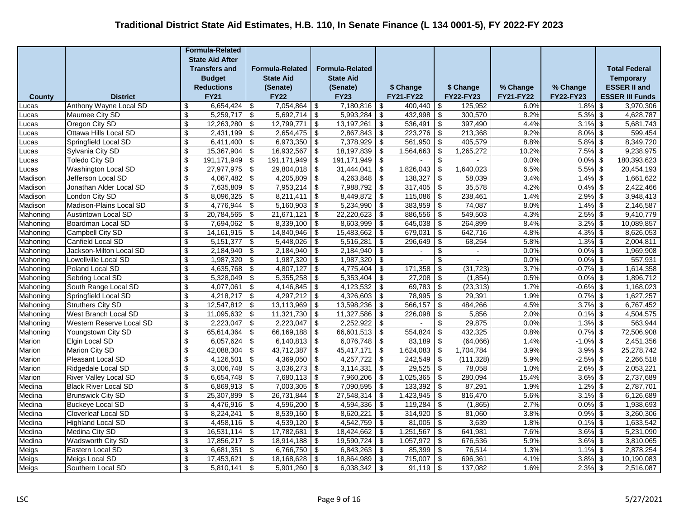|               |                              |                           | <b>Formula-Related</b> |                                        |                        |                                        |                        |               |                     |                                        |                  |                  |             |                                        |
|---------------|------------------------------|---------------------------|------------------------|----------------------------------------|------------------------|----------------------------------------|------------------------|---------------|---------------------|----------------------------------------|------------------|------------------|-------------|----------------------------------------|
|               |                              |                           | <b>State Aid After</b> |                                        |                        |                                        |                        |               |                     |                                        |                  |                  |             |                                        |
|               |                              |                           | <b>Transfers and</b>   |                                        | <b>Formula-Related</b> |                                        | <b>Formula-Related</b> |               |                     |                                        |                  |                  |             | <b>Total Federal</b>                   |
|               |                              |                           | <b>Budget</b>          |                                        | <b>State Aid</b>       |                                        | <b>State Aid</b>       |               |                     |                                        |                  |                  |             | <b>Temporary</b>                       |
|               |                              |                           | <b>Reductions</b>      |                                        | (Senate)               |                                        | (Senate)               |               | \$ Change           |                                        | \$ Change        | % Change         | % Change    | <b>ESSER II and</b>                    |
| <b>County</b> | <b>District</b>              |                           | <b>FY21</b>            |                                        | <b>FY22</b>            |                                        | <b>FY23</b>            |               | <b>FY21-FY22</b>    |                                        | <b>FY22-FY23</b> | <b>FY21-FY22</b> | FY22-FY23   | <b>ESSER III Funds</b>                 |
| Lucas         | Anthony Wayne Local SD       | \$                        | 6,654,424              | \$                                     | 7,054,864              | \$                                     | 7,180,816              | -\$           | $\frac{400,440}{8}$ |                                        | 125,952          | 6.0%             | 1.8%        | 3,970,306<br>\$                        |
| Lucas         | Maumee City SD               | \$                        | 5,259,717              | \$                                     | 5,692,714              | $\sqrt[6]{3}$                          | 5,993,284              | \$            | 432,998             | \$                                     | 300,570          | 8.2%             | 5.3%        | \$<br>4,628,787                        |
| Lucas         | Oregon City SD               | $\sqrt[6]{\frac{1}{2}}$   | 12,263,280             | \$                                     | 12,799,771             | $\overline{\mathbf{3}}$                | 13,197,261             | \$            | $536,491$ \$        |                                        | 397,490          | 4.4%             | 3.1%        | \$<br>5,681,743                        |
| Lucas         | Ottawa Hills Local SD        | \$                        | 2,431,199              | \$                                     | 2,654,475              | $\boldsymbol{\theta}$                  | 2,867,843              | \$            | 223,276             | -\$                                    | 213,368          | 9.2%             | 8.0%        | \$<br>599,454                          |
| Lucas         | Springfield Local SD         | $\overline{\$}$           | 6,411,400              | \$                                     | 6,973,350              | $\sqrt{2}$                             | 7,378,929              | \$            | 561,950             | \$                                     | 405,579          | 8.8%             | 5.8%        | \$<br>8,349,720                        |
| Lucas         | Sylvania City SD             | $\sqrt[6]{\frac{1}{2}}$   | 15,367,904             | \$                                     | 16,932,567             | \$                                     | 18,197,839             | -\$           | 1,564,663           | \$                                     | 1,265,272        | 10.2%            | $7.5\%$ \$  | 9,238,975                              |
| Lucas         | <b>Toledo City SD</b>        | \$                        | 191,171,949            | $\overline{\boldsymbol{\mathfrak{s}}}$ | 191, 171, 949          | $\overline{\boldsymbol{\mathfrak{s}}}$ | 191, 171, 949          | - \$          | $\blacksquare$      | $\overline{\mathbf{e}}$                |                  | 0.0%             | $0.0\%$ \$  | 180,393,623                            |
| Lucas         | Washington Local SD          | \$                        | 27,977,975             | $\sqrt[6]{\frac{1}{2}}$                | 29,804,018             | $\sqrt[6]{\frac{1}{2}}$                | 31,444,041             | \$            | 1,826,043           | \$                                     | 1,640,023        | 6.5%             | 5.5%        | \$<br>20,454,193                       |
| Madison       | Jefferson Local SD           | $\sqrt[6]{\frac{1}{2}}$   | 4,067,482              | $\overline{\boldsymbol{\theta}}$       | 4,205,809              | $\sqrt[6]{\frac{1}{2}}$                | 4,263,848              | \$            | 138,327             | \$                                     | 58,039           | 3.4%             | $1.4\%$ \$  | 1,661,622                              |
| Madison       | Jonathan Alder Local SD      | $\mathfrak{S}$            | 7,635,809              | $\overline{\mathbf{s}}$                | 7,953,214              | \$                                     | 7,988,792              | \$            | 317,405             | \$                                     | 35,578           | 4.2%             | 0.4%        | $\boldsymbol{\mathsf{S}}$<br>2,422,466 |
| Madison       | London City SD               | $\mathfrak{S}$            | 8,096,325              | \$                                     | 8,211,411              | \$                                     | 8,449,872              | \$            | 115,086             | \$                                     | 238,461          | 1.4%             | 2.9%        | 3,948,413<br>\$                        |
| Madison       | Madison-Plains Local SD      | $\sqrt[6]{\frac{1}{2}}$   | 4,776,944              | $\overline{\$}$                        | 5,160,903              | $\overline{\$}$                        | 5,234,990              | \$            | 383,959             | $\overline{\$}$                        | 74,087           | 8.0%             | $1.4\%$ \$  | 2,146,587                              |
| Mahoning      | <b>Austintown Local SD</b>   | $\sqrt[6]{\frac{1}{2}}$   | 20,784,565             | \$                                     | 21,671,121             | \$                                     | 22,220,623             | -\$           | $886,556$ \$        |                                        | 549,503          | 4.3%             | $2.5\%$ \$  | 9,410,779                              |
| Mahoning      | Boardman Local SD            | \$                        | 7,694,062              | \$                                     | 8,339,100              | \$                                     | 8,603,999              | \$            | 645,038             | \$                                     | 264,899          | 8.4%             | $3.2\%$ \$  | 10,089,857                             |
| Mahoning      | Campbell City SD             | \$                        | 14, 161, 915           | \$                                     | 14,840,946             | \$                                     | 15,483,662             | \$            | 679,031             | $\overline{\mathbf{e}}$                | 642,716          | 4.8%             | 4.3%        | \$<br>8,626,053                        |
| Mahoning      | Canfield Local SD            | \$                        | 5, 151, 377            | \$                                     | 5,448,026              | \$                                     | 5,516,281              | \$            | 296,649             | \$                                     | 68,254           | 5.8%             | 1.3%        | \$<br>2,004,811                        |
| Mahoning      | Jackson-Milton Local SD      | \$                        | 2,184,940              | \$                                     | 2,184,940              | \$                                     | 2,184,940              | \$            |                     | \$                                     |                  | 0.0%             | 0.0%        | \$<br>1,969,908                        |
| Mahoning      | Lowellville Local SD         | $\overline{\$}$           | 1,987,320              | $\overline{\mathcal{L}}$               | 1,987,320              | $\overline{\mathcal{L}}$               | 1,987,320              | \$            | $\frac{1}{2}$       | $\overline{\$}$                        |                  | 0.0%             | $0.0\%$ \$  | 557,931                                |
| Mahoning      | Poland Local SD              | $\boldsymbol{\mathsf{S}}$ | 4,635,768              | $\overline{\boldsymbol{\mathfrak{s}}}$ | 4,807,127              | $\overline{\boldsymbol{\mathfrak{s}}}$ | 4,775,404              | \$            | 171,358             | $\overline{\mathbf{3}}$                | (31, 723)        | 3.7%             | $-0.7\%$ \$ | 1,614,358                              |
| Mahoning      | Sebring Local SD             | \$                        | 5,328,049              | $\overline{\mathbf{e}}$                | 5,355,258              | \$                                     | 5,353,404              | -\$           | 27,208              | \$                                     | (1, 854)         | 0.5%             | $0.0\%$ \$  | 1,896,712                              |
| Mahoning      | South Range Local SD         | $\sqrt[6]{\frac{1}{2}}$   | 4,077,061              | \$                                     | 4,146,845              | $\overline{\mathbf{S}}$                | 4,123,532              | \$            | $69,783$ \$         |                                        | (23, 313)        | 1.7%             | $-0.6\%$ \$ | 1,168,023                              |
| Mahoning      | Springfield Local SD         | $\boldsymbol{\mathsf{s}}$ | 4,218,217              | \$                                     | 4,297,212              | $\overline{\mathbf{e}}$                | 4,326,603              | $\sqrt[6]{3}$ | $78,995$ \$         |                                        | 29,391           | 1.9%             | 0.7%        | $\sqrt[6]{3}$<br>1,627,257             |
| Mahoning      | <b>Struthers City SD</b>     | \$                        | 12,547,812             | \$                                     | 13,113,969             | $\boldsymbol{\mathsf{S}}$              | 13,598,236             | \$            | 566,157             | $\sqrt[6]{\frac{1}{2}}$                | 484,266          | 4.5%             | 3.7%        | \$<br>6,767,452                        |
| Mahoning      | West Branch Local SD         | $\sqrt[6]{\frac{1}{2}}$   | 11,095,632             | $\overline{\mathcal{L}}$               | 11,321,730             | $\overline{\mathcal{L}}$               | 11,327,586             | \$            | 226,098             | $\overline{\mathcal{L}}$               | 5,856            | 2.0%             | 0.1%        | $\boldsymbol{\mathsf{S}}$<br>4,504,575 |
| Mahoning      | Western Reserve Local SD     | $\sqrt[6]{\frac{1}{2}}$   | 2,223,047              | $\overline{\mathbf{e}}$                | 2,223,047              | \$                                     | 2,252,922              | -\$           |                     | $\overline{\mathbf{e}}$                | 29,875           | 0.0%             | $1.3\%$ \$  | 563,944                                |
| Mahoning      | Youngstown City SD           | \$                        | 65,614,364             | \$                                     | 66,169,188             | \$                                     | 66,601,513             | -\$           | 554,824             | \$                                     | 432,325          | 0.8%             | $0.7\%$ \$  | 72,506,908                             |
| Marion        | Elgin Local SD               | \$                        | 6,057,624              | \$                                     | 6,140,813              | \$                                     | 6,076,748              | -\$           | 83,189              | \$                                     | (64,066)         | 1.4%             | $-1.0\%$ \$ | 2,451,356                              |
| Marion        | <b>Marion City SD</b>        | $\overline{\mathbf{e}}$   | 42,088,304             | $\overline{\boldsymbol{\mathfrak{s}}}$ | 43,712,387             | $\overline{\mathbf{S}}$                | 45,417,171             | \$            | 1,624,083           | $\overline{\boldsymbol{\mathfrak{s}}}$ | 1,704,784        | 3.9%             | $3.9\%$ \$  | 25,278,742                             |
| Marion        | Pleasant Local SD            | $\mathfrak{S}$            | 4,126,501              | $\overline{\boldsymbol{\mathsf{s}}}$   | 4,369,050              | $\sqrt[6]{\frac{1}{2}}$                | 4,257,722              | $\sqrt{2}$    | 242,549             | $\overline{\mathbf{3}}$                | (111, 328)       | 5.9%             | $-2.5%$     | 2,266,518<br>$\sqrt[6]{3}$             |
| Marion        | Ridgedale Local SD           | $\mathfrak{S}$            | 3,006,748              | \$                                     | 3,036,273              | \$                                     | 3,114,331              | \$            | $29,525$ \$         |                                        | 78,058           | 1.0%             | $2.6\%$ \$  | 2,053,221                              |
| Marion        | <b>River Valley Local SD</b> | $\boldsymbol{\mathsf{s}}$ | 6,654,748              | \$                                     | 7,680,113              | $\overline{\mathbf{3}}$                | 7,960,206              | -\$           | $1,025,365$ \$      |                                        | 280,094          | 15.4%            | $3.6\%$ \$  | 2,737,689                              |
| Medina        | <b>Black River Local SD</b>  | $\sqrt[6]{\frac{1}{2}}$   | $6,869,913$ \$         |                                        | 7,003,305              | $\overline{\mathbf{3}}$                | 7,090,595              | -\$           | $133,392$ \$        |                                        | 87,291           | 1.9%             | $1.2\%$ \$  | 2,787,701                              |
| Medina        | <b>Brunswick City SD</b>     | \$                        | 25,307,899             | \$                                     | 26,731,844             | \$                                     | 27,548,314             | -\$           | 1,423,945           | \$                                     | 816,470          | 5.6%             | $3.1\%$ \$  | 6,126,689                              |
| Medina        | <b>Buckeye Local SD</b>      | $\sqrt[6]{\frac{1}{2}}$   | 4,476,916              | \$                                     | 4,596,200              | $\sqrt[6]{\frac{1}{2}}$                | 4,594,336              | \$            | 119,284             | \$                                     | (1,865)          | 2.7%             | $0.0\%$     | \$<br>1,938,693                        |
| Medina        | <b>Cloverleaf Local SD</b>   | $\sqrt[6]{\frac{1}{2}}$   | 8,224,241              | \$                                     | 8,539,160              | \$                                     | 8,620,221              | \$            | 314,920             | \$                                     | 81,060           | 3.8%             | 0.9%        | \$<br>3,260,306                        |
| Medina        | <b>Highland Local SD</b>     | \$                        | 4,458,116              | \$                                     | 4,539,120              | \$                                     | 4,542,759              | \$            | 81,005              | \$                                     | 3,639            | 1.8%             | 0.1%        | \$<br>1,633,542                        |
| Medina        | Medina City SD               | \$                        | 16,531,114             | \$                                     | 17,782,681             | \$                                     | 18,424,662             | -\$           | 1,251,567           | \$                                     | 641,981          | 7.6%             | $3.6\%$ \$  | 5,231,090                              |
| Medina        | Wadsworth City SD            | \$                        | 17,856,217             | \$                                     | 18,914,188             | \$                                     | 19,590,724             | \$            | 1,057,972           | $\boldsymbol{\mathsf{S}}$              | 676,536          | 5.9%             | $3.6\%$ \$  | 3,810,065                              |
| Meigs         | Eastern Local SD             | \$                        | 6,681,351              | $\sqrt[6]{\frac{1}{2}}$                | 6,766,750              | $\sqrt[6]{3}$                          | 6,843,263              | -\$           | $85,399$ \$         |                                        | 76,514           | 1.3%             | $1.1\%$ \$  | 2,878,254                              |
| Meigs         | Meigs Local SD               | $\sqrt[6]{\frac{1}{2}}$   | 17,453,621             | \$                                     | 18,168,628             | \$                                     | 18,864,989             | \$            | 715,007             | $\vert$ \$                             | 696,361          | 4.1%             | $3.8\%$ \$  | 10,190,083                             |
| Meigs         | Southern Local SD            | $\boldsymbol{\mathsf{s}}$ | 5,810,141              | $\sqrt[6]{\frac{1}{2}}$                | 5,901,260              | $\sqrt[6]{\frac{1}{2}}$                | 6,038,342              | $\sqrt[6]{3}$ | $91,119$ \$         |                                        | 137,082          | 1.6%             | $2.3\%$ \$  | 2,516,087                              |
|               |                              |                           |                        |                                        |                        |                                        |                        |               |                     |                                        |                  |                  |             |                                        |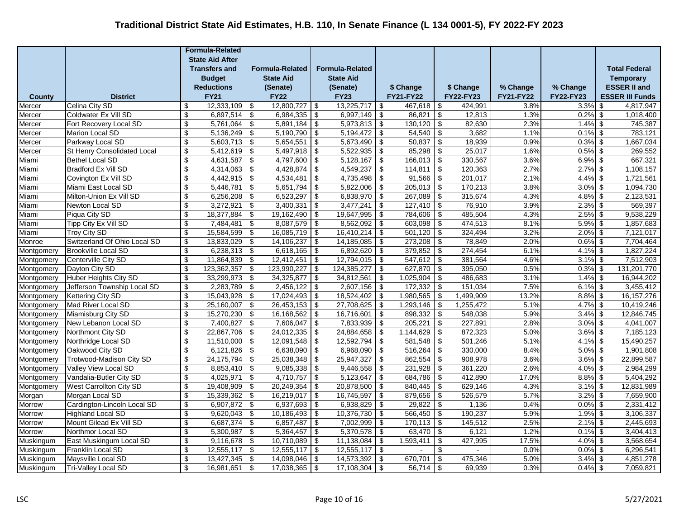|                          |                                                    |                           | <b>Formula-Related</b>   |                                              |                          |                                              |                          |            |                      |                                              |                    |                  |                          |                         |
|--------------------------|----------------------------------------------------|---------------------------|--------------------------|----------------------------------------------|--------------------------|----------------------------------------------|--------------------------|------------|----------------------|----------------------------------------------|--------------------|------------------|--------------------------|-------------------------|
|                          |                                                    |                           | <b>State Aid After</b>   |                                              |                          |                                              |                          |            |                      |                                              |                    |                  |                          |                         |
|                          |                                                    |                           | <b>Transfers and</b>     |                                              | <b>Formula-Related</b>   |                                              | <b>Formula-Related</b>   |            |                      |                                              |                    |                  |                          | <b>Total Federal</b>    |
|                          |                                                    |                           | <b>Budget</b>            |                                              | <b>State Aid</b>         |                                              | <b>State Aid</b>         |            |                      |                                              |                    |                  |                          | <b>Temporary</b>        |
|                          |                                                    |                           | <b>Reductions</b>        |                                              | (Senate)                 |                                              | (Senate)                 |            | \$ Change            |                                              | \$ Change          | % Change         | % Change                 | <b>ESSER II and</b>     |
| <b>County</b>            | <b>District</b>                                    |                           | <b>FY21</b>              |                                              | <b>FY22</b>              |                                              | <b>FY23</b>              |            | <b>FY21-FY22</b>     |                                              | FY22-FY23          | <b>FY21-FY22</b> | FY22-FY23                | <b>ESSER III Funds</b>  |
| Mercer                   | Celina City SD                                     | \$                        | 12,333,109               | \$                                           | 12,800,727               | -\$                                          | 13,225,717               | l \$       | 467,618              | \$                                           | 424,991            | 3.8%             | $3.3\%$ \$               | 4,817,947               |
| Mercer                   | Coldwater Ex Vill SD                               | \$                        | 6,897,514                | \$                                           | 6,984,335                | \$                                           | 6,997,149                | -\$        | 86,821               | \$                                           | 12,813             | 1.3%             | $0.2\%$ \$               | 1,018,400               |
| Mercer                   | Fort Recovery Local SD                             | $\sqrt[6]{\frac{1}{2}}$   | 5,761,064                | \$                                           | 5,891,184                | \$                                           | 5,973,813                | \$         | 130,120              | $\sqrt[6]{\frac{1}{2}}$                      | 82,630             | 2.3%             | $1.4\%$ \$               | 745,387                 |
| Mercer                   | Marion Local SD                                    | \$                        | 5,136,249                | \$                                           | 5,190,790                | \$                                           | 5,194,472                | <b>\$</b>  | 54,540               | \$                                           | 3,682              | 1.1%             | $0.1\%$ \$               | 783,121                 |
| Mercer                   | Parkway Local SD                                   | $\sqrt[6]{\frac{1}{2}}$   | 5,603,713                | \$                                           | 5,654,551                | \$                                           | 5,673,490                | \$         | 50,837               | $\overline{\mathcal{L}}$                     | 18,939             | 0.9%             | $0.3\%$ \$               | 1,667,034               |
| Mercer                   | St Henry Consolidated Local                        | \$                        | $5,412,619$ \$           |                                              | $5,497,918$ \$           |                                              | $5,522,935$ \$           |            | $85,298$ \$          |                                              | 25,017             | 1.6%             | $0.5\%$ \$               | 269,552                 |
| Miami                    | <b>Bethel Local SD</b>                             | \$                        | 4,631,587                | \$                                           | $4,797,600$ \$           |                                              | 5,128,167                | -\$        | $166,013$ \$         |                                              | 330,567            | 3.6%             | $6.9\%$ \$               | 667,321                 |
| Miami                    | Bradford Ex Vill SD                                | \$                        | 4,314,063                | $\sqrt[6]{\frac{1}{2}}$                      | 4,428,874                | \$                                           | 4,549,237                | -\$        | 114,811              | $\sqrt[6]{\frac{1}{2}}$                      | 120,363            | 2.7%             | $2.7\%$ \$               | 1,108,157               |
| Miami                    | Covington Ex Vill SD                               | $\sqrt[6]{\frac{1}{2}}$   | 4,442,915                | $\overline{\mathbf{e}}$                      | 4,534,481                | $\sqrt[6]{3}$                                | 4,735,498                | \$         | 91,566               | $\overline{\boldsymbol{\mathfrak{s}}}$       | 201,017            | 2.1%             | $4.4\%$ \$               | 1,721,561               |
| Miami                    | Miami East Local SD                                | \$                        | 5,446,781                | \$                                           | 5,651,794                | $\sqrt[6]{\frac{1}{2}}$                      | 5,822,006                | \$         | 205,013              | $\overline{\mathbf{s}}$                      | 170,213            | 3.8%             | $3.0\%$ \$               | 1,094,730               |
| Miami                    | Milton-Union Ex Vill SD                            | \$                        | 6,256,208                | $\sqrt{2}$                                   | 6,523,297                | -\$                                          | 6,838,970                | \$         | 267,089              | $\boldsymbol{\mathsf{S}}$                    | 315,674            | 4.3%             | $4.8\%$ \$               | 2,123,531               |
| Miami                    | Newton Local SD                                    | $\sqrt[6]{\frac{1}{2}}$   | 3,272,921                | $\overline{\$}$                              | 3,400,331                | $\overline{\$}$                              | 3,477,241                | -\$        | 127,410              | $\overline{\mathcal{L}}$                     | 76,910             | 3.9%             | $2.3\%$ \$               | 569,397                 |
| Miami                    | Piqua City SD                                      | \$                        | 18,377,884               | \$                                           | $19,162,490$ \$          |                                              | 19,647,995               | <b>\$</b>  | $784,606$ \$         |                                              | 485,504            | 4.3%             | $2.5\%$ \$               | 9,538,229               |
| Miami                    | Tipp City Ex Vill SD                               | \$                        | 7,484,481                | \$                                           | 8,087,579                | \$                                           | 8,562,092                | -\$        | 603,098              | $\overline{\boldsymbol{\theta}}$             | 474,513            | 8.1%             | $5.9\%$ \$               | 1,857,683               |
| Miami                    | <b>Troy City SD</b>                                | \$                        | 15,584,599               | \$                                           | 16,085,719               | \$                                           | 16,410,214               | -\$        | 501,120              | \$                                           | 324,494            | 3.2%             | $2.0\%$ \$               | 7,121,017               |
| Monroe                   | Switzerland Of Ohio Local SD                       | \$                        | 13,833,029               | \$                                           | 14,106,237               | -\$                                          | 14,185,085               | -\$        | 273,208              | \$                                           | 78,849             | 2.0%             | $0.6\%$ \$               | 7,704,464               |
| Montgomery               | <b>Brookville Local SD</b>                         | \$                        | 6,238,313                | \$                                           | 6,618,165                | \$                                           | 6,892,620                | -\$        | 379,852              | $\overline{\boldsymbol{\theta}}$             | 274,454            | 6.1%             | $4.1\%$ \$               | 1,827,224               |
| Montgomery               | Centerville City SD                                | $\overline{\mathcal{S}}$  | 11,864,839               | $\overline{\mathcal{L}}$                     | 12,412,451               | $\overline{\$}$                              | 12,794,015               | \$         | $547,612$ \$         |                                              | 381,564            | 4.6%             | $3.1\%$ \$               | 7,512,903               |
| Montgomery               | Dayton City SD                                     | $\sqrt[6]{\frac{1}{2}}$   | 123,362,357              | $\overline{\mathbf{e}}$                      | 123,990,227              | \$                                           | 124,385,277              | -\$        | $627,870$ \$         |                                              | 395,050            | 0.5%             | $0.3\%$ \$               | 131,201,770             |
| Montgomery               | <b>Huber Heights City SD</b>                       | \$                        | 33,299,973               | $\sqrt[6]{\frac{1}{2}}$                      | $34,325,877$ \$          |                                              | 34,812,561               | -\$        | $1,025,904$ \$       |                                              | 486,683            | 3.1%             | $1.4\%$ \$               | 16,944,202              |
| Montgomery               | Jefferson Township Local SD                        | $\sqrt[6]{\frac{1}{2}}$   | 2,283,789                | $\overline{\boldsymbol{\mathfrak{s}}}$       | 2,456,122                | -\$                                          | 2,607,156                | -\$        | 172,332              | $\boldsymbol{\mathsf{S}}$                    | 151,034            | 7.5%             | $6.1\%$ \$               | 3,455,412               |
| Montgomery               | Kettering City SD                                  | $\boldsymbol{\mathsf{s}}$ | 15,043,928               | $\sqrt[6]{\frac{1}{2}}$                      | 17,024,493               | $\boldsymbol{\mathsf{s}}$                    | 18,524,402               | $\sqrt{3}$ | 1,980,565            | $\boldsymbol{\mathsf{S}}$                    | 1,499,909          | 13.2%            | $8.8\%$ \$               | 16, 157, 276            |
| Montgomery               | Mad River Local SD                                 | \$                        | 25,160,007               | \$                                           | 26,453,153               | \$                                           | 27,708,625               | -\$        | 1,293,146            | $\boldsymbol{\mathsf{S}}$                    | 1,255,472          | 5.1%             | $4.7\%$ \$               | 10,419,246              |
| Montgomery               | Miamisburg City SD                                 | $\sqrt[6]{\frac{1}{2}}$   | 15,270,230               | $\overline{\mathcal{L}}$                     | 16,168,562               | \$                                           | 16,716,601               | \$         | 898,332              | $\overline{\mathcal{L}}$                     | 548,038            | 5.9%             | $3.4\%$ \$               | 12,846,745              |
| Montgomery               | New Lebanon Local SD<br>Northmont City SD          | $\overline{\mathbf{e}}$   | 7,400,827                | \$                                           | 7,606,047                | \$                                           | 7,833,939                | -\$        | 205,221              | $\overline{\boldsymbol{\mathfrak{s}}}$       | 227,891<br>872,323 | 2.8%             | $3.0\%$ \$               | 4,041,007               |
| Montgomery               | Northridge Local SD                                | \$<br>\$                  | 22,867,706<br>11,510,000 | \$                                           | 24,012,335<br>12,091,548 | \$                                           | 24,884,658<br>12,592,794 | -\$<br>\$  | 1,144,629<br>581,548 | \$                                           | 501,246            | 5.0%<br>5.1%     | $3.6\%$ \$<br>$4.1\%$ \$ | 7,185,123<br>15,490,257 |
| Montgomery               |                                                    | $\overline{\mathbf{S}}$   | 6,121,826                | \$<br>$\overline{\boldsymbol{\mathfrak{s}}}$ | 6,638,090                | \$<br>$\overline{\boldsymbol{\mathfrak{s}}}$ | 6,968,090                |            | 516,264              | \$<br>$\overline{\boldsymbol{\mathfrak{s}}}$ | 330,000            | 8.4%             | $5.0\%$ \$               | 1,901,808               |
| Montgomery               | Oakwood City SD<br><b>Trotwood-Madison City SD</b> | $\mathbb{S}$              | 24, 175, 794             | $\boldsymbol{\mathsf{S}}$                    | 25,038,348               |                                              | 25,947,327               | -\$        | 862,554              | $\overline{\boldsymbol{\mathfrak{s}}}$       | 908,978            | 3.6%             | $3.6\%$ \$               | 22,899,587              |
| Montgomery<br>Montgomery | Valley View Local SD                               | $\sqrt[6]{\frac{1}{2}}$   | 8,853,410                | $\overline{\mathcal{L}}$                     | 9,085,338                | \$<br>-\$                                    | 9,446,558                | -\$<br>-\$ | 231,928              | $\boldsymbol{\mathsf{S}}$                    | 361,220            | 2.6%             | $4.0\%$ \$               | 2,984,299               |
| Montgomery               | Vandalia-Butler City SD                            | $\boldsymbol{\mathsf{S}}$ | 4,025,971                | $\overline{\boldsymbol{\mathfrak{s}}}$       | $4,710,757$ \$           |                                              | 5,123,647                | <b>\$</b>  | 684,786              | $\overline{\boldsymbol{\mathfrak{s}}}$       | 412,890            | 17.0%            | $8.8\%$ \$               | 5,404,292               |
| Montgomery               | <b>West Carrollton City SD</b>                     | \$                        | 19,408,909               | \$                                           | $20,249,354$ \$          |                                              | 20,878,500               | <b>\$</b>  | $840,445$ \$         |                                              | 629,146            | 4.3%             | $3.1\%$ \$               | 12,831,989              |
| Morgan                   | Morgan Local SD                                    | \$                        | 15,339,362               | $\overline{\mathbf{e}}$                      | $16,219,017$ \$          |                                              | 16,745,597               | -\$        | 879,656              | $\overline{\boldsymbol{\mathfrak{s}}}$       | 526,579            | 5.7%             | $3.2\%$ \$               | 7,659,900               |
| Morrow                   | Cardington-Lincoln Local SD                        | \$                        | 6,907,872                | \$                                           | 6,937,693                | \$                                           | 6,938,829                | -\$        | 29,822               | \$                                           | 1,136              | 0.4%             | $0.0\%$ \$               | 2,331,412               |
| Morrow                   | <b>Highland Local SD</b>                           | \$                        | 9,620,043                | $\boldsymbol{\mathsf{S}}$                    | 10,186,493               | -\$                                          | 10,376,730               | \$         | 566,450              | $\boldsymbol{\mathsf{S}}$                    | 190,237            | 5.9%             | $1.9\%$ \$               | 3,106,337               |
| Morrow                   | Mount Gilead Ex Vill SD                            | \$                        | 6,687,374                | $\sqrt{3}$                                   | 6,857,487                | \$                                           | 7,002,999                | -\$        | 170,113              | $\sqrt{2}$                                   | 145,512            | 2.5%             | $2.1\%$ \$               | 2,445,693               |
| Morrow                   | Northmor Local SD                                  | \$                        | 5,300,987                | \$                                           | 5,364,457                | \$                                           | 5,370,578                | -\$        | 63,470               | \$                                           | 6,121              | 1.2%             | $0.1\%$ \$               | 3,404,413               |
| Muskingum                | East Muskingum Local SD                            | \$                        | 9,116,678                | \$                                           | 10,710,089               | $\boldsymbol{\mathsf{S}}$                    | 11,138,084               | -\$        | 1,593,411            | \$                                           | 427,995            | 17.5%            | $4.0\%$ \$               | 3,568,654               |
| Muskingum                | Franklin Local SD                                  | \$                        | 12,555,117               | $\sqrt[6]{\frac{1}{2}}$                      | $12,555,117$ \$          |                                              | 12,555,117               | l \$       |                      | $\overline{\$}$                              |                    | 0.0%             | $0.0\%$ \$               | 6,296,541               |
| Muskingum                | Maysville Local SD                                 | $\sqrt[6]{\frac{1}{2}}$   | 13,427,345               | $\overline{\boldsymbol{\mathfrak{s}}}$       | 14,098,046               | -\$                                          | 14,573,392               | -\$        | 670,701              | $\boldsymbol{\mathsf{S}}$                    | 475,346            | 5.0%             | $3.4\%$ \$               | 4,851,278               |
| Muskingum                | <b>Tri-Valley Local SD</b>                         | $\boldsymbol{\mathsf{s}}$ | 16,981,651               | $\sqrt[6]{\frac{1}{2}}$                      | 17,038,365               | \$                                           | 17,108,304               | \$         | 56,714               | $\sqrt[6]{\frac{1}{2}}$                      | 69,939             | 0.3%             | $0.4\%$ \$               | 7,059,821               |
|                          |                                                    |                           |                          |                                              |                          |                                              |                          |            |                      |                                              |                    |                  |                          |                         |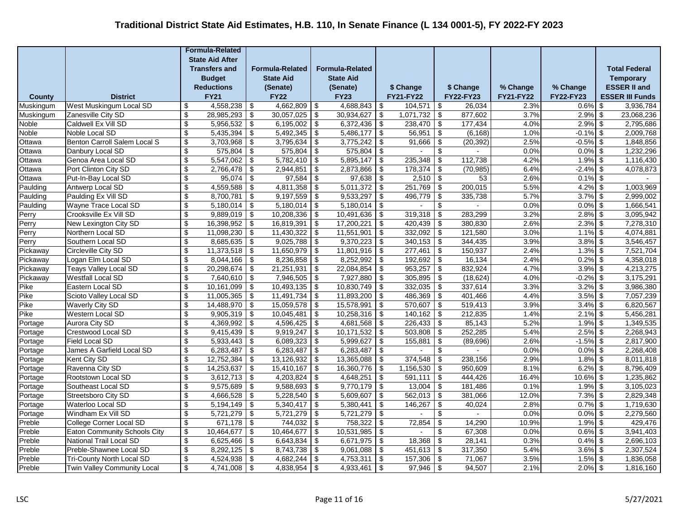|                  |                                                                |                           | <b>Formula-Related</b>  |                                         |                        |                                        |                        |                          |                      |                                                       |                       |                  |                            |                         |
|------------------|----------------------------------------------------------------|---------------------------|-------------------------|-----------------------------------------|------------------------|----------------------------------------|------------------------|--------------------------|----------------------|-------------------------------------------------------|-----------------------|------------------|----------------------------|-------------------------|
|                  |                                                                |                           | <b>State Aid After</b>  |                                         |                        |                                        |                        |                          |                      |                                                       |                       |                  |                            |                         |
|                  |                                                                |                           | <b>Transfers and</b>    |                                         | <b>Formula-Related</b> |                                        | <b>Formula-Related</b> |                          |                      |                                                       |                       |                  |                            | <b>Total Federal</b>    |
|                  |                                                                |                           | <b>Budget</b>           |                                         | <b>State Aid</b>       |                                        | <b>State Aid</b>       |                          |                      |                                                       |                       |                  |                            | <b>Temporary</b>        |
|                  |                                                                |                           | <b>Reductions</b>       |                                         | (Senate)               |                                        | (Senate)               |                          | \$ Change            |                                                       | \$ Change             | % Change         | % Change                   | <b>ESSER II and</b>     |
| County           | <b>District</b>                                                |                           | <b>FY21</b>             |                                         | <b>FY22</b>            |                                        | <b>FY23</b>            |                          | <b>FY21-FY22</b>     |                                                       | <b>FY22-FY23</b>      | <b>FY21-FY22</b> | <b>FY22-FY23</b>           | <b>ESSER III Funds</b>  |
| Muskingum        | West Muskingum Local SD                                        | \$                        | 4,558,238               | \$                                      | 4,662,809              | \$                                     | 4,688,843              | -\$                      | 104,571              | \$                                                    | 26.034                | 2.3%             | $0.6\%$ \$                 | 3,936,784               |
| Muskingum        | Zanesville City SD                                             | \$<br>\$                  | 28,985,293<br>5,956,532 | $\overline{\mathbf{S}}$                 | 30,057,025             | \$                                     | 30,934,627             | <b>\$</b>                | 1,071,732<br>238,470 | \$                                                    | 877,602<br>177,434    | 3.7%<br>4.0%     | $2.9\%$ \$<br>$2.9\%$ \$   | 23,068,236<br>2,795,686 |
| Noble            | Caldwell Ex Vill SD                                            | \$                        | 5,435,394               | \$                                      | 6,195,002              | $\overline{\boldsymbol{\mathfrak{s}}}$ | 6,372,436              | \$                       |                      | $\boldsymbol{\mathsf{S}}$                             |                       | 1.0%             |                            |                         |
| Noble<br>Ottawa  | Noble Local SD<br>Benton Carroll Salem Local S                 | $\boldsymbol{\mathsf{S}}$ | 3,703,968               | $\boldsymbol{\mathsf{S}}$<br>$\sqrt{3}$ | 5,492,345<br>3,795,634 | \$<br>$\overline{\mathcal{L}}$         | 5,486,177<br>3,775,242 | -\$<br>$\sqrt{3}$        | 56,951<br>91,666     | $\boldsymbol{\mathsf{S}}$<br>$\overline{\mathcal{L}}$ | (6, 168)<br>(20, 392) | 2.5%             | $-0.1\%$ \$<br>$-0.5\%$ \$ | 2,009,768<br>1,848,856  |
| Ottawa           | Danbury Local SD                                               | $\sqrt[6]{\frac{1}{2}}$   | 575,804                 | $\overline{\mathbf{3}}$                 | $575,804$ \$           |                                        | $575,804$ \$           |                          |                      | \$                                                    |                       | 0.0%             | $0.0\%$ \$                 | 1,232,296               |
| Ottawa           | Genoa Area Local SD                                            | \$                        | 5,547,062               | \$                                      | $5,782,410$ \$         |                                        | 5,895,147              | -\$                      | 235,348              | $\boldsymbol{\mathsf{S}}$                             | 112,738               | 4.2%             | $1.9\%$ \$                 | 1,116,430               |
| Ottawa           | Port Clinton City SD                                           | \$                        | 2,766,478               | \$                                      | 2,944,851              | \$                                     | 2,873,866              | \$                       | 178,374              | \$                                                    | (70, 985)             | 6.4%             | $-2.4\%$ \$                | 4,078,873               |
| Ottawa           | Put-In-Bay Local SD                                            | \$                        | 95,074                  | $\overline{\mathbf{e}}$                 | 97,584                 | \$                                     | 97,638                 | \$                       | 2,510                | $\overline{\boldsymbol{\mathfrak{s}}}$                | 53                    | 2.6%             | $0.1\%$ \$                 |                         |
| Paulding         | Antwerp Local SD                                               | \$                        | 4,559,588               | $\sqrt[6]{\frac{1}{2}}$                 | 4,811,358              | \$                                     | 5,011,372              | -\$                      | 251,769              | $\boldsymbol{\mathsf{S}}$                             | 200,015               | 5.5%             | $4.2\%$ \$                 | 1,003,969               |
| Paulding         | Paulding Ex Vill SD                                            | $\overline{\mathcal{L}}$  | 8,700,781               | \$                                      | 9,197,559              | \$                                     | 9,533,297              | -\$                      | 496,779              | \$                                                    | 335,738               | 5.7%             | $3.7\%$ \$                 | 2,999,002               |
| Paulding         | Wayne Trace Local SD                                           | $\overline{\$}$           | 5,180,014               | $\overline{\$}$                         | 5,180,014              | $\overline{\mathcal{L}}$               | 5,180,014              | $\overline{\mathcal{F}}$ |                      | $\overline{\$}$                                       |                       | 0.0%             | $0.0\%$ \$                 | 1,666,541               |
| Perry            | Crooksville Ex Vill SD                                         | \$                        | 9,889,019               | $\sqrt[6]{\frac{1}{2}}$                 | 10,208,336             | \$                                     | 10,491,636             | <b>\$</b>                | 319,318              | $\boldsymbol{\mathsf{S}}$                             | 283,299               | 3.2%             | $2.8\%$ \$                 | 3,095,942               |
| Perry            | New Lexington City SD                                          | \$                        | 16,398,952              | $\overline{\boldsymbol{\mathfrak{s}}}$  | 16,819,391             | \$                                     | 17,200,221             | -\$                      | 420,439              | $\boldsymbol{\mathsf{S}}$                             | 380,830               | 2.6%             | $2.3\%$ \$                 | 7,278,310               |
| Perry            | Northern Local SD                                              | \$                        | 11,098,230              | $\sqrt[6]{\frac{1}{2}}$                 | 11,430,322             | \$                                     | 11,551,901             | -\$                      | 332,092              | $\sqrt[6]{\frac{1}{2}}$                               | 121,580               | 3.0%             | $1.1\%$ \$                 | 4,074,881               |
| Perry            | Southern Local SD                                              | \$                        | 8,685,635               | \$                                      | 9,025,788              | -\$                                    | 9,370,223              | -\$                      | 340,153              | $\boldsymbol{\mathsf{S}}$                             | 344,435               | 3.9%             | $3.8\%$ \$                 | 3,546,457               |
| Pickaway         | Circleville City SD                                            | $\sqrt[6]{\frac{1}{2}}$   | 11,373,518              | $\sqrt{2}$                              | 11,650,979             | -\$                                    | 11,801,916             | -\$                      | 277,461              | $\boldsymbol{\mathsf{S}}$                             | 150,937               | 2.4%             | $1.3\%$ \$                 | 7,521,704               |
| Pickaway         | Logan Elm Local SD                                             | $\sqrt[6]{\frac{1}{2}}$   | 8,044,166               | $\sqrt{3}$                              | 8,236,858              | $\overline{\$}$                        | 8,252,992              | -\$                      | $192,692$ \$         |                                                       | 16,134                | 2.4%             | $0.2\%$ \$                 | 4,358,018               |
| Pickaway         | <b>Teays Valley Local SD</b>                                   | $\sqrt[6]{3}$             | 20,298,674              | \$                                      | $21,251,931$ \$        |                                        | 22,084,854             | -\$                      | $953,257$ \$         |                                                       | 832,924               | 4.7%             | $3.9\%$ \$                 | 4,213,275               |
| Pickaway         | <b>Westfall Local SD</b>                                       | \$                        | 7,640,610               | \$                                      | 7,946,505              | \$                                     | 7,927,880              | <b>\$</b>                | 305,895              | $\sqrt[6]{\frac{1}{2}}$                               | (18, 624)             | 4.0%             | $-0.2\%$ \$                | 3,175,291               |
| Pike             | Eastern Local SD                                               | \$                        | 10,161,099              | \$                                      | 10,493,135             | \$                                     | 10,830,749             | -\$                      | 332,035              | \$                                                    | 337,614               | 3.3%             | $3.2\%$ \$                 | 3,986,380               |
| Pike             | Scioto Valley Local SD                                         | $\sqrt[6]{\frac{1}{2}}$   | 11,005,365              | \$                                      | 11,491,734             | \$                                     | 11,893,200             | -\$                      | 486,369              | $\boldsymbol{\mathsf{S}}$                             | 401,466               | 4.4%             | $3.5\%$ \$                 | 7,057,239               |
| Pike             | Waverly City SD                                                | \$                        | 14,488,970              | $\boldsymbol{\mathsf{S}}$               | 15,059,578             | \$                                     | 15,578,991             | -\$                      | 570,607              | $\boldsymbol{\mathsf{S}}$                             | 519,413               | 3.9%             | $3.4\%$ \$                 | 6,820,567               |
| Pike             | Western Local SD                                               | \$                        | 9,905,319               | $\overline{\mathcal{E}}$                | 10,045,481             | \$                                     | 10,258,316             | \$                       | 140,162              | $\overline{\mathcal{E}}$                              | 212,835               | 1.4%             | $2.1\%$ \$                 | 5,456,281               |
| Portage          | <b>Aurora City SD</b>                                          | s)                        | 4,369,992               | $\overline{\boldsymbol{\mathfrak{s}}}$  | 4,596,425              | $\overline{\boldsymbol{\mathfrak{s}}}$ | 4,681,568              | -\$                      | 226,433              | $\overline{\boldsymbol{\mathfrak{s}}}$                | 85,143                | 5.2%             | $1.9\%$ \$                 | 1,349,535               |
| Portage          | Crestwood Local SD                                             | \$                        | 9,415,439               | $\overline{\boldsymbol{\mathfrak{s}}}$  | 9,919,247              | -\$                                    | 10,171,532             | -\$                      | 503,808              | $\overline{\boldsymbol{\mathfrak{s}}}$                | 252,285               | 5.4%             | $2.5\%$ \$                 | 2,268,943               |
| Portage          | <b>Field Local SD</b>                                          | \$                        | 5,933,443               | $\sqrt[6]{\frac{1}{2}}$                 | 6,089,323              | \$                                     | 5,999,627              | -\$                      | 155,881              | \$                                                    | (89, 696)             | 2.6%             | $-1.5\%$ \$                | 2,817,900               |
| Portage          | James A Garfield Local SD                                      | $\sqrt[6]{\frac{1}{2}}$   | 6,283,487               | $\overline{\boldsymbol{\mathfrak{s}}}$  | 6,283,487              | -\$                                    | 6,283,487              | -\$                      | $\mathbf{r}$         | $\overline{\mathcal{G}}$                              | $\sim$                | 0.0%             | $0.0\%$ \$                 | 2,268,408               |
| Portage          | Kent City SD                                                   | \$                        | 12,752,384              | \$                                      | 13,126,932             | $\sqrt[6]{\frac{1}{2}}$                | 13,365,088             | -\$                      | 374,548              | $\overline{\mathcal{S}}$                              | 238,156               | 2.9%             | $1.8\%$ \$                 | 8,011,818               |
| Portage          | Ravenna City SD                                                | $\sqrt[6]{\frac{1}{2}}$   | 14,253,637              | $\overline{\mathcal{L}}$                | 15,410,167             | -\$                                    | 16,360,776             | -\$                      | 1,156,530            | \$                                                    | 950,609               | 8.1%             | $6.2\%$ \$                 | 8,796,409               |
| Portage          | Rootstown Local SD                                             | $\boldsymbol{\mathsf{S}}$ | 3,612,713               | \$                                      | 4,203,824              | \$                                     | 4,648,251              | <b>\$</b>                | 591,111              | \$                                                    | 444,426               | 16.4%            | $10.6\%$ \$                | 1,235,862               |
| Portage          | Southeast Local SD                                             | $\sqrt[6]{\frac{1}{2}}$   | 9,575,689               | \$                                      | $9,588,693$ \$         |                                        | 9,770,179              | $\sqrt{3}$               | $13,004$ \$          |                                                       | 181,486               | 0.1%             | $1.9\%$ \$                 | 3,105,023               |
| Portage          | Streetsboro City SD<br>Waterloo Local SD                       | \$<br>\$                  | 4,666,528<br>5,194,149  | \$                                      | 5,228,540<br>5,340,417 | \$                                     | 5,609,607<br>5,380,441 | \$<br>-\$                | 562,013<br>146,267   | \$<br>\$                                              | 381,066<br>40,024     | 12.0%<br>2.8%    | $7.3\%$ \$<br>$0.7\%$ \$   | 2,829,348<br>1,719,630  |
| Portage          | Windham Ex Vill SD                                             | $\sqrt[6]{\frac{1}{2}}$   | 5,721,279               | \$<br>$\boldsymbol{\mathsf{S}}$         | 5,721,279              | \$<br>-\$                              | 5,721,279              | -\$                      |                      | \$                                                    |                       | 0.0%             | $0.0\%$ \$                 | 2,279,560               |
| Portage          |                                                                | $\sqrt[6]{\frac{1}{2}}$   | 671,178                 |                                         | 744,032                |                                        | 758,322                | -\$                      | 72,854               | $\sqrt{2}$                                            | 14,290                | 10.9%            | $1.9\%$ \$                 | 429,476                 |
| Preble<br>Preble | College Corner Local SD<br><b>Eaton Community Schools City</b> | \$                        | 10,464,677              | \$<br>\$                                | 10,464,677             | \$<br>\$                               | 10,531,985             | -\$                      |                      | \$                                                    | 67,308                | 0.0%             | $0.6\%$ \$                 | 3,941,403               |
| Preble           | National Trail Local SD                                        | \$                        | 6,625,466               | $\overline{\boldsymbol{\mathfrak{s}}}$  | 6,643,834              | $\overline{\boldsymbol{\mathfrak{s}}}$ | 6,671,975              | -\$                      | 18,368               | $\overline{\boldsymbol{\mathfrak{s}}}$                | 28,141                | 0.3%             | $0.4\%$ \$                 | 2,696,103               |
| Preble           | Preble-Shawnee Local SD                                        | \$                        | 8,292,125               | $\overline{\mathbf{e}}$                 | 8,743,738              | \$                                     | 9,061,088              | <b>\$</b>                | 451,613              | $\sqrt[6]{\frac{1}{2}}$                               | 317,350               | 5.4%             | $3.6\%$ \$                 | 2,307,524               |
| Preble           | <b>Tri-County North Local SD</b>                               | \$                        | 4,524,938               | $\overline{\mathbf{S}}$                 | 4,682,244              | \$                                     | 4,753,311              | -\$                      | 157,306              | \$                                                    | 71,067                | 3.5%             | $1.5\%$ \$                 | 1,836,058               |
| Preble           | Twin Valley Community Local                                    | \$                        | 4,741,008               | $\sqrt[6]{\frac{1}{2}}$                 | 4,838,954              | \$                                     | 4,933,461              | \$                       | 97,946               | $\boldsymbol{\mathsf{S}}$                             | 94,507                | 2.1%             | $2.0\%$ \$                 | 1,816,160               |
|                  |                                                                |                           |                         |                                         |                        |                                        |                        |                          |                      |                                                       |                       |                  |                            |                         |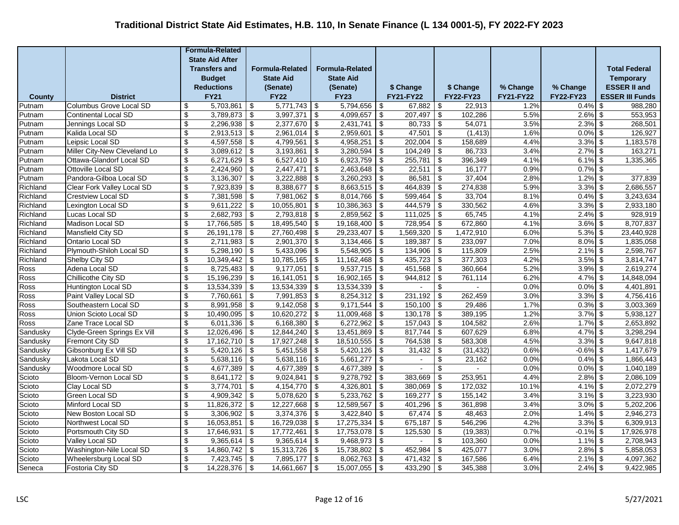|               |                                |                           | <b>Formula-Related</b> |                                        |                        |                                        |                        |            |                  |                                        |           |                  |                  |                        |
|---------------|--------------------------------|---------------------------|------------------------|----------------------------------------|------------------------|----------------------------------------|------------------------|------------|------------------|----------------------------------------|-----------|------------------|------------------|------------------------|
|               |                                |                           | <b>State Aid After</b> |                                        |                        |                                        |                        |            |                  |                                        |           |                  |                  |                        |
|               |                                |                           | <b>Transfers and</b>   |                                        | <b>Formula-Related</b> |                                        | <b>Formula-Related</b> |            |                  |                                        |           |                  |                  | <b>Total Federal</b>   |
|               |                                |                           | <b>Budget</b>          |                                        | <b>State Aid</b>       |                                        | <b>State Aid</b>       |            |                  |                                        |           |                  |                  | <b>Temporary</b>       |
|               |                                |                           | <b>Reductions</b>      |                                        | (Senate)               |                                        | (Senate)               |            | \$ Change        |                                        | \$ Change | % Change         | % Change         | <b>ESSER II and</b>    |
| <b>County</b> | <b>District</b>                |                           | <b>FY21</b>            |                                        | <b>FY22</b>            |                                        | <b>FY23</b>            |            | <b>FY21-FY22</b> |                                        | FY22-FY23 | <b>FY21-FY22</b> | <b>FY22-FY23</b> | <b>ESSER III Funds</b> |
| Putnam        | <b>Columbus Grove Local SD</b> | \$                        | 5,703,861              | \$                                     | $5,771,743$ \$         |                                        | 5,794,656              | -\$        | 67,882           | \$                                     | 22,913    | 1.2%             | $0.4\%$ \$       | 988,280                |
| Putnam        | Continental Local SD           | \$                        | 3,789,873              | \$                                     | 3,997,371              | \$                                     | 4,099,657              | -\$        | 207,497          | \$                                     | 102,286   | 5.5%             | $2.6\%$ \$       | 553,953                |
| Putnam        | Jennings Local SD              | $\sqrt[6]{3}$             | 2,296,938              | \$                                     | 2,377,670              | \$                                     | 2,431,741              | -\$        | 80,733           | $\sqrt[6]{3}$                          | 54,071    | 3.5%             | $2.3\%$ \$       | 268,501                |
| Putnam        | Kalida Local SD                | \$                        | 2,913,513              | \$                                     | 2,961,014              | \$                                     | 2,959,601              | -\$        | 47,501           | \$                                     | (1, 413)  | 1.6%             | $0.0\%$ \$       | 126,927                |
| Putnam        | Leipsic Local SD               | $\sqrt[6]{3}$             | 4,597,558              | \$                                     | 4,799,561              | \$                                     | 4,958,251              | \$         | 202,004          | \$                                     | 158,689   | 4.4%             | $3.3\%$ \$       | 1,183,578              |
| Putnam        | Miller City-New Cleveland Lo   | \$                        | 3,089,612              | $\boldsymbol{\mathsf{S}}$              | 3,193,861              | \$                                     | 3,280,594              | <b>\$</b>  | $104,249$ \$     |                                        | 86,733    | 3.4%             | $2.7\%$ \$       | 163,271                |
| Putnam        | Ottawa-Glandorf Local SD       | \$                        | 6,271,629              | \$                                     | $6,527,410$ \$         |                                        | 6,923,759              | l \$       | 255,781          | $\overline{\boldsymbol{\mathfrak{s}}}$ | 396,349   | 4.1%             | $6.1\%$ \$       | 1,335,365              |
| Putnam        | Ottoville Local SD             | \$                        | 2,424,960              | $\sqrt[6]{\frac{1}{2}}$                | 2,447,471              | $\sqrt[6]{3}$                          | 2,463,648              | <b>\$</b>  | 22,511           | $\sqrt[6]{\frac{1}{2}}$                | 16,177    | 0.9%             | $0.7\%$ \$       |                        |
| Putnam        | Pandora-Gilboa Local SD        | \$                        | 3,136,307              | \$                                     | 3,222,888              | -\$                                    | 3,260,293              | -\$        | 86,581           | $\boldsymbol{\mathsf{S}}$              | 37,404    | 2.8%             | $1.2\%$ \$       | 377,839                |
| Richland      | Clear Fork Valley Local SD     | $\mathbb{S}$              | 7,923,839              | \$                                     | 8,388,677              | $\sqrt[6]{\frac{1}{2}}$                | 8,663,515              | \$         | 464,839          | $\overline{\mathbf{S}}$                | 274,838   | 5.9%             | $3.3\%$ \$       | 2,686,557              |
| Richland      | <b>Crestview Local SD</b>      | \$                        | 7,381,598              | $\sqrt{3}$                             | 7,981,062              | -\$                                    | 8,014,766              | -\$        | 599,464          | $\boldsymbol{\mathsf{S}}$              | 33,704    | 8.1%             | $0.4\%$ \$       | 3,243,634              |
| Richland      | Lexington Local SD             | $\sqrt[6]{3}$             | 9,611,222              | $\overline{\$}$                        | 10,055,801             | $\overline{\$}$                        | 10,386,363             | -\$        | 444,579          | $\overline{\mathcal{L}}$               | 330,562   | 4.6%             | $3.3\%$ \$       | 2,933,180              |
| Richland      | Lucas Local SD                 | \$                        | 2,682,793              | \$                                     | $2,793,818$ \$         |                                        | 2,859,562              | l \$       | 111,025          | -\$                                    | 65,745    | 4.1%             | $2.4\%$ \$       | 928,919                |
| Richland      | Madison Local SD               | \$                        | 17,766,585             | \$                                     | 18,495,540             | \$                                     | 19,168,400             | -\$        | 728,954          | \$                                     | 672,860   | 4.1%             | $3.6\%$ \$       | 8,707,837              |
| Richland      | Mansfield City SD              | \$                        | 26, 191, 178           | \$                                     | 27,760,498             | \$                                     | 29,233,407             | \$         | 1,569,320        | \$                                     | 1,472,910 | 6.0%             | $5.3\%$ \$       | 23,440,928             |
| Richland      | Ontario Local SD               | \$                        | 2,711,983              | \$                                     | 2,901,370              | -\$                                    | 3,134,466              | -\$        | 189,387          | $\boldsymbol{\theta}$                  | 233,097   | 7.0%             | $8.0\%$ \$       | 1,835,058              |
| Richland      | Plymouth-Shiloh Local SD       | \$                        | 5,298,190              | \$                                     | 5,433,096              | \$                                     | 5,548,905              | -\$        | 134,906          | \$                                     | 115,809   | 2.5%             | $2.1\%$ \$       | 2,598,767              |
| Richland      | Shelby City SD                 | \$                        | 10,349,442             | $\overline{\mathcal{L}}$               | $10,785,165$ \$        |                                        | 11,162,468             | \$         | $435,723$ \$     |                                        | 377,303   | 4.2%             | $3.5\%$ \$       | 3,814,747              |
| Ross          | Adena Local SD                 | $\sqrt[6]{\frac{1}{2}}$   | 8,725,483              | $\overline{\boldsymbol{\mathfrak{s}}}$ | 9,177,051              | \$                                     | 9,537,715              | <b>\$</b>  | $451,568$ \$     |                                        | 360,664   | 5.2%             | $3.9\%$ \$       | 2,619,274              |
| Ross          | Chillicothe City SD            | \$                        | 15,196,239             | \$                                     | 16,141,051             | -\$                                    | 16,902,165             | l \$       | 944,812          | $\sqrt[6]{3}$                          | 761,114   | 6.2%             | $4.7\%$ \$       | 14,848,094             |
| Ross          | Huntington Local SD            | $\sqrt[6]{3}$             | 13,534,339             | $\overline{\boldsymbol{\mathfrak{s}}}$ | 13,534,339             | \$                                     | 13,534,339             | l \$       | $\blacksquare$   | \$                                     | $\sim$    | 0.0%             | $0.0\%$ \$       | 4,401,891              |
| Ross          | Paint Valley Local SD          | $\boldsymbol{\mathsf{s}}$ | 7,760,661              | $\sqrt[6]{\frac{1}{2}}$                | 7,991,853              | \$                                     | 8,254,312              | $\sqrt{3}$ | 231,192          | $\boldsymbol{\mathsf{S}}$              | 262,459   | 3.0%             | $3.3\%$ \$       | 4,756,416              |
| Ross          | Southeastern Local SD          | \$                        | 8,991,958              | \$                                     | 9,142,058              | \$                                     | 9,171,544              | -\$        | 150,100          | \$                                     | 29,486    | 1.7%             | $0.3\%$ \$       | 3,003,369              |
| Ross          | Union Scioto Local SD          | $\sqrt[6]{3}$             | 10,490,095             | $\overline{\mathcal{L}}$               | 10,620,272             | $\overline{\mathcal{L}}$               | 11,009,468             | \$         | 130,178          | $\overline{\mathcal{L}}$               | 389,195   | 1.2%             | $3.7\%$ \$       | 5,938,127              |
| Ross          | Zane Trace Local SD            | $\sqrt[6]{3}$             | 6,011,336              | \$                                     | $6,168,380$ \$         |                                        | 6,272,962              | $\sqrt{3}$ | $157,043$ \$     |                                        | 104,582   | 2.6%             | $1.7\%$ \$       | 2,653,892              |
| Sandusky      | Clyde-Green Springs Ex Vill    | \$                        | 12,026,496             | \$                                     | $12,844,240$ \$        |                                        | 13,451,869             | l \$       | 817,744          | \$                                     | 607,629   | 6.8%             | $4.7\%$ \$       | 3,298,294              |
| Sandusky      | <b>Fremont City SD</b>         | \$                        | 17,162,710             | \$                                     | 17,927,248             | \$                                     | 18,510,555             | -\$        | 764,538          | \$                                     | 583,308   | 4.5%             | $3.3\%$ \$       | 9,647,818              |
| Sandusky      | Gibsonburg Ex Vill SD          | $\overline{\mathbf{S}}$   | 5,420,126              | $\overline{\boldsymbol{\mathfrak{s}}}$ | 5,451,558              | $\overline{\boldsymbol{\mathfrak{s}}}$ | 5,420,126              | -\$        | 31,432           | $\overline{\boldsymbol{\mathfrak{s}}}$ | (31, 432) | 0.6%             | $-0.6\%$ \$      | 1,417,679              |
| Sandusky      | Lakota Local SD                | $\mathfrak{S}$            | 5,638,116              | $\boldsymbol{\mathsf{S}}$              | 5,638,116              | \$                                     | 5,661,277              | $\sqrt{3}$ |                  | \$                                     | 23,162    | 0.0%             | $0.4\%$ \$       | 1,866,443              |
| Sandusky      | Woodmore Local SD              | \$                        | 4,677,389              | $\overline{\mathcal{L}}$               | 4,677,389              | -\$                                    | 4,677,389              | -\$        |                  | \$                                     |           | 0.0%             | $0.0\%$ \$       | 1,040,189              |
| Scioto        | Bloom-Vernon Local SD          | $\boldsymbol{\mathsf{S}}$ | 8,641,172              | $\overline{\mathbf{3}}$                | 9,024,841              | $\overline{\boldsymbol{\mathfrak{s}}}$ | 9,278,792              | l \$       | 383,669          | $\overline{\boldsymbol{\theta}}$       | 253,951   | 4.4%             | $2.8\%$ \$       | 2,086,109              |
| Scioto        | Clay Local SD                  | $\sqrt[6]{3}$             | 3,774,701              | \$                                     | $4,154,770$ \$         |                                        | 4,326,801              | l \$       | $380,069$ \$     |                                        | 172,032   | 10.1%            | $4.1\%$ \$       | 2,072,279              |
| Scioto        | Green Local SD                 | \$                        | 4,909,342              | \$                                     | 5,078,620              | \$                                     | 5,233,762              | <b>\$</b>  | 169,277          | \$                                     | 155,142   | 3.4%             | $3.1\%$ \$       | 3,223,930              |
| Scioto        | Minford Local SD               | \$                        | 11,826,372             | \$                                     | 12,227,668             | \$                                     | 12,589,567             | -\$        | 401,296          | \$                                     | 361,898   | 3.4%             | $3.0\%$ \$       | 5,202,206              |
| Scioto        | New Boston Local SD            | $\sqrt[6]{3}$             | 3,306,902              | \$                                     | 3,374,376              | -\$                                    | 3,422,840              | -\$        | 67,474           | $\boldsymbol{\mathsf{S}}$              | 48,463    | 2.0%             | $1.4\%$ \$       | 2,946,273              |
| Scioto        | Northwest Local SD             | \$                        | 16,053,851             | \$                                     | 16,729,038             | \$                                     | 17,275,334             | -\$        | 675,187          | $\sqrt{2}$                             | 546,296   | 4.2%             | $3.3\%$ \$       | 6,309,913              |
| Scioto        | Portsmouth City SD             | \$                        | 17,646,931             | \$                                     | 17,772,461             | \$                                     | 17,753,078             | -\$        | 125,530          | \$                                     | (19, 383) | 0.7%             | $-0.1\%$ \$      | 17,926,978             |
| Scioto        | Valley Local SD                | \$                        | 9,365,614              | \$                                     | $9,365,614$ \$         |                                        | 9,468,973              | -\$        |                  | \$                                     | 103,360   | 0.0%             | $1.1\%$ \$       | 2,708,943              |
| Scioto        | Washington-Nile Local SD       | \$                        | 14,860,742             | \$                                     | 15,313,726             | -\$                                    | 15,738,802             | l \$       | 452,984          | $\overline{\mathfrak{s}}$              | 425,077   | 3.0%             | $2.8\%$ \$       | 5,858,053              |
| Scioto        | Wheelersburg Local SD          | \$                        | 7,423,745              | $\overline{\mathbf{S}}$                | $7,895,177$ \$         |                                        | 8,062,763              | -\$        | 471,432          | $\boldsymbol{\mathsf{S}}$              | 167,586   | 6.4%             | $2.1\%$ \$       | 4,097,362              |
| Seneca        | Fostoria City SD               | $\boldsymbol{\mathsf{s}}$ | 14,228,376             | $\sqrt[6]{\frac{1}{2}}$                | 14,661,667             | \$                                     | 15,007,055             | $\sqrt{3}$ | 433,290          | \$                                     | 345,388   | 3.0%             | $2.4\%$ \$       | 9,422,985              |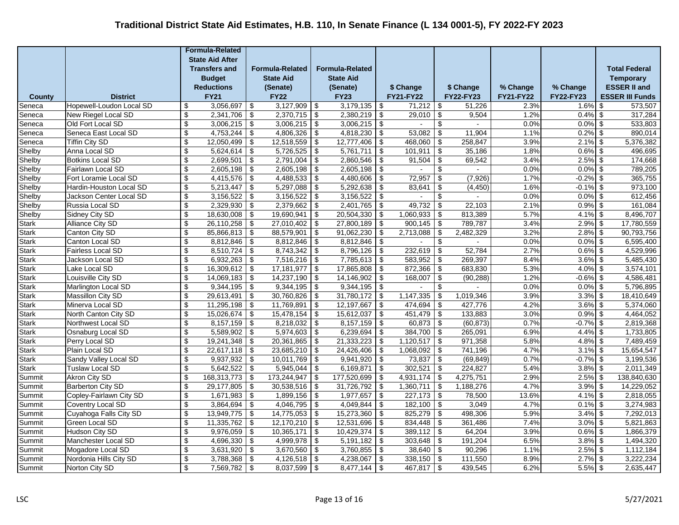|               |                          |                           | <b>Formula-Related</b>                                          |                                        |                        |                                        |                  |               |                  |                                        |           |                  |             |                                          |                        |
|---------------|--------------------------|---------------------------|-----------------------------------------------------------------|----------------------------------------|------------------------|----------------------------------------|------------------|---------------|------------------|----------------------------------------|-----------|------------------|-------------|------------------------------------------|------------------------|
|               |                          |                           | <b>State Aid After</b><br><b>Transfers and</b><br><b>Budget</b> |                                        |                        |                                        |                  |               |                  |                                        |           |                  |             |                                          |                        |
|               |                          |                           |                                                                 |                                        | <b>Formula-Related</b> | <b>Formula-Related</b>                 |                  |               |                  |                                        |           |                  |             | <b>Total Federal</b><br><b>Temporary</b> |                        |
|               |                          |                           |                                                                 |                                        | <b>State Aid</b>       |                                        | <b>State Aid</b> |               |                  |                                        |           |                  |             |                                          |                        |
|               |                          |                           | <b>Reductions</b>                                               |                                        | (Senate)               |                                        | (Senate)         |               | \$ Change        |                                        | \$ Change | % Change         | % Change    |                                          | <b>ESSER II and</b>    |
| <b>County</b> | <b>District</b>          |                           | <b>FY21</b>                                                     |                                        | <b>FY22</b>            |                                        | <b>FY23</b>      |               | <b>FY21-FY22</b> |                                        | FY22-FY23 | <b>FY21-FY22</b> | FY22-FY23   |                                          | <b>ESSER III Funds</b> |
| Seneca        | Hopewell-Loudon Local SD | \$                        | 3,056,697                                                       | \$                                     | $3,127,909$ \$         |                                        | 3,179,135        | <b>\$</b>     | 71,212           | \$                                     | 51.226    | 2.3%             | $1.6\%$ \$  |                                          | 573,507                |
| Seneca        | New Riegel Local SD      | \$                        | 2,341,706                                                       | \$                                     | $2,370,715$ \$         |                                        | 2,380,219        | l \$          | 29,010           | \$                                     | 9,504     | 1.2%             | $0.4\%$ \$  |                                          | 317,284                |
| Seneca        | Old Fort Local SD        | $\sqrt[6]{3}$             | 3,006,215                                                       | \$                                     | 3,006,215              | \$                                     | 3,006,215        | \$            |                  | \$                                     | $\sim$    | 0.0%             | $0.0\%$ \$  |                                          | 533,803                |
| Seneca        | Seneca East Local SD     | \$                        | 4,753,244                                                       | \$                                     | 4,806,326              | \$                                     | 4,818,230        | -\$           | 53,082           | $\boldsymbol{\mathsf{S}}$              | 11,904    | 1.1%             | $0.2\%$ \$  |                                          | 890,014                |
| Seneca        | <b>Tiffin City SD</b>    | $\sqrt[6]{3}$             | 12,050,499                                                      | $\sqrt{2}$                             | 12,518,559             | \$                                     | 12,777,406       | \$            | 468,060          | $\overline{\mathcal{L}}$               | 258,847   | 3.9%             | $2.1\%$ \$  |                                          | 5,376,382              |
| Shelby        | Anna Local SD            | $\sqrt[6]{3}$             | $5,624,614$ \$                                                  |                                        | $5,726,525$ \$         |                                        | 5,761,711        | \$            | 101,911          | \$                                     | 35,186    | 1.8%             | $0.6\%$ \$  |                                          | 496,695                |
| Shelby        | <b>Botkins Local SD</b>  | \$                        | 2,699,501                                                       | \$                                     | $2,791,004$ \$         |                                        | 2,860,546        | <b>\$</b>     | 91,504           | $\overline{\boldsymbol{\mathfrak{s}}}$ | 69,542    | 3.4%             | $2.5\%$ \$  |                                          | 174,668                |
| Shelby        | Fairlawn Local SD        | \$                        | 2,605,198                                                       | $\sqrt[6]{\frac{1}{2}}$                | 2,605,198              | $\sqrt[6]{3}$                          | 2,605,198        | $\sqrt{3}$    |                  | \$                                     |           | 0.0%             | $0.0\%$ \$  |                                          | 789,205                |
| Shelby        | Fort Loramie Local SD    | $\sqrt[6]{\frac{1}{2}}$   | 4,415,576                                                       | $\overline{\mathbf{e}}$                | 4,488,533              | -\$                                    | 4,480,606        | -\$           | 72,957           | $\overline{\mathbf{S}}$                | (7, 926)  | 1.7%             | $-0.2\%$ \$ |                                          | 365,755                |
| Shelby        | Hardin-Houston Local SD  | $\mathfrak{S}$            | 5,213,447                                                       | $\overline{\mathbf{s}}$                | 5,297,088              | $\sqrt[6]{\frac{1}{2}}$                | 5,292,638        | \$            | 83,641           | \$                                     | (4, 450)  | 1.6%             | $-0.1\%$ \$ |                                          | 973,100                |
| Shelby        | Jackson Center Local SD  | \$                        | 3,156,522                                                       | $\sqrt{3}$                             | 3,156,522              | -\$                                    | 3,156,522        | -\$           |                  | \$                                     |           | 0.0%             | $0.0\%$ \$  |                                          | 612,456                |
| Shelby        | Russia Local SD          | $\sqrt[6]{\frac{1}{2}}$   | 2,329,930                                                       | $\overline{\$}$                        | $2,379,662$ \$         |                                        | 2,401,765        | <b>\$</b>     | 49,732           | $\overline{\mathcal{L}}$               | 22,103    | 2.1%             | $0.9\%$ \$  |                                          | 161,084                |
| Shelby        | Sidney City SD           | \$                        | 18,630,008                                                      | \$                                     | 19,690,941             | \$                                     | 20,504,330       | l \$          | $1,060,933$ \$   |                                        | 813,389   | 5.7%             | $4.1\%$ \$  |                                          | 8,496,707              |
| Stark         | <b>Alliance City SD</b>  | \$                        | 26,110,258                                                      | \$                                     | 27,010,402             | \$                                     | 27,800,189       | -\$           | 900,145          | \$                                     | 789,787   | 3.4%             | $2.9\%$ \$  |                                          | 17,780,559             |
| <b>Stark</b>  | Canton City SD           | \$                        | 85,866,813                                                      | \$                                     | 88,579,901             | \$                                     | 91,062,230       | -\$           | 2,713,088        | $\overline{\boldsymbol{\mathfrak{s}}}$ | 2,482,329 | 3.2%             | $2.8\%$ \$  |                                          | 90,793,756             |
| <b>Stark</b>  | Canton Local SD          | \$                        | 8,812,846                                                       | \$                                     | 8,812,846              | \$                                     | 8,812,846        | <b>\$</b>     |                  | \$                                     |           | 0.0%             | $0.0\%$ \$  |                                          | 6,595,400              |
| <b>Stark</b>  | <b>Fairless Local SD</b> | \$                        | 8,510,724                                                       | \$                                     | 8,743,342              | \$                                     | 8,796,126        | -\$           | 232,619          | $\overline{\boldsymbol{\theta}}$       | 52,784    | 2.7%             | $0.6\%$ \$  |                                          | 4,529,996              |
| <b>Stark</b>  | Jackson Local SD         | $\overline{\mathcal{S}}$  | 6,932,263                                                       | $\overline{\mathcal{L}}$               | $7,516,216$ \$         |                                        | $7,785,613$ \$   |               | $583,952$ \$     |                                        | 269,397   | 8.4%             | $3.6\%$ \$  |                                          | 5,485,430              |
| <b>Stark</b>  | Lake Local SD            | $\sqrt[6]{\frac{1}{2}}$   | 16,309,612                                                      | $\overline{\mathbf{e}}$                | $17,181,977$ \$        |                                        | 17,865,808       | -\$           | 872,366          | $\overline{\mathbf{3}}$                | 683,830   | 5.3%             | $4.0\%$ \$  |                                          | 3,574,101              |
| <b>Stark</b>  | Louisville City SD       | \$                        | 14,069,183                                                      | \$                                     | 14,237,190             | -\$                                    | 14,146,902       | l \$          | 168,007          | $\sqrt[6]{3}$                          | (90, 288) | 1.2%             | $-0.6\%$ \$ |                                          | 4,586,481              |
| <b>Stark</b>  | Marlington Local SD      | $\sqrt[6]{\frac{1}{2}}$   | 9,344,195                                                       | $\overline{\boldsymbol{\mathfrak{s}}}$ | 9,344,195              | \$                                     | 9,344,195        | <b>\$</b>     | $\blacksquare$   | \$                                     | $\sim$    | 0.0%             | $0.0\%$ \$  |                                          | 5,796,895              |
| <b>Stark</b>  | Massillon City SD        | $\boldsymbol{\mathsf{s}}$ | 29,613,491                                                      | $\sqrt[6]{\frac{1}{2}}$                | 30,760,826             | \$                                     | 31,780,172       | $\sqrt{3}$    | 1,147,335        | $\boldsymbol{\mathsf{S}}$              | 1,019,346 | 3.9%             | $3.3\%$ \$  |                                          | 18,410,649             |
| <b>Stark</b>  | Minerva Local SD         | \$                        | 11,295,198                                                      | \$                                     | 11,769,891             | \$                                     | 12,197,667       | -\$           | 474,694          | $\boldsymbol{\mathsf{S}}$              | 427,776   | 4.2%             | $3.6\%$ \$  |                                          | 5,374,060              |
| <b>Stark</b>  | North Canton City SD     | $\sqrt[6]{3}$             | 15,026,674                                                      | $\overline{\mathcal{L}}$               | 15,478,154             | \$                                     | 15,612,037       | \$            | 451,479          | $\overline{\mathcal{L}}$               | 133,883   | 3.0%             | $0.9\%$ \$  |                                          | 4,464,052              |
| <b>Stark</b>  | Northwest Local SD       | $\overline{\mathbf{e}}$   | 8,157,159                                                       | $\overline{\boldsymbol{\mathfrak{s}}}$ | $8,218,032$ \$         |                                        | 8,157,159        | \$            | $60,873$ \$      |                                        | (60, 873) | 0.7%             | $-0.7\%$ \$ |                                          | 2,819,368              |
| <b>Stark</b>  | Osnaburg Local SD        | \$                        | 5,589,902                                                       | \$                                     | $5,974,603$ \$         |                                        | 6,239,694        | l \$          | 384,700          | \$                                     | 265,091   | 6.9%             | $4.4\%$ \$  |                                          | 1,733,805              |
| <b>Stark</b>  | Perry Local SD           | \$                        | 19,241,348                                                      | \$                                     | 20,361,865             | \$                                     | 21,333,223       | l \$          | 1,120,517        | \$                                     | 971,358   | 5.8%             | $4.8\%$ \$  |                                          | 7,489,459              |
| Stark         | Plain Local SD           | $\overline{\mathbf{S}}$   | 22,617,118                                                      | $\overline{\boldsymbol{\mathfrak{s}}}$ | 23,685,210             | $\overline{\boldsymbol{\mathfrak{s}}}$ | 24,426,406       | $\frac{1}{2}$ | 1,068,092        | $\overline{\boldsymbol{\mathfrak{s}}}$ | 741,196   | 4.7%             | $3.1\%$ \$  |                                          | 15,654,547             |
| <b>Stark</b>  | Sandy Valley Local SD    | $\mathfrak{s}$            | 9,937,932                                                       | $\overline{\boldsymbol{\mathfrak{s}}}$ | 10,011,769             | $\sqrt[6]{\frac{1}{2}}$                | 9,941,920        | $\sqrt{3}$    | 73,837           | $\overline{\boldsymbol{\mathfrak{s}}}$ | (69, 849) | 0.7%             | $-0.7%$ \$  |                                          | 3,199,536              |
| <b>Stark</b>  | <b>Tuslaw Local SD</b>   | \$                        | 5,642,522                                                       | \$                                     | 5,945,044              | \$                                     | 6,169,871        | -\$           | 302,521          | $\boldsymbol{\mathsf{S}}$              | 224,827   | 5.4%             | $3.8\%$ \$  |                                          | 2,011,349              |
| Summit        | <b>Akron City SD</b>     | $\boldsymbol{\mathsf{S}}$ | 168,313,773                                                     | $\overline{\mathbf{3}}$                | 173,244,947            | \$                                     | 177,520,699      | -\$           | $4,931,174$ \$   |                                        | 4,275,751 | 2.9%             | $2.5\%$ \$  |                                          | 138,840,630            |
| Summit        | <b>Barberton City SD</b> | $\sqrt[6]{3}$             | 29,177,805                                                      | $\overline{\mathbf{3}}$                | $30,538,516$ \$        |                                        | 31,726,792       | l \$          | $1,360,711$ \$   |                                        | 1,188,276 | 4.7%             | $3.9\%$ \$  |                                          | 14,229,052             |
| Summit        | Copley-Fairlawn City SD  | \$                        | 1,671,983                                                       | \$                                     | $1,899,156$ \$         |                                        | 1,977,657        | $\sqrt{3}$    | 227,173          | \$                                     | 78,500    | 13.6%            | $4.1\%$ \$  |                                          | 2,818,055              |
| Summit        | <b>Coventry Local SD</b> | \$                        | 3,864,694                                                       | \$                                     | 4,046,795              | $\overline{\boldsymbol{\mathfrak{s}}}$ | 4,049,844        | -\$           | 182,100          | \$                                     | 3,049     | 4.7%             | $0.1\%$ \$  |                                          | 3,274,983              |
| Summit        | Cuyahoga Falls City SD   | $\sqrt[6]{3}$             | 13,949,775                                                      | \$                                     | 14,775,053             | -\$                                    | 15,273,360       | -\$           | 825,279          | $\boldsymbol{\mathsf{S}}$              | 498,306   | 5.9%             | $3.4\%$ \$  |                                          | 7,292,013              |
| Summit        | Green Local SD           | $\sqrt[6]{3}$             | 11,335,762                                                      | $\sqrt{3}$                             | 12,170,210             | \$                                     | 12,531,696       | -\$           | 834,448          | $\boldsymbol{\mathsf{S}}$              | 361,486   | 7.4%             | $3.0\%$ \$  |                                          | 5,821,863              |
| Summit        | Hudson City SD           | $\sqrt[6]{3}$             | 9,976,059                                                       | \$                                     | 10,365,171             | \$                                     | 10,429,374       | -\$           | 389,112          | \$                                     | 64,204    | 3.9%             | $0.6\%$ \$  |                                          | 1,866,379              |
| Summit        | Manchester Local SD      | \$                        | 4,696,330                                                       | \$                                     | 4,999,978              | \$                                     | 5,191,182        | -\$           | 303,648          | \$                                     | 191,204   | 6.5%             | $3.8\%$ \$  |                                          | 1,494,320              |
| Summit        | Mogadore Local SD        | $\overline{\mathbf{s}}$   | 3,631,920                                                       | $\overline{\mathbf{e}}$                | $3,670,560$ \$         |                                        | 3,760,855        | l \$          | $38,640$ \$      |                                        | 90,296    | 1.1%             | $2.5\%$ \$  |                                          | 1,112,184              |
| Summit        | Nordonia Hills City SD   | \$                        | 3,788,368                                                       | \$                                     | $4,126,518$ \$         |                                        | 4,238,067        | -\$           | 338,150          | \$                                     | 111,550   | 8.9%             | $2.7\%$ \$  |                                          | 3,222,234              |
| Summit        | Norton City SD           | $\boldsymbol{\mathsf{s}}$ | 7,569,782                                                       | $\sqrt[6]{\frac{1}{2}}$                | 8,037,599              | \$                                     | 8,477,144        | \$            | $467,817$ \$     |                                        | 439,545   | 6.2%             | $5.5\%$ \$  |                                          | 2,635,447              |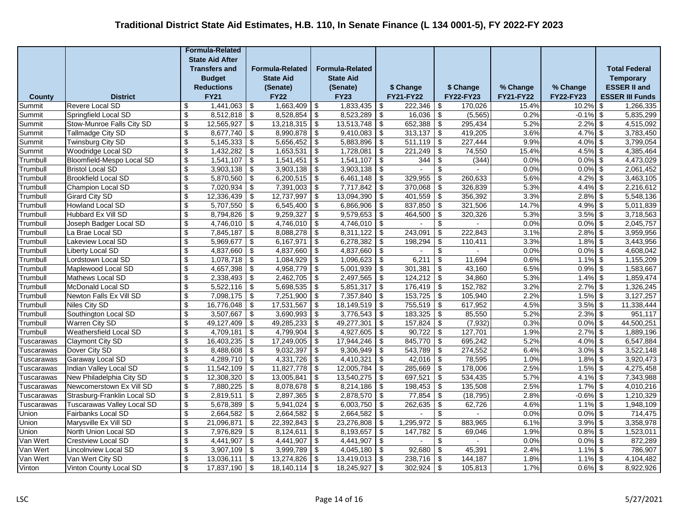|                          |                                          |                                                        | <b>Formula-Related</b>  |                                              |                         |                                        |                         |                         |                              |                          |                   |                  |                          |                                        |
|--------------------------|------------------------------------------|--------------------------------------------------------|-------------------------|----------------------------------------------|-------------------------|----------------------------------------|-------------------------|-------------------------|------------------------------|--------------------------|-------------------|------------------|--------------------------|----------------------------------------|
|                          |                                          |                                                        | <b>State Aid After</b>  |                                              |                         |                                        |                         |                         |                              |                          |                   |                  |                          |                                        |
|                          |                                          |                                                        | <b>Transfers and</b>    |                                              | <b>Formula-Related</b>  |                                        | <b>Formula-Related</b>  |                         |                              |                          |                   |                  |                          | <b>Total Federal</b>                   |
|                          |                                          |                                                        | <b>Budget</b>           |                                              | <b>State Aid</b>        |                                        | <b>State Aid</b>        |                         |                              |                          |                   |                  |                          | <b>Temporary</b>                       |
|                          |                                          |                                                        | <b>Reductions</b>       |                                              | (Senate)                |                                        | (Senate)                |                         | \$ Change                    |                          | \$ Change         | % Change         | % Change                 | <b>ESSER II and</b>                    |
| <b>County</b>            | <b>District</b>                          |                                                        | <b>FY21</b>             |                                              | <b>FY22</b>             |                                        | <b>FY23</b>             |                         | <b>FY21-FY22</b>             |                          | <b>FY22-FY23</b>  | <b>FY21-FY22</b> | FY22-FY23                | <b>ESSER III Funds</b>                 |
| Summit                   | Revere Local SD                          | \$                                                     | 1,441,063               | \$                                           | 1,663,409               | \$                                     | 1,833,435               | -\$                     | 222.346                      | -\$                      | 170.026           | 15.4%            | 10.2%                    | \$<br>1,266,335                        |
| Summit                   | Springfield Local SD                     | \$                                                     | 8,512,818               | \$                                           | 8,528,854               | $\sqrt[6]{3}$                          | 8,523,289               | \$                      | 16,036                       | \$                       | (5, 565)          | 0.2%             | $-0.1%$                  | \$<br>5,835,299                        |
| Summit                   | Stow-Munroe Falls City SD                | $\sqrt[6]{3}$                                          | 12,565,927              | \$                                           | 13,218,315              | $\overline{\mathbf{3}}$                | 13,513,748              | \$                      | 652,388                      | $\overline{\mathsf{I}}$  | 295,434           | 5.2%             | 2.2%                     | \$<br>4,515,092                        |
| Summit                   | Tallmadge City SD                        | \$                                                     | 8,677,740               | \$                                           | 8,990,878               | $\boldsymbol{\mathsf{S}}$              | 9,410,083               | \$                      | $313,137$ \$                 |                          | 419,205           | 3.6%             | 4.7%                     | \$<br>3,783,450                        |
| Summit                   | Twinsburg City SD                        | $\overline{\$}$                                        | 5,145,333               | \$                                           | 5,656,452               | \$                                     | 5,883,896               | \$                      | $511,119$ \$                 |                          | 227,444           | 9.9%             | 4.0%                     | 3,799,054<br>\$                        |
| Summit                   | Woodridge Local SD                       | $\sqrt[6]{3}$                                          | 1,432,282               | \$                                           | 1,653,531               | \$                                     | 1,728,081               | \$                      | 221,249                      | \$                       | 74,550            | 15.4%            | $4.5\%$ \$               | 4,385,464                              |
| Trumbull                 | Bloomfield-Mespo Local SD                | $\overline{\mathbf{S}}$                                | 1,541,107               | $\overline{\boldsymbol{\mathfrak{s}}}$       | 1,541,451               | $\overline{\mathbf{3}}$                | 1,541,107               | $\sqrt{3}$              | 344                          | $\overline{\mathbf{3}}$  | (344)             | 0.0%             | $0.0\%$ \$               | 4,473,029                              |
| Trumbull                 | <b>Bristol Local SD</b>                  | \$                                                     | 3,903,138               | $\sqrt[6]{\frac{1}{2}}$                      | 3,903,138               | $\sqrt[6]{\frac{1}{2}}$                | 3,903,138               | \$                      | $\blacksquare$               | \$                       |                   | 0.0%             | $0.0\%$                  | \$<br>2,061,452                        |
| Trumbull                 | <b>Brookfield Local SD</b>               | $\sqrt[6]{3}$                                          | 5,870,560               | \$                                           | 6,200,515               | $\sqrt[6]{3}$                          | 6,461,148               | \$                      | 329,955                      | \$                       | 260,633           | 5.6%             | 4.2%                     | \$<br>3,463,105                        |
| Trumbull                 | <b>Champion Local SD</b>                 | $\mathbb{S}$                                           | 7,020,934               | \$                                           | 7,391,003               | \$                                     | 7,717,842               | $\sqrt[6]{\frac{1}{2}}$ | 370,068                      | \$                       | 326,839           | 5.3%             | 4.4%                     | $\boldsymbol{\mathsf{S}}$<br>2,216,612 |
| Trumbull                 | <b>Girard City SD</b>                    | $\mathbb{S}$                                           | 12,336,439              | \$                                           | 12,737,997              | \$                                     | 13,094,390              | \$                      | 401,559                      | \$                       | 356,392           | 3.3%             | 2.8%                     | \$<br>5,548,136                        |
| Trumbull                 | <b>Howland Local SD</b>                  | $\sqrt[6]{3}$                                          | 5,707,550               | $\overline{\mathcal{L}}$                     | 6,545,400               | $\overline{\$}$                        | 6,866,906               | \$                      | 837,850                      | $\sqrt{3}$               | 321,506           | 14.7%            | $4.9\%$ \$               | 5,011,839                              |
| Trumbull                 | Hubbard Ex Vill SD                       | $\sqrt[6]{3}$                                          | 8,794,826               | \$                                           | 9,259,327               | \$                                     | 9,579,653               | -\$                     | $464,500$ \$                 |                          | 320,326           | 5.3%             | $3.5\%$ \$               | 3,718,563                              |
| Trumbull                 | Joseph Badger Local SD                   | \$                                                     | 4,746,010               | \$                                           | 4,746,010               | \$                                     | 4,746,010               | \$                      | $\sim$                       | \$                       |                   | 0.0%             | $0.0\%$ \$               | 2,045,757                              |
| Trumbull                 | La Brae Local SD                         | \$                                                     | 7,845,187               | \$                                           | 8,088,278               | \$                                     | 8,311,122               | \$                      | 243,091                      | $\overline{\mathbf{e}}$  | 222,843           | 3.1%             | 2.8%                     | \$<br>3,959,956                        |
| Trumbull                 | Lakeview Local SD                        | \$                                                     | 5,969,677               | \$                                           | 6,167,971               | \$                                     | 6,278,382               | \$                      | 198,294                      | \$                       | 110,411           | 3.3%             | $1.8\%$ \$               | 3,443,956                              |
| Trumbull                 | <b>Liberty Local SD</b>                  | \$                                                     | 4,837,660               | \$                                           | 4,837,660               | \$                                     | 4,837,660               | \$                      |                              | $\overline{\mathcal{S}}$ |                   | 0.0%             | 0.0%                     | \$<br>4,608,042                        |
| Trumbull<br>Trumbull     | Lordstown Local SD<br>Maplewood Local SD | \$                                                     | 1,078,718<br>4,657,398  | $\overline{\mathcal{L}}$                     | 1,084,929               | $\overline{\mathcal{L}}$               | 1,096,623               | \$                      | 6,211<br>301,381             | $\overline{\$}$          | 11,694<br>43,160  | 0.6%<br>6.5%     | $1.1\%$ \$<br>$0.9\%$ \$ | 1,155,209<br>1,583,667                 |
|                          |                                          | $\sqrt[6]{\frac{1}{2}}$<br>\$                          | 2,338,493               | $\overline{\boldsymbol{\mathfrak{s}}}$       | 4,958,779<br>2,462,705  | $\overline{\boldsymbol{\mathfrak{s}}}$ | 5,001,939<br>2,497,565  | -\$                     | $124,212$ \$                 | $\sqrt[6]{\frac{1}{2}}$  | 34,860            | 5.3%             | $1.4\%$ \$               | 1,859,474                              |
| Trumbull                 | Mathews Local SD<br>McDonald Local SD    |                                                        | 5,522,116               | $\sqrt[6]{\frac{1}{2}}$                      | 5,698,535               | $\sqrt[6]{3}$                          |                         | -\$                     |                              |                          | 152,782           | 3.2%             | $2.7\%$ \$               |                                        |
| Trumbull                 |                                          | $\boldsymbol{\mathsf{s}}$<br>$\boldsymbol{\mathsf{s}}$ |                         | \$                                           |                         | $\overline{\mathbf{3}}$                | 5,851,317               | -\$                     | $176,419$ \$<br>$153,725$ \$ |                          | 105,940           | 2.2%             | 1.5%                     | 1,326,245<br>3,127,257                 |
| Trumbull                 | Newton Falls Ex Vill SD                  | \$                                                     | 7,098,175               | \$                                           | 7,251,900               | $\sqrt[6]{3}$                          | 7,357,840               | \$                      |                              |                          |                   |                  |                          | $\boldsymbol{\mathsf{S}}$              |
| Trumbull                 | <b>Niles City SD</b>                     |                                                        | 16,776,048<br>3,507,667 | \$                                           | 17,531,567              | $\boldsymbol{\mathsf{S}}$              | 18,149,519              | \$                      | $755,519$ \$<br>183,325      |                          | 617,952<br>85,550 | 4.5%<br>5.2%     | 3.5%<br>$2.3\%$ \$       | 11,338,444<br>\$<br>951,117            |
| Trumbull                 | Southington Local SD                     | $\sqrt[6]{\frac{1}{2}}$<br>$\sqrt[6]{\frac{1}{2}}$     | 49,127,409              | $\overline{\mathcal{L}}$                     | 3,690,993<br>49,285,233 | $\overline{\$}$                        | 3,776,543<br>49,277,301 | \$<br>\$                | $157,824$ \$                 | $\overline{\mathcal{L}}$ | (7, 932)          | 0.3%             | $0.0\%$ \$               | 44,500,251                             |
| Trumbull                 | Warren City SD<br>Weathersfield Local SD | \$                                                     | 4,709,181               | \$                                           | 4,799,904               | \$                                     | 4,927,605               |                         | $90,722$ \$                  |                          | 127,701           | 1.9%             | $2.7\%$ \$               | 1,889,196                              |
| Trumbull                 | Claymont City SD                         | \$                                                     | 16,403,235              | \$                                           | 17,249,005              | \$<br>\$                               | 17,944,246              | -\$<br>\$               | $845,770$ \$                 |                          | 695,242           | 5.2%             | 4.0%                     | \$<br>6,547,884                        |
| Tuscarawas<br>Tuscarawas | Dover City SD                            | \$                                                     | 8,488,608               | \$<br>$\overline{\boldsymbol{\mathfrak{s}}}$ | 9,032,397               | $\overline{\mathbf{S}}$                | 9,306,949               | \$                      | 543,789                      | $\overline{\mathbf{3}}$  | 274,552           | 6.4%             | $3.0\%$ \$               | 3,522,148                              |
|                          | Garaway Local SD                         | \$                                                     | 4,289,710               | $\boldsymbol{\mathsf{S}}$                    | 4,331,726               | $\sqrt{2}$                             | 4,410,321               |                         | $42,016$ \$                  |                          | 78,595            | 1.0%             | 1.8%                     | $\sqrt[6]{3}$<br>3,920,473             |
| Tuscarawas<br>Tuscarawas | Indian Valley Local SD                   | \$                                                     | 11,542,109              | \$                                           | 11,827,778              | \$                                     | 12,005,784              | \$<br>\$                | $285,669$ \$                 |                          | 178,006           | 2.5%             | $1.5\%$ \$               | 4,275,458                              |
| Tuscarawas               | New Philadelphia City SD                 | $\boldsymbol{\mathsf{s}}$                              | 12,308,320              | $\overline{\boldsymbol{\mathfrak{s}}}$       | 13,005,841              | $\sqrt[6]{\frac{1}{2}}$                | 13,540,275              | -\$                     | 697,521                      | $\overline{\mathsf{I}}$  | 534,435           | 5.7%             | $4.1\%$ \$               | 7,343,988                              |
| Tuscarawas               | Newcomerstown Ex Vill SD                 | $\boldsymbol{\mathsf{s}}$                              | 7,880,225               | $\sqrt[6]{3}$                                | 8,078,678               | $\overline{\mathbf{3}}$                | $8,214,186$ \$          |                         | $198,453$ \$                 |                          | 135,508           | 2.5%             | $1.7\%$ \$               | 4,010,216                              |
| Tuscarawas               | Strasburg-Franklin Local SD              | \$                                                     | 2,819,511               | \$                                           | 2,897,365               | $\overline{\mathbf{3}}$                | 2,878,570               | $\sqrt{3}$              | 77,854                       | <b>\$</b>                | (18, 795)         | 2.8%             | $-0.6\%$ \$              | 1,210,329                              |
| Tuscarawas               | <b>Tuscarawas Valley Local SD</b>        | $\sqrt[6]{\frac{1}{2}}$                                | 5,678,389               | \$                                           | 5,941,024               | $\sqrt[6]{\frac{1}{2}}$                | 6,003,750               | \$                      | 262,635                      | \$                       | 62,726            | 4.6%             | 1.1%                     | \$<br>1,948,109                        |
| Union                    | Fairbanks Local SD                       | $\sqrt[6]{\frac{1}{2}}$                                | 2,664,582               | \$                                           | 2,664,582               | \$                                     | 2,664,582               | \$                      |                              | \$                       |                   | 0.0%             | $0.0\%$ \$               | 714,475                                |
| Union                    | Marysville Ex Vill SD                    | $\sqrt[6]{\frac{1}{2}}$                                | 21,096,871              | \$                                           | 22,392,843              | \$                                     | 23,276,808              | \$                      | 1,295,972                    | \$                       | 883,965           | 6.1%             | 3.9%                     | \$<br>3,358,978                        |
| Union                    | North Union Local SD                     | \$                                                     | 7,976,829               | \$                                           | 8,124,611               | \$                                     | 8,193,657               | \$                      | 147,782                      | \$                       | 69,046            | 1.9%             | $0.8\%$ \$               | 1,523,011                              |
| Van Wert                 | <b>Crestview Local SD</b>                | \$                                                     | 4,441,907               | \$                                           | 4,441,907               | \$                                     | 4,441,907               | \$                      |                              | \$                       |                   | 0.0%             | $0.0\%$ \$               | 872,289                                |
| Van Wert                 | <b>Lincolnview Local SD</b>              | \$                                                     | 3,907,109               | $\sqrt[6]{\frac{1}{2}}$                      | 3,999,789               | $\sqrt[6]{3}$                          | 4,045,180               | -\$                     | 92,680                       | $\sqrt[6]{\frac{1}{2}}$  | 45,391            | 2.4%             | $1.1\%$ \$               | 786,907                                |
| Van Wert                 | Van Wert City SD                         | \$                                                     | 13,036,111              | \$                                           | 13,274,826              | \$                                     | 13,419,013              | -\$                     | 238,716                      | $\sqrt{3}$               | 144,187           | 1.8%             | $1.1\%$ \$               | 4,104,482                              |
| Vinton                   | Vinton County Local SD                   | $\boldsymbol{\mathsf{s}}$                              | 17,837,190              | \$                                           | 18,140,114              | $\overline{\mathbf{3}}$                | 18,245,927              | $\sqrt[6]{3}$           | $302,924$ \$                 |                          | 105,813           | 1.7%             | $0.6\%$ \$               | 8,922,926                              |
|                          |                                          |                                                        |                         |                                              |                         |                                        |                         |                         |                              |                          |                   |                  |                          |                                        |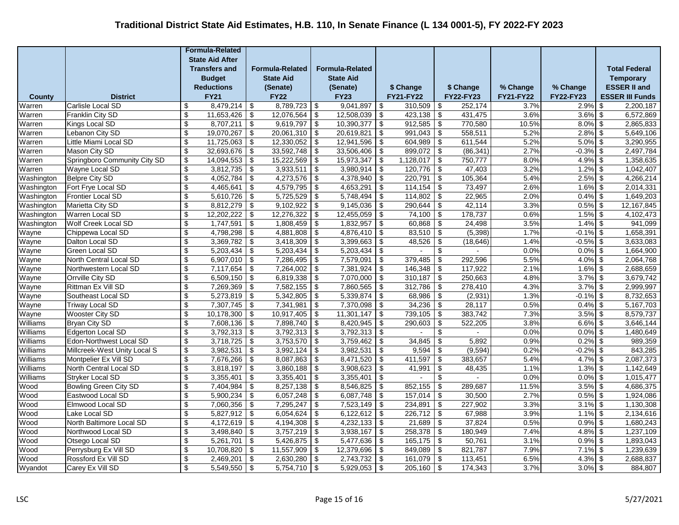|                      |                                              |                          | <b>Formula-Related</b> |                                        |                             |                          |                        |                          |                   |                                                     |                   |                  |                          |                        |
|----------------------|----------------------------------------------|--------------------------|------------------------|----------------------------------------|-----------------------------|--------------------------|------------------------|--------------------------|-------------------|-----------------------------------------------------|-------------------|------------------|--------------------------|------------------------|
|                      |                                              |                          | <b>State Aid After</b> |                                        |                             |                          |                        |                          |                   |                                                     |                   |                  |                          |                        |
|                      |                                              |                          | <b>Transfers and</b>   |                                        | <b>Formula-Related</b>      |                          | <b>Formula-Related</b> |                          |                   |                                                     |                   |                  |                          | <b>Total Federal</b>   |
|                      |                                              |                          | <b>Budget</b>          |                                        | <b>State Aid</b>            |                          | <b>State Aid</b>       |                          |                   |                                                     |                   |                  |                          | <b>Temporary</b>       |
|                      |                                              |                          | <b>Reductions</b>      |                                        | (Senate)                    |                          | (Senate)               |                          | \$ Change         |                                                     | \$ Change         | % Change         | % Change                 | <b>ESSER II and</b>    |
| <b>County</b>        | <b>District</b>                              |                          | <b>FY21</b>            |                                        | <b>FY22</b>                 |                          | <b>FY23</b>            |                          | <b>FY21-FY22</b>  |                                                     | FY22-FY23         | <b>FY21-FY22</b> | <b>FY22-FY23</b>         | <b>ESSER III Funds</b> |
| Warren               | Carlisle Local SD                            | \$                       | 8,479,214              | \$                                     | $8,789,723$ \$              |                          | 9,041,897              | \$                       | 310.509           | \$                                                  | 252.174           | 3.7%             | $2.9\%$ \$               | 2,200,187              |
| Warren               | Franklin City SD                             | \$                       | 11,653,426             | $\overline{\boldsymbol{\mathfrak{s}}}$ | 12,076,564                  | -\$                      | 12,508,039             | -\$                      | 423,138           | \$                                                  | 431,475           | 3.6%             | $3.6\%$ \$               | 6,572,869              |
| Warren               | Kings Local SD                               | \$                       | 8,707,211              | \$                                     | $9,619,797$ \$              |                          | 10,390,377             | \$                       | 912,585           | \$                                                  | 770,580           | 10.5%            | $8.0\%$ \$               | 2,865,833              |
| Warren               | Lebanon City SD                              | \$                       | 19,070,267             | \$                                     | $20,061,310$ \$             |                          | 20,619,821             | \$                       | 991,043           | \$                                                  | 558,511           | 5.2%             | $2.8\%$ \$               | 5,649,106              |
| Warren               | Little Miami Local SD                        | $\overline{\mathcal{L}}$ | 11,725,063             | \$                                     | 12,330,052                  | \$                       | 12,941,596             | \$                       | 604,989           | $\overline{\mathcal{L}}$                            | 611,544           | 5.2%             | $5.0\%$ \$               | 3,290,955              |
| Warren               | Mason City SD                                | $\overline{\mathbf{e}}$  | 32,693,676             | \$                                     | $33,592,748$ \$             |                          | 33,506,406             | -\$                      | $899,072$ \$      |                                                     | (86, 341)         | 2.7%             | $-0.3\%$ \$              | 2,497,784              |
| Warren               | Springboro Community City SD                 | $\overline{\mathbf{e}}$  | 14,094,553             | $\overline{\boldsymbol{\mathfrak{s}}}$ | $15,222,569$ \$             |                          | 15,973,347             | -\$                      | 1,128,017         | -\$                                                 | 750,777           | 8.0%             | $4.9\%$ \$               | 1,358,635              |
| Warren               | Wayne Local SD                               | \$                       | 3,812,735              | $\boldsymbol{\mathsf{S}}$              | $3,933,511$ \$              |                          | 3,980,914              | -\$                      | 120,776           | \$                                                  | 47,403            | 3.2%             | $1.2\%$ \$               | 1,042,407              |
| Washington           | <b>Belpre City SD</b>                        | \$                       | 4,052,784              | $\boldsymbol{\mathsf{S}}$              | 4,273,576                   | -\$                      | 4,378,940              | \$                       | 220,791           | \$                                                  | 105,364           | 5.4%             | $2.5\%$ \$               | 4,266,214              |
| Washington           | Fort Frye Local SD                           | \$                       | 4,465,641              | $\sqrt[6]{\frac{1}{2}}$                | 4,579,795                   | $\sqrt[6]{3}$            | 4,653,291              | \$                       | 114,154           | $\overline{\mathbf{s}}$                             | 73,497            | 2.6%             | $1.6\%$ \$               | 2,014,331              |
| Washington           | Frontier Local SD                            | \$                       | 5,610,726              | $\sqrt{2}$                             | 5,725,529                   | -\$                      | 5,748,494              | \$                       | 114,802           | $\boldsymbol{\mathsf{S}}$                           | 22,965            | 2.0%             | $0.4\%$ \$               | 1,649,203              |
| Washington           | Marietta City SD                             | $\overline{\$}$          | 8,812,279              | $\overline{\$}$                        | 9,102,922                   | $\overline{\mathcal{L}}$ | 9,145,036              | -\$                      | 290,644           | $\overline{\mathcal{L}}$                            | 42,114            | 3.3%             | $0.5\%$ \$               | 12,167,845             |
| Washington           | Warren Local SD                              | \$                       | 12,202,222             | \$                                     | $12,276,322$ \$             |                          | 12,455,059             | -\$                      | $74,100$ \$       |                                                     | 178,737           | 0.6%             | $1.5\%$ \$               | 4,102,473              |
| Washington           | Wolf Creek Local SD                          | \$                       | 1,747,591              | \$                                     | 1,808,459                   | \$                       | 1,832,957              | \$                       | 60,868            | $\overline{\boldsymbol{\theta}}$                    | 24,498            | 3.5%             | $1.4\%$ \$               | 941,099                |
| Wayne                | Chippewa Local SD                            | \$                       | 4,798,298              | \$                                     | 4,881,808                   | \$                       | 4,876,410              | -\$                      | 83,510            | \$                                                  | (5, 398)          | 1.7%             | $-0.1\%$ \$              | 1,658,391              |
| Wayne                | Dalton Local SD                              | \$                       | 3,369,782              | \$                                     | 3,418,309                   | -\$                      | 3,399,663              | \$                       | 48,526            | \$                                                  | (18, 646)         | 1.4%             | $-0.5\%$ \$              | 3,633,083              |
| Wayne                | Green Local SD                               | $\overline{\$}$          | 5,203,434              | \$                                     | 5,203,434                   | \$                       | 5,203,434              | \$                       |                   | $\overline{\mathcal{S}}$                            |                   | 0.0%             | $0.0\%$ \$               | 1,664,900              |
| Wayne                | North Central Local SD                       | $\overline{\mathcal{E}}$ | 6,907,010              | $\overline{\$}$                        | $7,286,495$ \$              |                          | 7,579,091              | $\overline{\mathcal{L}}$ | 379,485           | $\overline{\mathcal{L}}$                            | 292,596           | 5.5%             | $4.0\%$ \$               | 2,064,768              |
| Wayne                | Northwestern Local SD                        | \$                       | 7,117,654              | $\overline{\boldsymbol{\theta}}$       | $7,264,002$ \$              |                          | 7,381,924              | -\$                      | 146,348           | $\overline{\boldsymbol{\mathfrak{s}}}$              | 117,922           | 2.1%             | $1.6\%$ \$               | 2,688,659              |
| Wayne                | Orrville City SD                             | \$                       | 6,509,150              | \$                                     | $6,819,338$ \$              |                          | 7,070,000              | -\$                      | 310,187           | \$                                                  | 250,663           | 4.8%             | $3.7\%$ \$               | 3,679,742              |
| Wayne                | Rittman Ex Vill SD                           | \$                       | 7,269,369              | $\overline{\boldsymbol{\mathfrak{s}}}$ | $7,582,155$ \$              |                          | 7,860,565              | \$                       | 312,786           | $\boldsymbol{\mathsf{S}}$                           | 278,410           | 4.3%             | $3.7\%$ \$               | 2,999,997              |
| Wayne                | Southeast Local SD                           | $\overline{\mathbf{S}}$  | 5,273,819              | $\sqrt[6]{3}$                          | 5,342,805                   | \$                       | 5,339,874              | \$                       | 68,986            | \$                                                  | (2,931)           | 1.3%             | $-0.1\%$ \$              | 8,732,653              |
| Wayne                | <b>Triway Local SD</b>                       | \$                       | 7,307,745              | \$                                     | 7,341,981                   | -\$                      | 7,370,098              | \$                       | 34,236            | $\boldsymbol{\mathsf{S}}$                           | 28,117            | 0.5%             | $0.4\%$ \$               | 5,167,703              |
| Wayne                | Wooster City SD                              | $\overline{\mathcal{L}}$ | 10,178,300             | $\overline{\$}$                        | 10,917,405                  | \$                       | 11,301,147             | \$                       | 739,105           | $\overline{\mathcal{L}}$                            | 383,742           | 7.3%             | $3.5\%$ \$               | 8,579,737              |
| Williams             | <b>Bryan City SD</b>                         | \$                       | 7,608,136<br>3,792,313 | $\overline{\mathbf{3}}$                | $7,898,740$ \$              |                          | 8,420,945              | -\$                      | 290,603<br>$\sim$ | $\overline{\boldsymbol{\mathfrak{s}}}$              | 522,205<br>$\sim$ | 3.8%<br>0.0%     | $6.6\%$ \$               | 3,646,144              |
| Williams<br>Williams | Edgerton Local SD<br>Edon-Northwest Local SD | \$<br>\$                 | 3,718,725              | \$                                     | $3,792,313$ \$<br>3,753,570 |                          | 3,792,313<br>3,759,462 | -\$                      | 34,845            | $\overline{\boldsymbol{\theta}}$<br>$\overline{\$}$ | 5,892             | 0.9%             | $0.0\%$ \$<br>$0.2\%$ \$ | 1,480,649<br>989,359   |
| Williams             | Millcreek-West Unity Local S                 | \$                       | 3,982,531              | \$<br>$\overline{\boldsymbol{\theta}}$ | 3,992,124                   | \$                       | 3,982,531              | -\$                      | 9,594             | $\overline{\boldsymbol{\theta}}$                    | (9, 594)          | 0.2%             | $-0.2\%$ \$              | 843,285                |
| Williams             | Montpelier Ex Vill SD                        | \$                       | 7,676,266              | $\overline{\mathbf{e}}$                | 8,087,863                   | -\$<br>$\sqrt{2}$        | 8,471,520              | \$<br>$\sqrt{2}$         | 411,597           | $\overline{\boldsymbol{\theta}}$                    |                   | 5.4%             | $4.7\%$ \$               | 2,087,373              |
| Williams             | North Central Local SD                       | \$                       | 3,818,197              | $\boldsymbol{\mathsf{S}}$              | 3,860,188                   | -\$                      | 3,908,623              | \$                       | 41,991            | $\overline{\mathcal{L}}$                            | 383,657<br>48,435 | 1.1%             | $1.3\%$ \$               | 1,142,649              |
| Williams             | <b>Stryker Local SD</b>                      | $\sqrt[6]{\frac{1}{2}}$  | 3,355,401              | $\overline{\boldsymbol{\theta}}$       | $3,355,401$ \$              |                          | 3,355,401              | -\$                      |                   | \$                                                  |                   | 0.0%             | $0.0\%$ \$               | 1,015,477              |
| Wood                 | <b>Bowling Green City SD</b>                 | $\overline{\$}$          | 7,404,984              | $\overline{\boldsymbol{\mathfrak{s}}}$ | $8,257,138$ \$              |                          | 8,546,825              | -\$                      | 852,155           | $\overline{\boldsymbol{\theta}}$                    | 289,687           | 11.5%            | $3.5\%$ \$               | 4,686,375              |
| Wood                 | Eastwood Local SD                            | \$                       | 5,900,234              | \$                                     | $6,057,248$ \$              |                          | 6,087,748              | -\$                      | 157,014           | $\boldsymbol{\mathsf{S}}$                           | 30,500            | 2.7%             | $0.5\%$ \$               | 1,924,086              |
| Wood                 | Elmwood Local SD                             | \$                       | 7,060,356              | \$                                     | $7,295,247$ \$              |                          | 7,523,149              | -\$                      | 234,891           | \$                                                  | 227,902           | 3.3%             | $3.1\%$ \$               | 1,130,308              |
| Wood                 | Lake Local SD                                | \$                       | 5,827,912              | $\boldsymbol{\mathsf{S}}$              | 6,054,624                   | -\$                      | 6,122,612              | \$                       | 226,712           | $\boldsymbol{\mathsf{S}}$                           | 67,988            | 3.9%             | $1.1\%$ \$               | 2,134,616              |
| Wood                 | North Baltimore Local SD                     | \$                       | 4,172,619              | $\sqrt{2}$                             | 4,194,308                   | \$                       | 4,232,133              | \$                       | 21,689            | $\sqrt{2}$                                          | 37,824            | 0.5%             | $0.9\%$ \$               | 1,680,243              |
| Wood                 | Northwood Local SD                           | $\overline{\$}$          | 3,498,840              |                                        | 3,757,219                   |                          | 3,938,167              | \$                       | 258,378           |                                                     | 180,949           | 7.4%             | $4.8\%$ \$               | 1,237,109              |
| Wood                 | Otsego Local SD                              | $\overline{\$}$          | 5,261,701              | \$<br>\$                               | 5,426,875                   | \$<br>\$                 | 5,477,636              | -\$                      | 165,175           | \$<br>\$                                            | 50,761            | 3.1%             | $0.9\%$ \$               | 1,893,043              |
| Wood                 | Perrysburg Ex Vill SD                        | $\overline{\$}$          | 10,708,820             | $\boldsymbol{\mathsf{S}}$              | 11,557,909                  | -\$                      | 12,379,696             | -\$                      | 849,089           | \$                                                  | 821,787           | 7.9%             | $7.1\%$ \$               | 1,239,639              |
| Wood                 | Rossford Ex Vill SD                          | $\overline{\mathcal{E}}$ | 2,469,201              | $\sqrt[6]{\frac{1}{2}}$                | $2,630,280$ \$              |                          | 2,743,732              | -\$                      | 161,079           | $\boldsymbol{\mathsf{S}}$                           | 113,451           | 6.5%             | $4.3\%$ \$               | 2,688,837              |
| Wyandot              |                                              | \$                       | 5,549,550              | $\sqrt[6]{\frac{1}{2}}$                | 5,754,710                   | $\sqrt[6]{3}$            | 5,929,053              | \$                       | 205,160           | $\boldsymbol{\mathsf{S}}$                           | 174,343           | 3.7%             | $3.0\%$ \$               | 884,807                |
|                      | Carey Ex Vill SD                             |                          |                        |                                        |                             |                          |                        |                          |                   |                                                     |                   |                  |                          |                        |